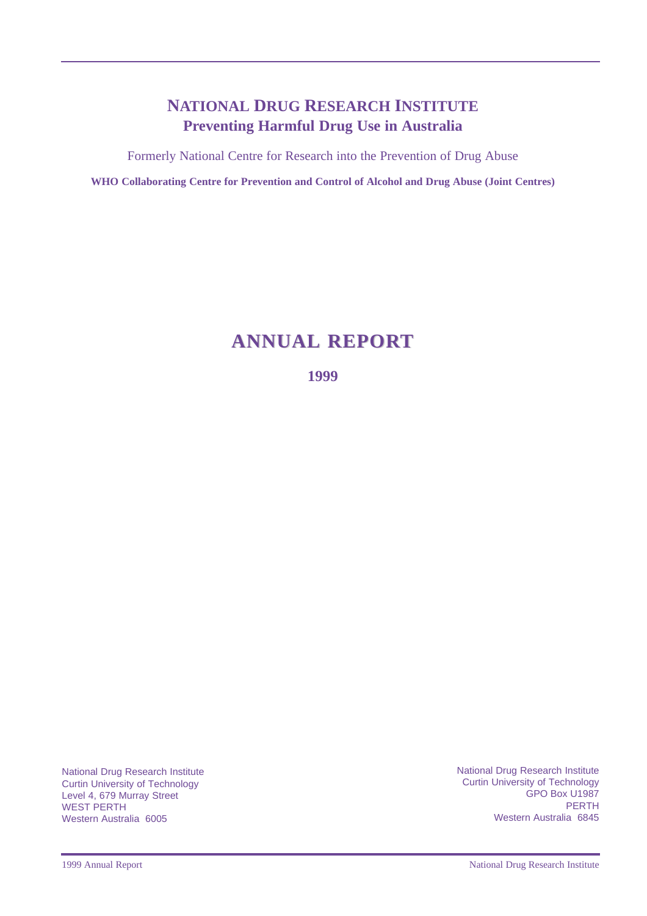## **NATIONAL DRUG RESEARCH INSTITUTE Preventing Harmful Drug Use in Australia**

Formerly National Centre for Research into the Prevention of Drug Abuse

**WHO Collaborating Centre for Prevention and Control of Alcohol and Drug Abuse (Joint Centres)**

# **ANNUAL REPOR ANNUAL REPORT**

**1999**

National Drug Research Institute Curtin University of Technology Level 4, 679 Murray Street WEST PERTH Western Australia 6005

National Drug Research Institute Curtin University of Technology GPO Box U1987 PERTH Western Australia 6845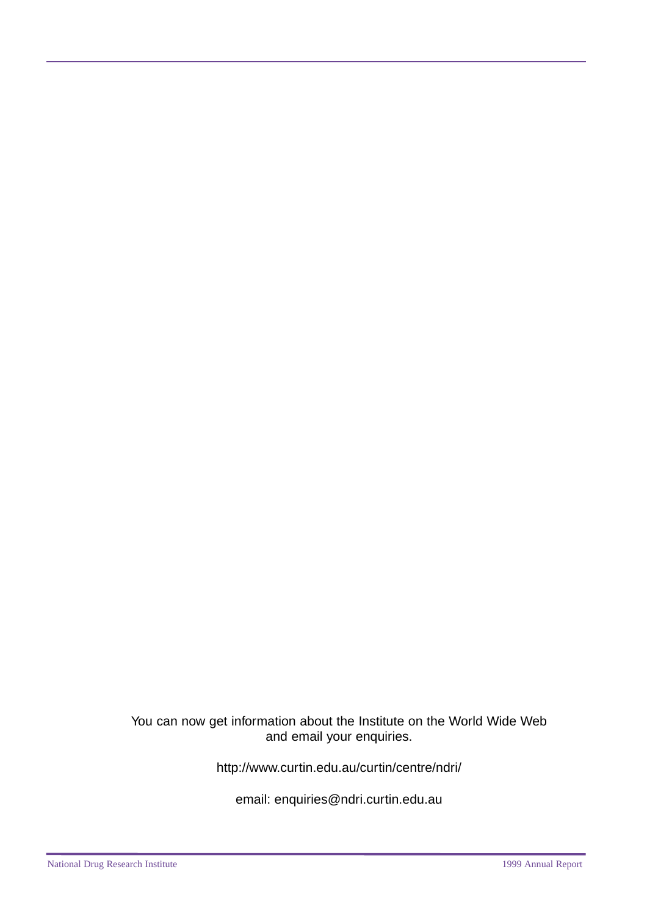You can now get information about the Institute on the World Wide Web and email your enquiries.

<http://www.curtin.edu.au/curtin/centre/ndri/>

email: [enquiries@ndri.curtin.edu.au](mailto:enquires@ndri.curtin.edu.au)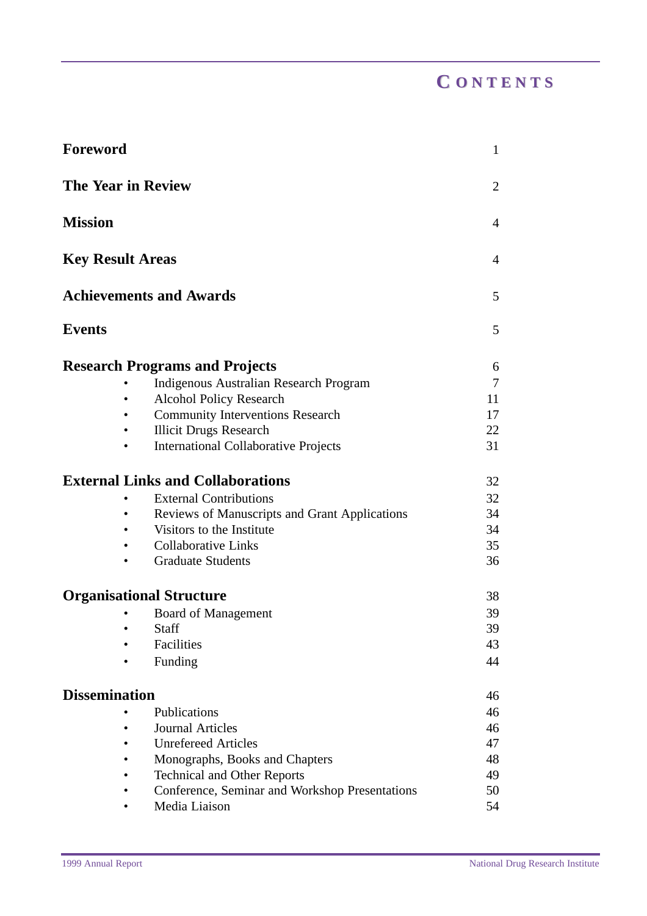| <b>Foreword</b>           |                                                | $\mathbf{1}$   |
|---------------------------|------------------------------------------------|----------------|
| <b>The Year in Review</b> |                                                | $\overline{2}$ |
| <b>Mission</b>            |                                                | $\overline{4}$ |
| <b>Key Result Areas</b>   |                                                | $\overline{4}$ |
|                           | <b>Achievements and Awards</b>                 | 5              |
| <b>Events</b>             |                                                | 5              |
|                           | <b>Research Programs and Projects</b>          | 6              |
|                           | <b>Indigenous Australian Research Program</b>  | 7              |
|                           | <b>Alcohol Policy Research</b>                 | 11             |
|                           | <b>Community Interventions Research</b>        | 17             |
|                           | <b>Illicit Drugs Research</b>                  | 22             |
|                           | <b>International Collaborative Projects</b>    | 31             |
|                           | <b>External Links and Collaborations</b>       | 32             |
|                           | <b>External Contributions</b>                  | 32             |
|                           | Reviews of Manuscripts and Grant Applications  | 34             |
|                           | Visitors to the Institute                      | 34             |
|                           | <b>Collaborative Links</b>                     | 35             |
|                           | <b>Graduate Students</b>                       | 36             |
|                           | <b>Organisational Structure</b>                | 38             |
|                           | <b>Board of Management</b>                     | 39             |
|                           | Staff                                          | 39             |
|                           | Facilities                                     | 43             |
|                           | Funding                                        | 44             |
| <b>Dissemination</b>      |                                                | 46             |
|                           | Publications                                   | 46             |
|                           | <b>Journal Articles</b>                        | 46             |
|                           | <b>Unrefereed Articles</b>                     | 47             |
|                           | Monographs, Books and Chapters                 | 48             |
|                           | <b>Technical and Other Reports</b>             | 49             |
|                           | Conference, Seminar and Workshop Presentations | 50             |
|                           | Media Liaison                                  | 54             |
|                           |                                                |                |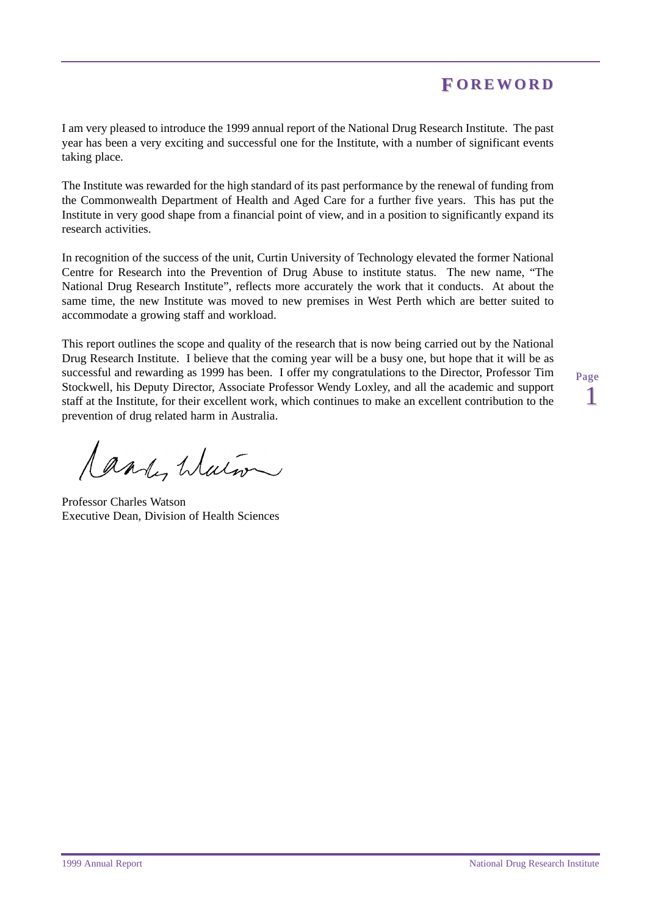## **F OREWORD OREWORD**

<span id="page-4-0"></span>I am very pleased to introduce the 1999 annual report of the National Drug Research Institute. The past year has been a very exciting and successful one for the Institute, with a number of significant events taking place.

The Institute was rewarded for the high standard of its past performance by the renewal of funding from the Commonwealth Department of Health and Aged Care for a further five years. This has put the Institute in very good shape from a financial point of view, and in a position to significantly expand its research activities.

In recognition of the success of the unit, Curtin University of Technology elevated the former National Centre for Research into the Prevention of Drug Abuse to institute status. The new name, "The National Drug Research Institute", reflects more accurately the work that it conducts. At about the same time, the new Institute was moved to new premises in West Perth which are better suited to accommodate a growing staff and workload.

This report outlines the scope and quality of the research that is now being carried out by the National Drug Research Institute. I believe that the coming year will be a busy one, but hope that it will be as successful and rewarding as 1999 has been. I offer my congratulations to the Director, Professor Tim Stockwell, his Deputy Director, Associate Professor Wendy Loxley, and all the academic and support staff at the Institute, for their excellent work, which continues to make an excellent contribution to the prevention of drug related harm in Australia.

Candy Water

Professor Charles Watson Executive Dean, Division of Health Sciences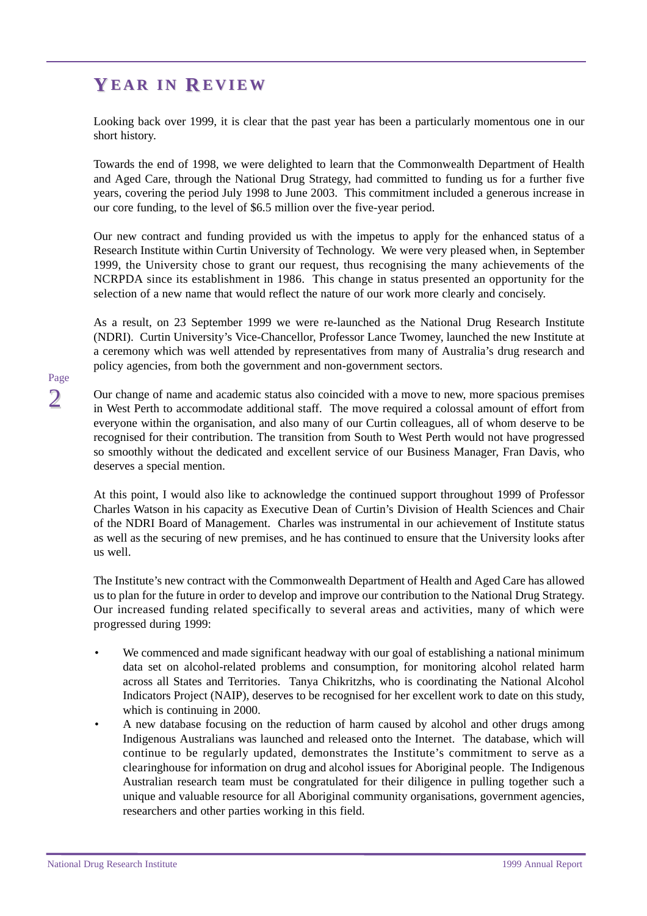# <span id="page-5-0"></span>**Y EAR IN R EVIEW**

Looking back over 1999, it is clear that the past year has been a particularly momentous one in our short history.

Towards the end of 1998, we were delighted to learn that the Commonwealth Department of Health and Aged Care, through the National Drug Strategy, had committed to funding us for a further five years, covering the period July 1998 to June 2003. This commitment included a generous increase in our core funding, to the level of \$6.5 million over the five-year period.

Our new contract and funding provided us with the impetus to apply for the enhanced status of a Research Institute within Curtin University of Technology. We were very pleased when, in September 1999, the University chose to grant our request, thus recognising the many achievements of the NCRPDA since its establishment in 1986. This change in status presented an opportunity for the selection of a new name that would reflect the nature of our work more clearly and concisely.

As a result, on 23 September 1999 we were re-launched as the National Drug Research Institute (NDRI). Curtin University's Vice-Chancellor, Professor Lance Twomey, launched the new Institute at a ceremony which was well attended by representatives from many of Australia's drug research and policy agencies, from both the government and non-government sectors.

Our change of name and academic status also coincided with a move to new, more spacious premises in West Perth to accommodate additional staff. The move required a colossal amount of effort from everyone within the organisation, and also many of our Curtin colleagues, all of whom deserve to be recognised for their contribution. The transition from South to West Perth would not have progressed so smoothly without the dedicated and excellent service of our Business Manager, Fran Davis, who deserves a special mention.

At this point, I would also like to acknowledge the continued support throughout 1999 of Professor Charles Watson in his capacity as Executive Dean of Curtin's Division of Health Sciences and Chair of the NDRI Board of Management. Charles was instrumental in our achievement of Institute status as well as the securing of new premises, and he has continued to ensure that the University looks after us well.

The Institute's new contract with the Commonwealth Department of Health and Aged Care has allowed us to plan for the future in order to develop and improve our contribution to the National Drug Strategy. Our increased funding related specifically to several areas and activities, many of which were progressed during 1999:

- We commenced and made significant headway with our goal of establishing a national minimum data set on alcohol-related problems and consumption, for monitoring alcohol related harm across all States and Territories. Tanya Chikritzhs, who is coordinating the National Alcohol Indicators Project (NAIP), deserves to be recognised for her excellent work to date on this study, which is continuing in 2000.
- A new database focusing on the reduction of harm caused by alcohol and other drugs among Indigenous Australians was launched and released onto the Internet. The database, which will continue to be regularly updated, demonstrates the Institute's commitment to serve as a clearinghouse for information on drug and alcohol issues for Aboriginal people. The Indigenous Australian research team must be congratulated for their diligence in pulling together such a unique and valuable resource for all Aboriginal community organisations, government agencies, researchers and other parties working in this field.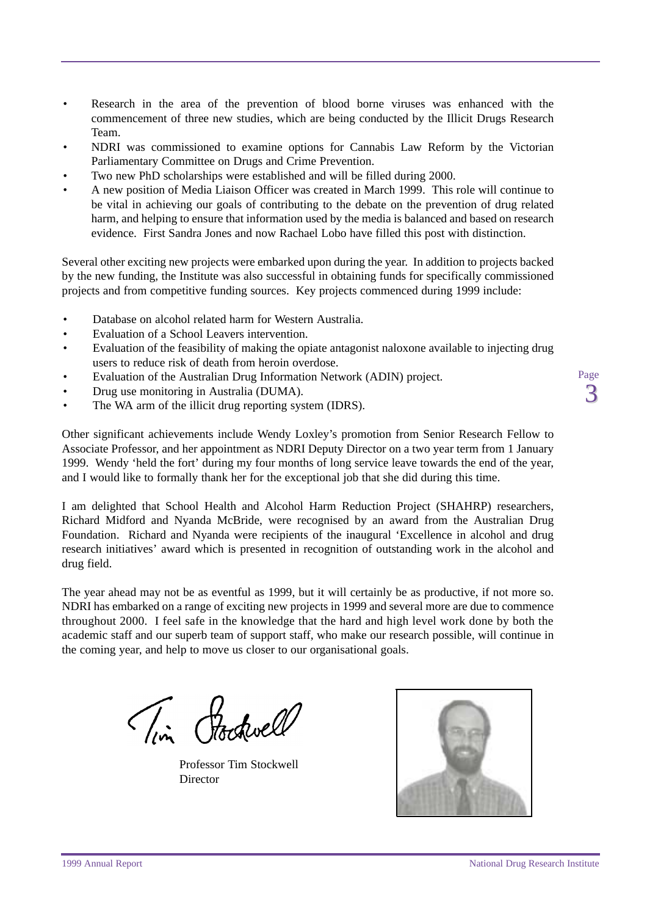- Research in the area of the prevention of blood borne viruses was enhanced with the commencement of three new studies, which are being conducted by the Illicit Drugs Research Team.
- NDRI was commissioned to examine options for Cannabis Law Reform by the Victorian Parliamentary Committee on Drugs and Crime Prevention.
- Two new PhD scholarships were established and will be filled during 2000.
- A new position of Media Liaison Officer was created in March 1999. This role will continue to be vital in achieving our goals of contributing to the debate on the prevention of drug related harm, and helping to ensure that information used by the media is balanced and based on research evidence. First Sandra Jones and now Rachael Lobo have filled this post with distinction.

Several other exciting new projects were embarked upon during the year. In addition to projects backed by the new funding, the Institute was also successful in obtaining funds for specifically commissioned projects and from competitive funding sources. Key projects commenced during 1999 include:

- Database on alcohol related harm for Western Australia.
- Evaluation of a School Leavers intervention.
- Evaluation of the feasibility of making the opiate antagonist naloxone available to injecting drug users to reduce risk of death from heroin overdose.
- Evaluation of the Australian Drug Information Network (ADIN) project.
- Drug use monitoring in Australia (DUMA).
- The WA arm of the illicit drug reporting system (IDRS).

Other significant achievements include Wendy Loxley's promotion from Senior Research Fellow to Associate Professor, and her appointment as NDRI Deputy Director on a two year term from 1 January 1999. Wendy 'held the fort' during my four months of long service leave towards the end of the year, and I would like to formally thank her for the exceptional job that she did during this time.

I am delighted that School Health and Alcohol Harm Reduction Project (SHAHRP) researchers, Richard Midford and Nyanda McBride, were recognised by an award from the Australian Drug Foundation. Richard and Nyanda were recipients of the inaugural 'Excellence in alcohol and drug research initiatives' award which is presented in recognition of outstanding work in the alcohol and drug field.

The year ahead may not be as eventful as 1999, but it will certainly be as productive, if not more so. NDRI has embarked on a range of exciting new projects in 1999 and several more are due to commence throughout 2000. I feel safe in the knowledge that the hard and high level work done by both the academic staff and our superb team of support staff, who make our research possible, will continue in the coming year, and help to move us closer to our organisational goals.

Tim Hockwell

Professor Tim Stockwell **Director** 

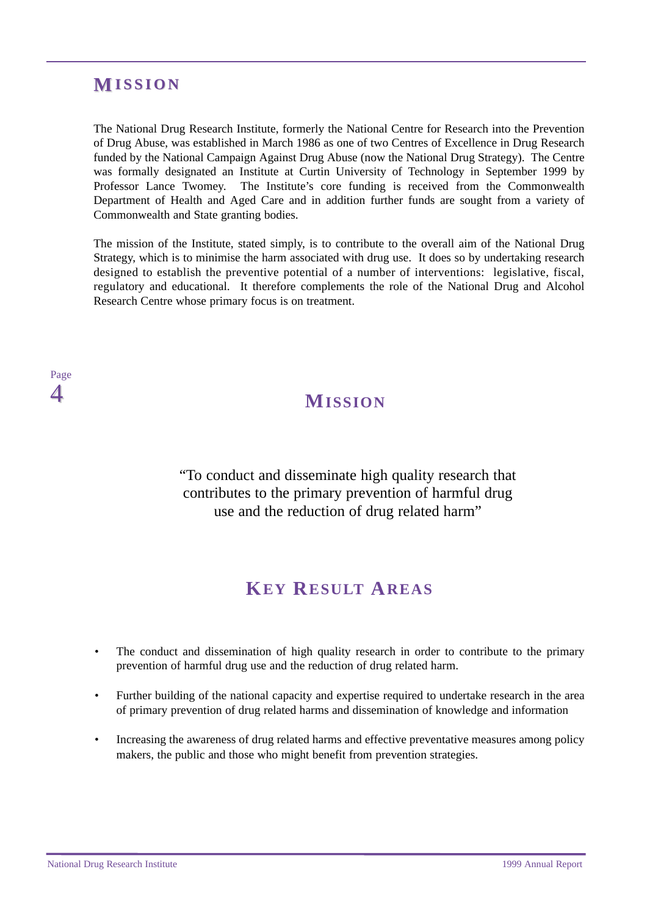## <span id="page-7-0"></span>**M ISSION**

The National Drug Research Institute, formerly the National Centre for Research into the Prevention of Drug Abuse, was established in March 1986 as one of two Centres of Excellence in Drug Research funded by the National Campaign Against Drug Abuse (now the National Drug Strategy). The Centre was formally designated an Institute at Curtin University of Technology in September 1999 by Professor Lance Twomey. The Institute's core funding is received from the Commonwealth Department of Health and Aged Care and in addition further funds are sought from a variety of Commonwealth and State granting bodies.

The mission of the Institute, stated simply, is to contribute to the overall aim of the National Drug Strategy, which is to minimise the harm associated with drug use. It does so by undertaking research designed to establish the preventive potential of a number of interventions: legislative, fiscal, regulatory and educational. It therefore complements the role of the National Drug and Alcohol Research Centre whose primary focus is on treatment.

## Page  $\Delta$

# **MISSION**

"To conduct and disseminate high quality research that contributes to the primary prevention of harmful drug use and the reduction of drug related harm"

# **KEY RESULT AREAS**

- The conduct and dissemination of high quality research in order to contribute to the primary prevention of harmful drug use and the reduction of drug related harm.
- Further building of the national capacity and expertise required to undertake research in the area of primary prevention of drug related harms and dissemination of knowledge and information
- Increasing the awareness of drug related harms and effective preventative measures among policy makers, the public and those who might benefit from prevention strategies.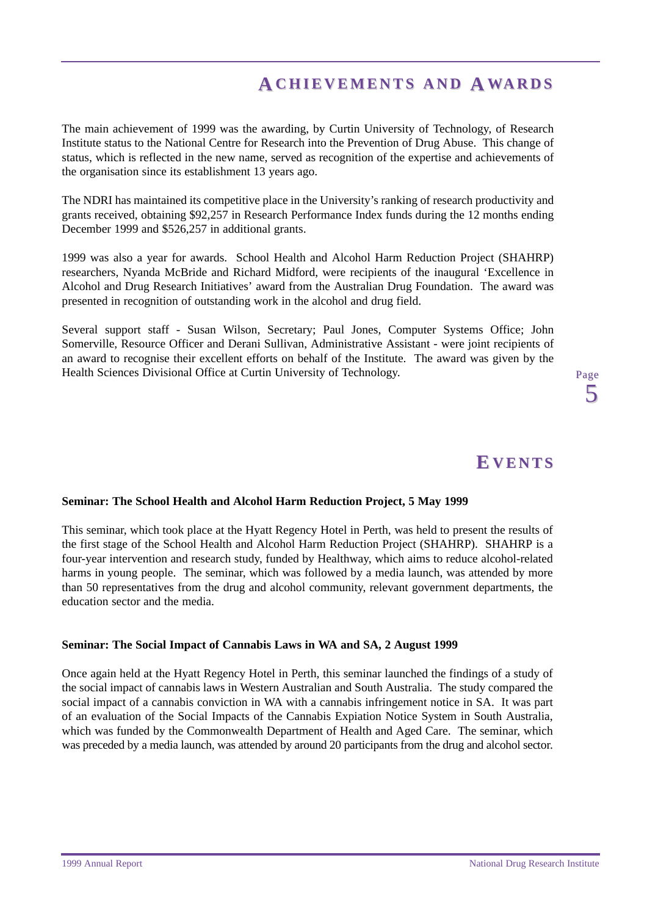# **ACHIEVEMENTS AND AWARDS**

<span id="page-8-0"></span>The main achievement of 1999 was the awarding, by Curtin University of Technology, of Research Institute status to the National Centre for Research into the Prevention of Drug Abuse. This change of status, which is reflected in the new name, served as recognition of the expertise and achievements of the organisation since its establishment 13 years ago.

The NDRI has maintained its competitive place in the University's ranking of research productivity and grants received, obtaining \$92,257 in Research Performance Index funds during the 12 months ending December 1999 and \$526,257 in additional grants.

1999 was also a year for awards. School Health and Alcohol Harm Reduction Project (SHAHRP) researchers, Nyanda McBride and Richard Midford, were recipients of the inaugural 'Excellence in Alcohol and Drug Research Initiatives' award from the Australian Drug Foundation. The award was presented in recognition of outstanding work in the alcohol and drug field.

Several support staff - Susan Wilson, Secretary; Paul Jones, Computer Systems Office; John Somerville, Resource Officer and Derani Sullivan, Administrative Assistant - were joint recipients of an award to recognise their excellent efforts on behalf of the Institute. The award was given by the Health Sciences Divisional Office at Curtin University of Technology.

# **E VENTS**

Page 5

#### **Seminar: The School Health and Alcohol Harm Reduction Project, 5 May 1999**

This seminar, which took place at the Hyatt Regency Hotel in Perth, was held to present the results of the first stage of the School Health and Alcohol Harm Reduction Project (SHAHRP). SHAHRP is a four-year intervention and research study, funded by Healthway, which aims to reduce alcohol-related harms in young people. The seminar, which was followed by a media launch, was attended by more than 50 representatives from the drug and alcohol community, relevant government departments, the education sector and the media.

#### **Seminar: The Social Impact of Cannabis Laws in WA and SA, 2 August 1999**

Once again held at the Hyatt Regency Hotel in Perth, this seminar launched the findings of a study of the social impact of cannabis laws in Western Australian and South Australia. The study compared the social impact of a cannabis conviction in WA with a cannabis infringement notice in SA. It was part of an evaluation of the Social Impacts of the Cannabis Expiation Notice System in South Australia, which was funded by the Commonwealth Department of Health and Aged Care. The seminar, which was preceded by a media launch, was attended by around 20 participants from the drug and alcohol sector.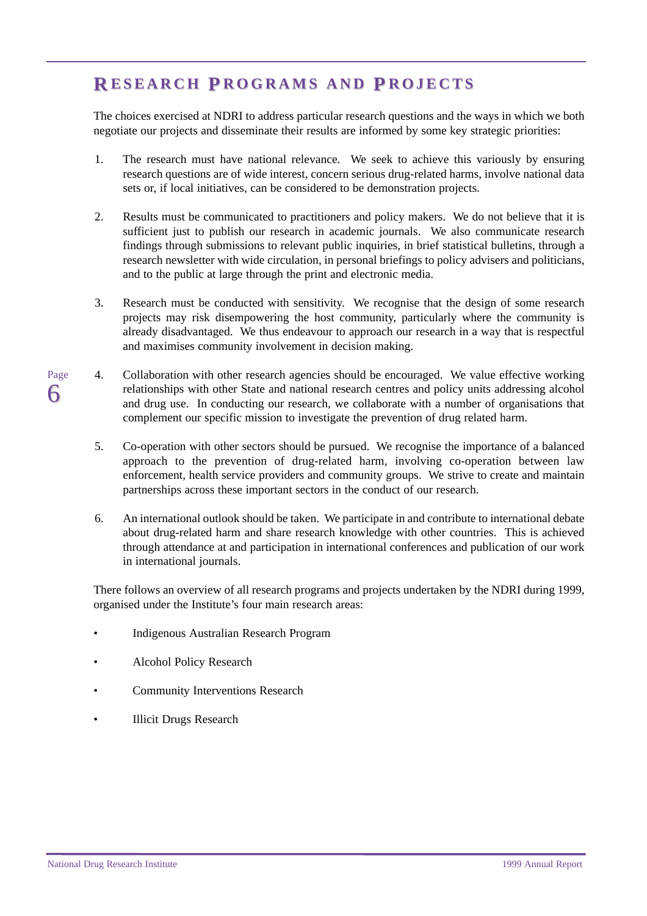# <span id="page-9-0"></span>**R ESEARCH ESEARCH P ROGRAMS AND ROGRAMS AND P ROJECTS ROJECTS**

The choices exercised at NDRI to address particular research questions and the ways in which we both negotiate our projects and disseminate their results are informed by some key strategic priorities:

- 1. The research must have national relevance. We seek to achieve this variously by ensuring research questions are of wide interest, concern serious drug-related harms, involve national data sets or, if local initiatives, can be considered to be demonstration projects.
- 2. Results must be communicated to practitioners and policy makers. We do not believe that it is sufficient just to publish our research in academic journals. We also communicate research findings through submissions to relevant public inquiries, in brief statistical bulletins, through a research newsletter with wide circulation, in personal briefings to policy advisers and politicians, and to the public at large through the print and electronic media.
- 3. Research must be conducted with sensitivity. We recognise that the design of some research projects may risk disempowering the host community, particularly where the community is already disadvantaged. We thus endeavour to approach our research in a way that is respectful and maximises community involvement in decision making.
- Page 6 4. Collaboration with other research agencies should be encouraged. We value effective working relationships with other State and national research centres and policy units addressing alcohol and drug use. In conducting our research, we collaborate with a number of organisations that complement our specific mission to investigate the prevention of drug related harm.
	- 5. Co-operation with other sectors should be pursued. We recognise the importance of a balanced approach to the prevention of drug-related harm, involving co-operation between law enforcement, health service providers and community groups. We strive to create and maintain partnerships across these important sectors in the conduct of our research.
	- 6. An international outlook should be taken. We participate in and contribute to international debate about drug-related harm and share research knowledge with other countries. This is achieved through attendance at and participation in international conferences and publication of our work in international journals.

There follows an overview of all research programs and projects undertaken by the NDRI during 1999, organised under the Institute's four main research areas:

- Indigenous Australian Research Program
- Alcohol Policy Research
- Community Interventions Research
- **Illicit Drugs Research**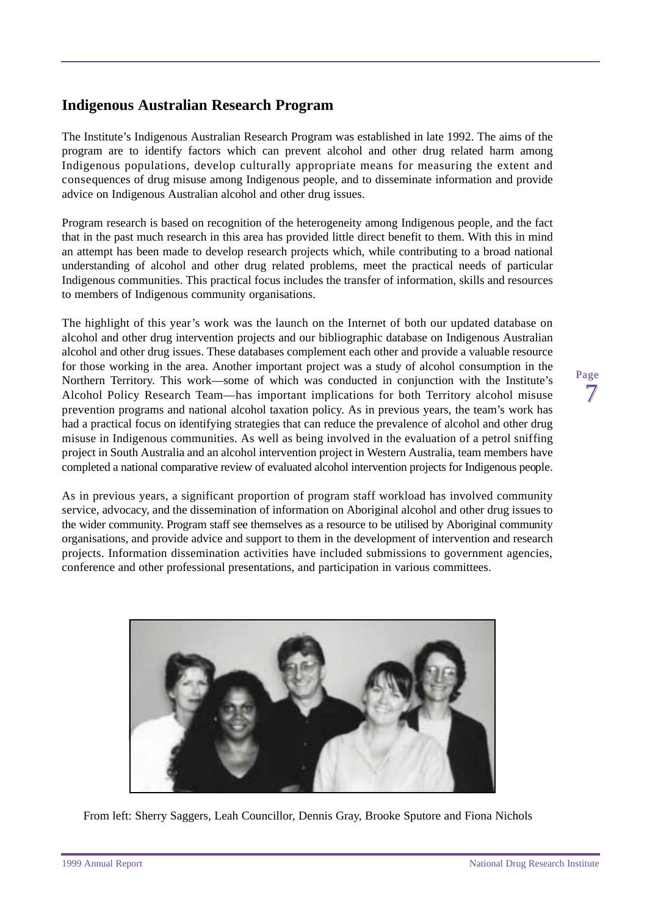### <span id="page-10-0"></span>**Indigenous Australian Research Program**

The Institute's Indigenous Australian Research Program was established in late 1992. The aims of the program are to identify factors which can prevent alcohol and other drug related harm among Indigenous populations, develop culturally appropriate means for measuring the extent and consequences of drug misuse among Indigenous people, and to disseminate information and provide advice on Indigenous Australian alcohol and other drug issues.

Program research is based on recognition of the heterogeneity among Indigenous people, and the fact that in the past much research in this area has provided little direct benefit to them. With this in mind an attempt has been made to develop research projects which, while contributing to a broad national understanding of alcohol and other drug related problems, meet the practical needs of particular Indigenous communities. This practical focus includes the transfer of information, skills and resources to members of Indigenous community organisations.

The highlight of this year's work was the launch on the Internet of both our updated database on alcohol and other drug intervention projects and our bibliographic database on Indigenous Australian alcohol and other drug issues. These databases complement each other and provide a valuable resource for those working in the area. Another important project was a study of alcohol consumption in the Northern Territory. This work—some of which was conducted in conjunction with the Institute's Alcohol Policy Research Team—has important implications for both Territory alcohol misuse prevention programs and national alcohol taxation policy. As in previous years, the team's work has had a practical focus on identifying strategies that can reduce the prevalence of alcohol and other drug misuse in Indigenous communities. As well as being involved in the evaluation of a petrol sniffing project in South Australia and an alcohol intervention project in Western Australia, team members have completed a national comparative review of evaluated alcohol intervention projects for Indigenous people.

As in previous years, a significant proportion of program staff workload has involved community service, advocacy, and the dissemination of information on Aboriginal alcohol and other drug issues to the wider community. Program staff see themselves as a resource to be utilised by Aboriginal community organisations, and provide advice and support to them in the development of intervention and research projects. Information dissemination activities have included submissions to government agencies, conference and other professional presentations, and participation in various committees.



From left: Sherry Saggers, Leah Councillor, Dennis Gray, Brooke Sputore and Fiona Nichols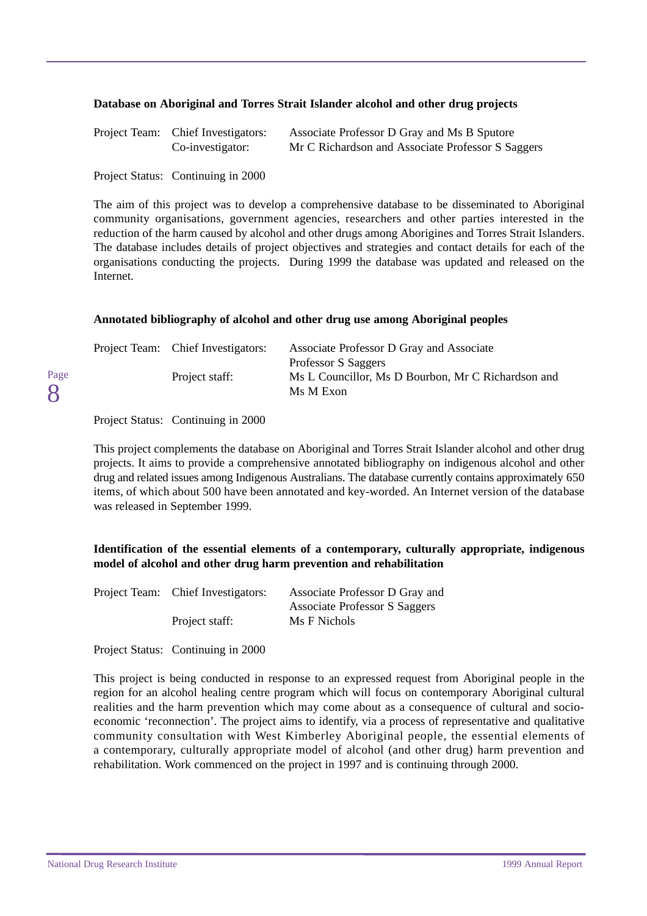#### **Database on Aboriginal and Torres Strait Islander alcohol and other drug projects**

| Project Team: Chief Investigators: | Associate Professor D Gray and Ms B Sputore       |
|------------------------------------|---------------------------------------------------|
| Co-investigator:                   | Mr C Richardson and Associate Professor S Saggers |

Project Status: Continuing in 2000

The aim of this project was to develop a comprehensive database to be disseminated to Aboriginal community organisations, government agencies, researchers and other parties interested in the reduction of the harm caused by alcohol and other drugs among Aborigines and Torres Strait Islanders. The database includes details of project objectives and strategies and contact details for each of the organisations conducting the projects. During 1999 the database was updated and released on the Internet.

#### **Annotated bibliography of alcohol and other drug use among Aboriginal peoples**

| Associate Professor D Gray and Associate           |
|----------------------------------------------------|
| Professor S Saggers                                |
| Ms L Councillor, Ms D Bourbon, Mr C Richardson and |
| Ms M Exon                                          |
|                                                    |

Project Status: Continuing in 2000

Page 8

> This project complements the database on Aboriginal and Torres Strait Islander alcohol and other drug projects. It aims to provide a comprehensive annotated bibliography on indigenous alcohol and other drug and related issues among Indigenous Australians. The database currently contains approximately 650 items, of which about 500 have been annotated and key-worded. An Internet version of the database was released in September 1999.

#### **Identification of the essential elements of a contemporary, culturally appropriate, indigenous model of alcohol and other drug harm prevention and rehabilitation**

| Project Team: Chief Investigators: | Associate Professor D Gray and       |
|------------------------------------|--------------------------------------|
|                                    | <b>Associate Professor S Saggers</b> |
| Project staff:                     | Ms F Nichols                         |

Project Status: Continuing in 2000

This project is being conducted in response to an expressed request from Aboriginal people in the region for an alcohol healing centre program which will focus on contemporary Aboriginal cultural realities and the harm prevention which may come about as a consequence of cultural and socioeconomic 'reconnection'. The project aims to identify, via a process of representative and qualitative community consultation with West Kimberley Aboriginal people, the essential elements of a contemporary, culturally appropriate model of alcohol (and other drug) harm prevention and rehabilitation. Work commenced on the project in 1997 and is continuing through 2000.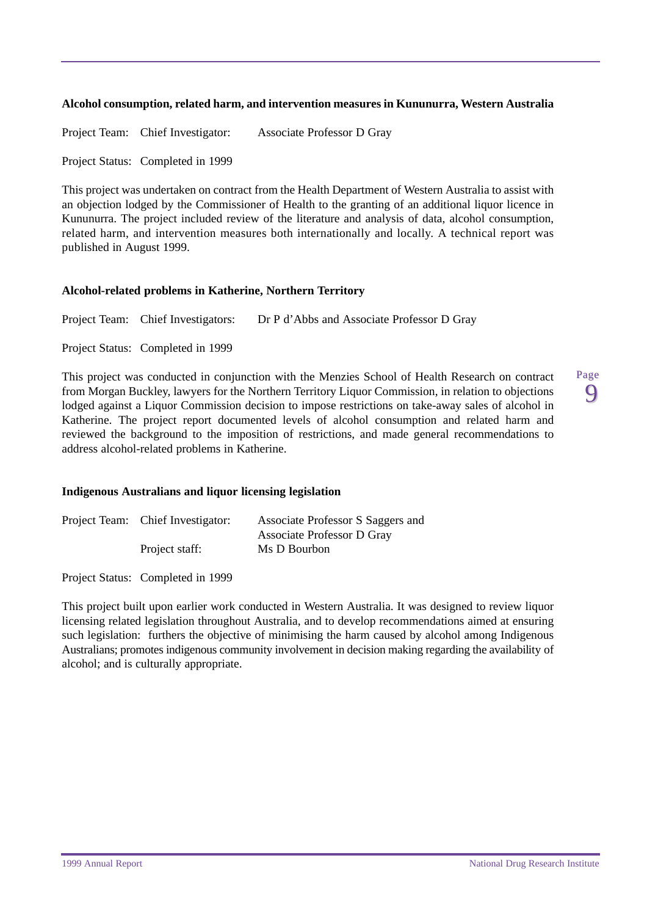#### **Alcohol consumption, related harm, and intervention measures in Kununurra, Western Australia**

Project Team: Chief Investigator: Associate Professor D Gray

Project Status: Completed in 1999

This project was undertaken on contract from the Health Department of Western Australia to assist with an objection lodged by the Commissioner of Health to the granting of an additional liquor licence in Kununurra. The project included review of the literature and analysis of data, alcohol consumption, related harm, and intervention measures both internationally and locally. A technical report was published in August 1999.

#### **Alcohol-related problems in Katherine, Northern Territory**

Project Team: Chief Investigators: Dr P d'Abbs and Associate Professor D Gray

Project Status: Completed in 1999

This project was conducted in conjunction with the Menzies School of Health Research on contract from Morgan Buckley, lawyers for the Northern Territory Liquor Commission, in relation to objections lodged against a Liquor Commission decision to impose restrictions on take-away sales of alcohol in Katherine. The project report documented levels of alcohol consumption and related harm and reviewed the background to the imposition of restrictions, and made general recommendations to address alcohol-related problems in Katherine.

#### **Indigenous Australians and liquor licensing legislation**

| Project Team: Chief Investigator: | Associate Professor S Saggers and |
|-----------------------------------|-----------------------------------|
|                                   | Associate Professor D Gray        |
| Project staff:                    | Ms D Bourbon                      |

Project Status: Completed in 1999

This project built upon earlier work conducted in Western Australia. It was designed to review liquor licensing related legislation throughout Australia, and to develop recommendations aimed at ensuring such legislation: furthers the objective of minimising the harm caused by alcohol among Indigenous Australians; promotes indigenous community involvement in decision making regarding the availability of alcohol; and is culturally appropriate.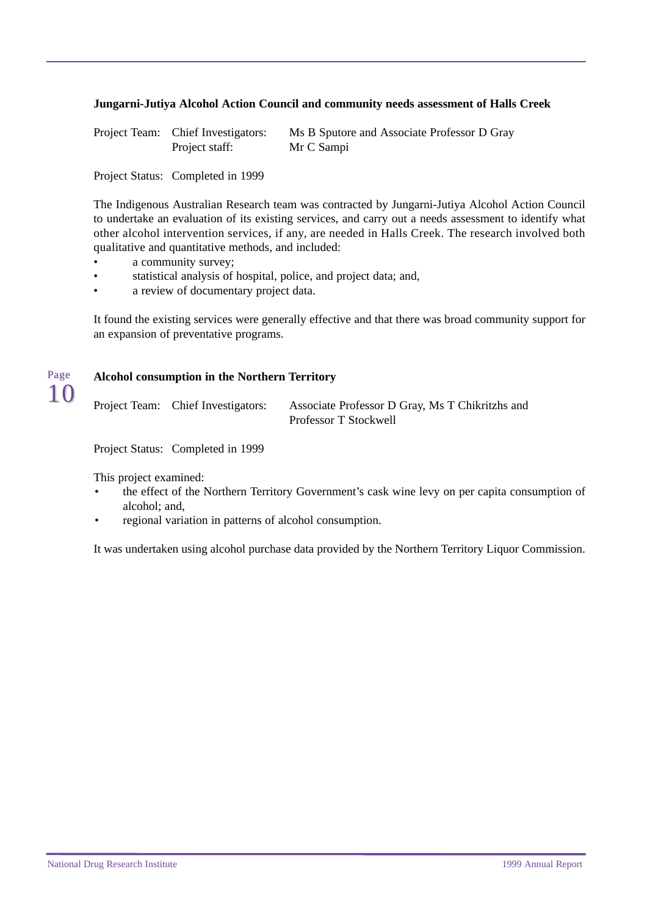#### **Jungarni-Jutiya Alcohol Action Council and community needs assessment of Halls Creek**

| Project Team: Chief Investigators: | Ms B Sputore and Associate Professor D Gray |
|------------------------------------|---------------------------------------------|
| Project staff:                     | Mr C Sampi                                  |

Project Status: Completed in 1999

The Indigenous Australian Research team was contracted by Jungarni-Jutiya Alcohol Action Council to undertake an evaluation of its existing services, and carry out a needs assessment to identify what other alcohol intervention services, if any, are needed in Halls Creek. The research involved both qualitative and quantitative methods, and included:

- a community survey;
- statistical analysis of hospital, police, and project data; and,
- a review of documentary project data.

It found the existing services were generally effective and that there was broad community support for an expansion of preventative programs.

#### **Alcohol consumption in the Northern Territory**

Project Team: Chief Investigators: Associate Professor D Gray, Ms T Chikritzhs and Professor T Stockwell

Project Status: Completed in 1999

This project examined:

Page 10

- the effect of the Northern Territory Government's cask wine levy on per capita consumption of alcohol; and,
- regional variation in patterns of alcohol consumption.

It was undertaken using alcohol purchase data provided by the Northern Territory Liquor Commission.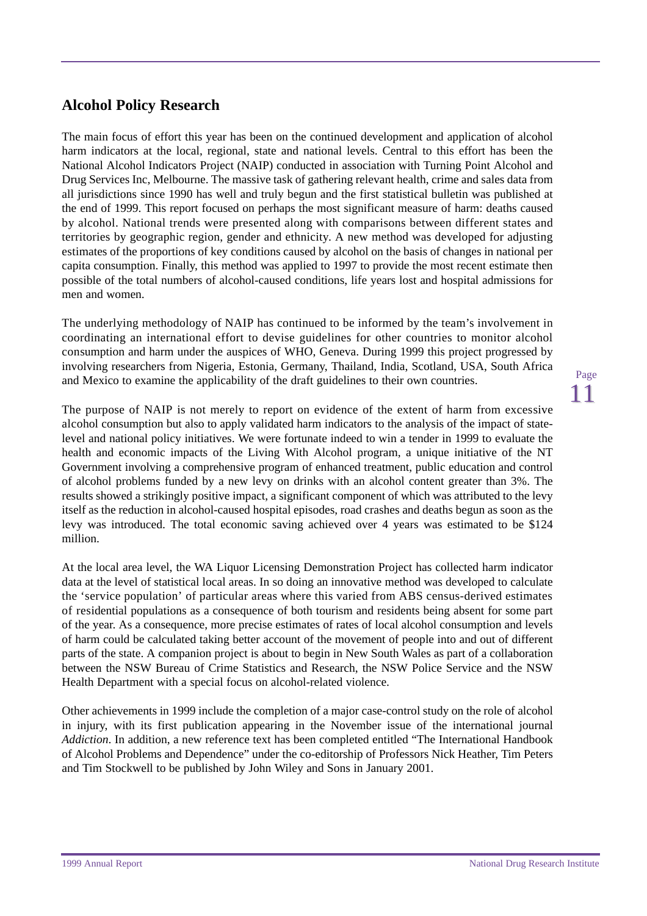## <span id="page-14-0"></span>**Alcohol Policy Research**

The main focus of effort this year has been on the continued development and application of alcohol harm indicators at the local, regional, state and national levels. Central to this effort has been the National Alcohol Indicators Project (NAIP) conducted in association with Turning Point Alcohol and Drug Services Inc, Melbourne. The massive task of gathering relevant health, crime and sales data from all jurisdictions since 1990 has well and truly begun and the first statistical bulletin was published at the end of 1999. This report focused on perhaps the most significant measure of harm: deaths caused by alcohol. National trends were presented along with comparisons between different states and territories by geographic region, gender and ethnicity. A new method was developed for adjusting estimates of the proportions of key conditions caused by alcohol on the basis of changes in national per capita consumption. Finally, this method was applied to 1997 to provide the most recent estimate then possible of the total numbers of alcohol-caused conditions, life years lost and hospital admissions for men and women.

The underlying methodology of NAIP has continued to be informed by the team's involvement in coordinating an international effort to devise guidelines for other countries to monitor alcohol consumption and harm under the auspices of WHO, Geneva. During 1999 this project progressed by involving researchers from Nigeria, Estonia, Germany, Thailand, India, Scotland, USA, South Africa and Mexico to examine the applicability of the draft guidelines to their own countries.

The purpose of NAIP is not merely to report on evidence of the extent of harm from excessive alcohol consumption but also to apply validated harm indicators to the analysis of the impact of statelevel and national policy initiatives. We were fortunate indeed to win a tender in 1999 to evaluate the health and economic impacts of the Living With Alcohol program, a unique initiative of the NT Government involving a comprehensive program of enhanced treatment, public education and control of alcohol problems funded by a new levy on drinks with an alcohol content greater than 3%. The results showed a strikingly positive impact, a significant component of which was attributed to the levy itself as the reduction in alcohol-caused hospital episodes, road crashes and deaths begun as soon as the levy was introduced. The total economic saving achieved over 4 years was estimated to be \$124 million.

At the local area level, the WA Liquor Licensing Demonstration Project has collected harm indicator data at the level of statistical local areas. In so doing an innovative method was developed to calculate the 'service population' of particular areas where this varied from ABS census-derived estimates of residential populations as a consequence of both tourism and residents being absent for some part of the year. As a consequence, more precise estimates of rates of local alcohol consumption and levels of harm could be calculated taking better account of the movement of people into and out of different parts of the state. A companion project is about to begin in New South Wales as part of a collaboration between the NSW Bureau of Crime Statistics and Research, the NSW Police Service and the NSW Health Department with a special focus on alcohol-related violence.

Other achievements in 1999 include the completion of a major case-control study on the role of alcohol in injury, with its first publication appearing in the November issue of the international journal *Addiction*. In addition, a new reference text has been completed entitled "The International Handbook of Alcohol Problems and Dependence" under the co-editorship of Professors Nick Heather, Tim Peters and Tim Stockwell to be published by John Wiley and Sons in January 2001.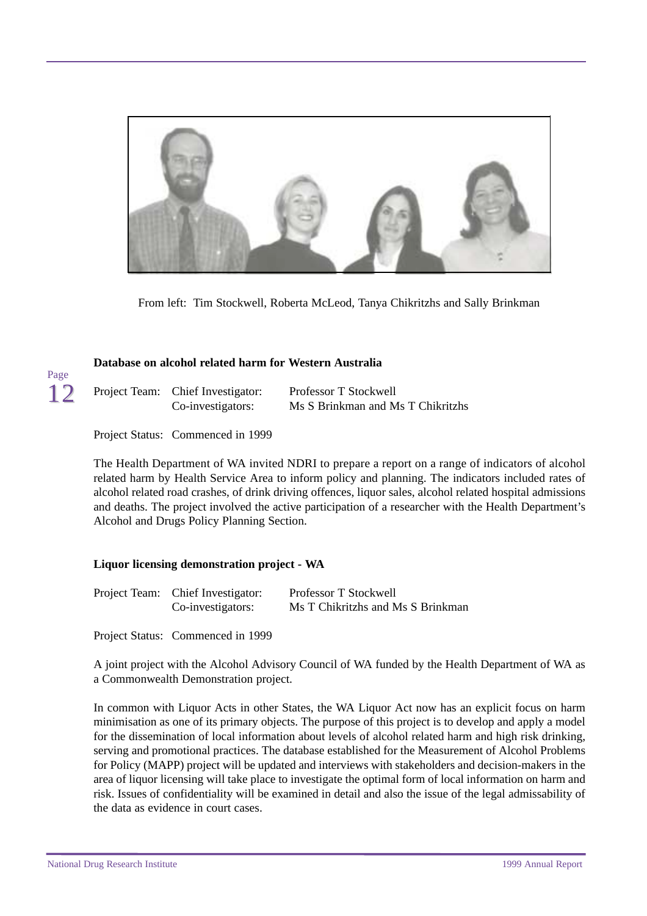

From left: Tim Stockwell, Roberta McLeod, Tanya Chikritzhs and Sally Brinkman

#### **Database on alcohol related harm for Western Australia**

| Project Team: Chief Investigator: | Professor T Stockwell             |
|-----------------------------------|-----------------------------------|
| Co-investigators:                 | Ms S Brinkman and Ms T Chikritzhs |

Project Status: Commenced in 1999

Page 12

> The Health Department of WA invited NDRI to prepare a report on a range of indicators of alcohol related harm by Health Service Area to inform policy and planning. The indicators included rates of alcohol related road crashes, of drink driving offences, liquor sales, alcohol related hospital admissions and deaths. The project involved the active participation of a researcher with the Health Department's Alcohol and Drugs Policy Planning Section.

#### **Liquor licensing demonstration project - WA**

| Project Team: Chief Investigator: | Professor T Stockwell             |
|-----------------------------------|-----------------------------------|
| Co-investigators:                 | Ms T Chikritzhs and Ms S Brinkman |

Project Status: Commenced in 1999

A joint project with the Alcohol Advisory Council of WA funded by the Health Department of WA as a Commonwealth Demonstration project.

In common with Liquor Acts in other States, the WA Liquor Act now has an explicit focus on harm minimisation as one of its primary objects. The purpose of this project is to develop and apply a model for the dissemination of local information about levels of alcohol related harm and high risk drinking, serving and promotional practices. The database established for the Measurement of Alcohol Problems for Policy (MAPP) project will be updated and interviews with stakeholders and decision-makers in the area of liquor licensing will take place to investigate the optimal form of local information on harm and risk. Issues of confidentiality will be examined in detail and also the issue of the legal admissability of the data as evidence in court cases.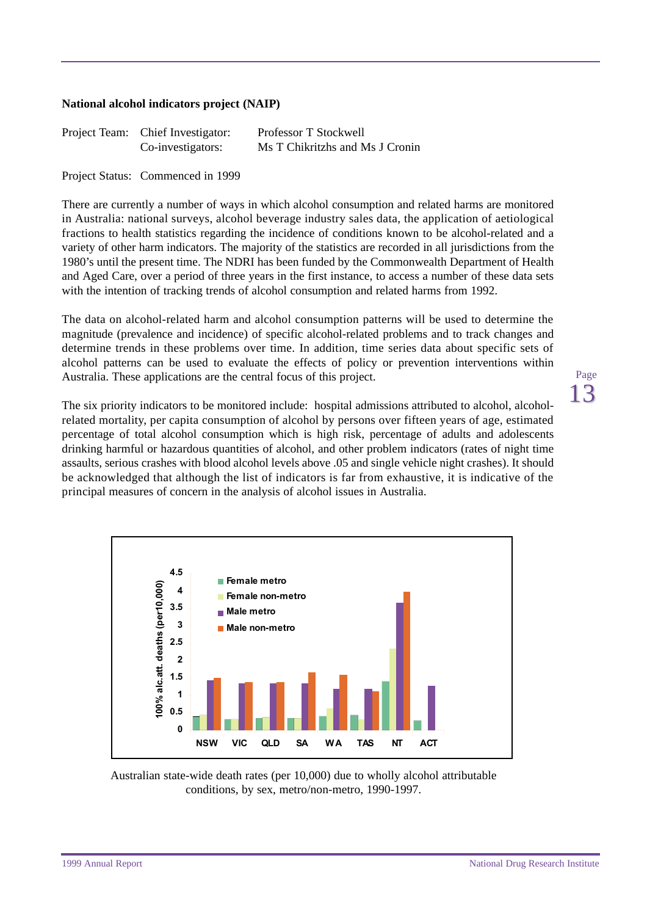#### **National alcohol indicators project (NAIP)**

| Project Team: Chief Investigator: | Professor T Stockwell           |
|-----------------------------------|---------------------------------|
| Co-investigators:                 | Ms T Chikritzhs and Ms J Cronin |

Project Status: Commenced in 1999

There are currently a number of ways in which alcohol consumption and related harms are monitored in Australia: national surveys, alcohol beverage industry sales data, the application of aetiological fractions to health statistics regarding the incidence of conditions known to be alcohol-related and a variety of other harm indicators. The majority of the statistics are recorded in all jurisdictions from the 1980's until the present time. The NDRI has been funded by the Commonwealth Department of Health and Aged Care, over a period of three years in the first instance, to access a number of these data sets with the intention of tracking trends of alcohol consumption and related harms from 1992.

The data on alcohol-related harm and alcohol consumption patterns will be used to determine the magnitude (prevalence and incidence) of specific alcohol-related problems and to track changes and determine trends in these problems over time. In addition, time series data about specific sets of alcohol patterns can be used to evaluate the effects of policy or prevention interventions within Australia. These applications are the central focus of this project.

The six priority indicators to be monitored include: hospital admissions attributed to alcohol, alcoholrelated mortality, per capita consumption of alcohol by persons over fifteen years of age, estimated percentage of total alcohol consumption which is high risk, percentage of adults and adolescents drinking harmful or hazardous quantities of alcohol, and other problem indicators (rates of night time assaults, serious crashes with blood alcohol levels above .05 and single vehicle night crashes). It should be acknowledged that although the list of indicators is far from exhaustive, it is indicative of the principal measures of concern in the analysis of alcohol issues in Australia.



Australian state-wide death rates (per 10,000) due to wholly alcohol attributable conditions, by sex, metro/non-metro, 1990-1997.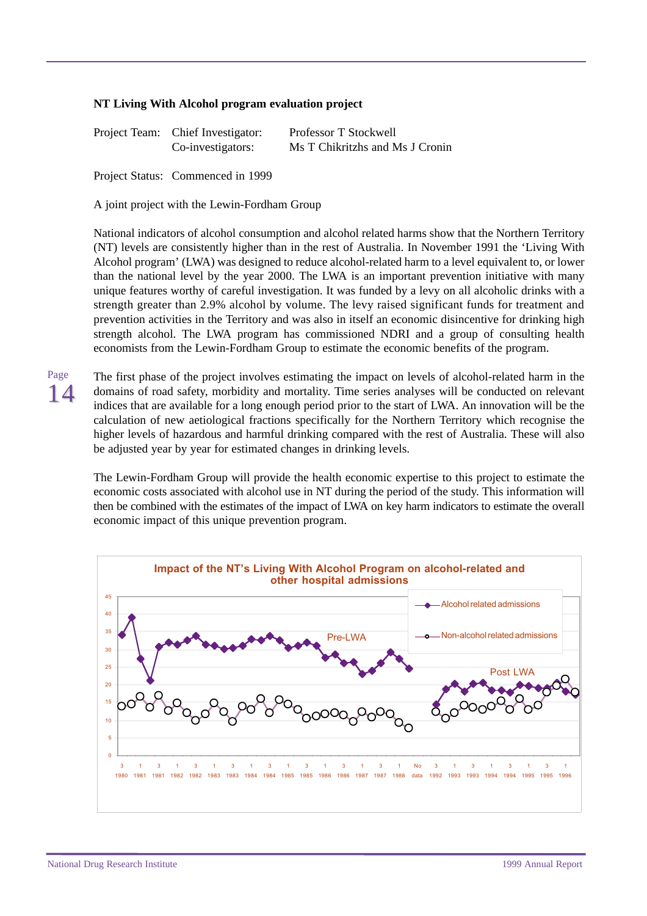#### **NT Living With Alcohol program evaluation project**

| Project Team: Chief Investigator: | Professor T Stockwell           |
|-----------------------------------|---------------------------------|
| Co-investigators:                 | Ms T Chikritzhs and Ms J Cronin |

Project Status: Commenced in 1999

A joint project with the Lewin-Fordham Group

National indicators of alcohol consumption and alcohol related harms show that the Northern Territory (NT) levels are consistently higher than in the rest of Australia. In November 1991 the 'Living With Alcohol program' (LWA) was designed to reduce alcohol-related harm to a level equivalent to, or lower than the national level by the year 2000. The LWA is an important prevention initiative with many unique features worthy of careful investigation. It was funded by a levy on all alcoholic drinks with a strength greater than 2.9% alcohol by volume. The levy raised significant funds for treatment and prevention activities in the Territory and was also in itself an economic disincentive for drinking high strength alcohol. The LWA program has commissioned NDRI and a group of consulting health economists from the Lewin-Fordham Group to estimate the economic benefits of the program.

14 The first phase of the project involves estimating the impact on levels of alcohol-related harm in the domains of road safety, morbidity and mortality. Time series analyses will be conducted on relevant indices that are available for a long enough period prior to the start of LWA. An innovation will be the calculation of new aetiological fractions specifically for the Northern Territory which recognise the higher levels of hazardous and harmful drinking compared with the rest of Australia. These will also be adjusted year by year for estimated changes in drinking levels.

The Lewin-Fordham Group will provide the health economic expertise to this project to estimate the economic costs associated with alcohol use in NT during the period of the study. This information will then be combined with the estimates of the impact of LWA on key harm indicators to estimate the overall economic impact of this unique prevention program.

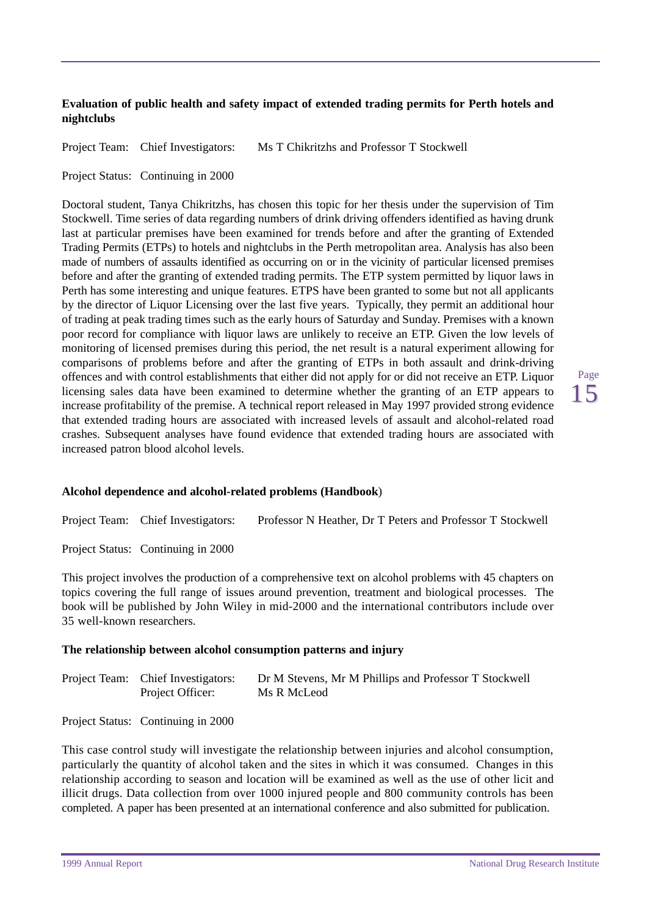#### **Evaluation of public health and safety impact of extended trading permits for Perth hotels and nightclubs**

Project Team: Chief Investigators: Ms T Chikritzhs and Professor T Stockwell

Project Status: Continuing in 2000

Doctoral student, Tanya Chikritzhs, has chosen this topic for her thesis under the supervision of Tim Stockwell. Time series of data regarding numbers of drink driving offenders identified as having drunk last at particular premises have been examined for trends before and after the granting of Extended Trading Permits (ETPs) to hotels and nightclubs in the Perth metropolitan area. Analysis has also been made of numbers of assaults identified as occurring on or in the vicinity of particular licensed premises before and after the granting of extended trading permits. The ETP system permitted by liquor laws in Perth has some interesting and unique features. ETPS have been granted to some but not all applicants by the director of Liquor Licensing over the last five years. Typically, they permit an additional hour of trading at peak trading times such as the early hours of Saturday and Sunday. Premises with a known poor record for compliance with liquor laws are unlikely to receive an ETP. Given the low levels of monitoring of licensed premises during this period, the net result is a natural experiment allowing for comparisons of problems before and after the granting of ETPs in both assault and drink-driving offences and with control establishments that either did not apply for or did not receive an ETP. Liquor licensing sales data have been examined to determine whether the granting of an ETP appears to increase profitability of the premise. A technical report released in May 1997 provided strong evidence that extended trading hours are associated with increased levels of assault and alcohol-related road crashes. Subsequent analyses have found evidence that extended trading hours are associated with increased patron blood alcohol levels.

#### **Alcohol dependence and alcohol-related problems (Handbook**)

Project Team: Chief Investigators: Professor N Heather, Dr T Peters and Professor T Stockwell

Project Status: Continuing in 2000

This project involves the production of a comprehensive text on alcohol problems with 45 chapters on topics covering the full range of issues around prevention, treatment and biological processes. The book will be published by John Wiley in mid-2000 and the international contributors include over 35 well-known researchers.

#### **The relationship between alcohol consumption patterns and injury**

| Project Team: Chief Investigators: | Dr M Stevens, Mr M Phillips and Professor T Stockwell |
|------------------------------------|-------------------------------------------------------|
| Project Officer:                   | Ms R McLeod                                           |

Project Status: Continuing in 2000

This case control study will investigate the relationship between injuries and alcohol consumption, particularly the quantity of alcohol taken and the sites in which it was consumed. Changes in this relationship according to season and location will be examined as well as the use of other licit and illicit drugs. Data collection from over 1000 injured people and 800 community controls has been completed. A paper has been presented at an international conference and also submitted for publication.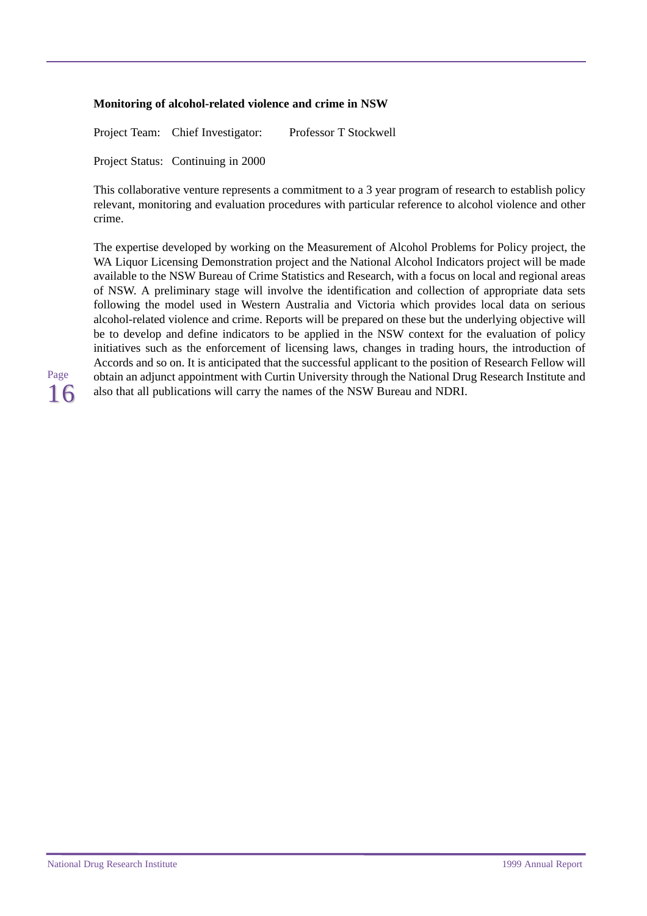#### **Monitoring of alcohol-related violence and crime in NSW**

Project Team: Chief Investigator: Professor T Stockwell Project Status: Continuing in 2000

This collaborative venture represents a commitment to a 3 year program of research to establish policy relevant, monitoring and evaluation procedures with particular reference to alcohol violence and other crime.

The expertise developed by working on the Measurement of Alcohol Problems for Policy project, the WA Liquor Licensing Demonstration project and the National Alcohol Indicators project will be made available to the NSW Bureau of Crime Statistics and Research, with a focus on local and regional areas of NSW. A preliminary stage will involve the identification and collection of appropriate data sets following the model used in Western Australia and Victoria which provides local data on serious alcohol-related violence and crime. Reports will be prepared on these but the underlying objective will be to develop and define indicators to be applied in the NSW context for the evaluation of policy initiatives such as the enforcement of licensing laws, changes in trading hours, the introduction of Accords and so on. It is anticipated that the successful applicant to the position of Research Fellow will obtain an adjunct appointment with Curtin University through the National Drug Research Institute and also that all publications will carry the names of the NSW Bureau and NDRI.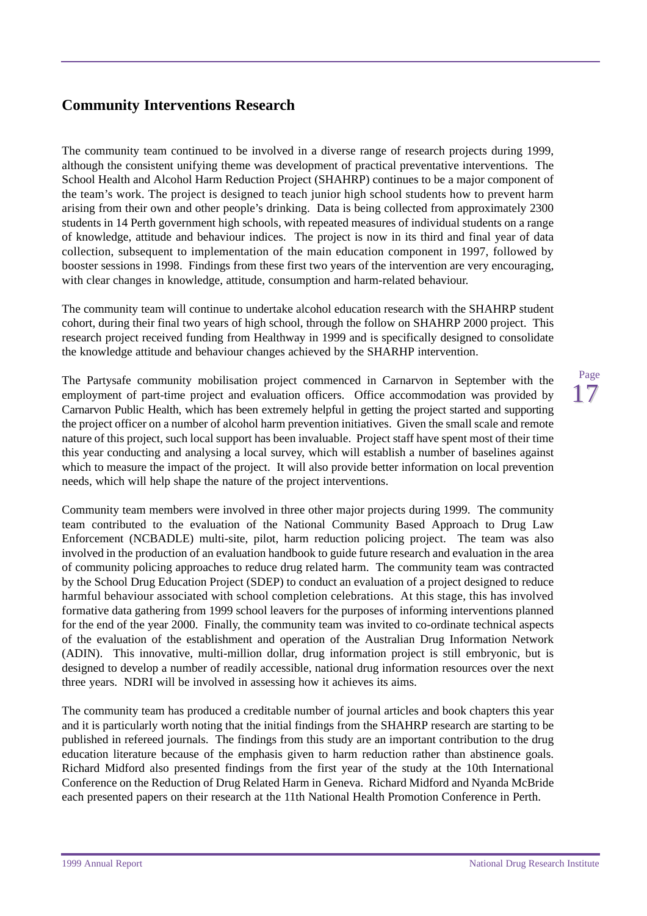## <span id="page-20-0"></span>**Community Interventions Research**

The community team continued to be involved in a diverse range of research projects during 1999, although the consistent unifying theme was development of practical preventative interventions. The School Health and Alcohol Harm Reduction Project (SHAHRP) continues to be a major component of the team's work. The project is designed to teach junior high school students how to prevent harm arising from their own and other people's drinking. Data is being collected from approximately 2300 students in 14 Perth government high schools, with repeated measures of individual students on a range of knowledge, attitude and behaviour indices. The project is now in its third and final year of data collection, subsequent to implementation of the main education component in 1997, followed by booster sessions in 1998. Findings from these first two years of the intervention are very encouraging, with clear changes in knowledge, attitude, consumption and harm-related behaviour.

The community team will continue to undertake alcohol education research with the SHAHRP student cohort, during their final two years of high school, through the follow on SHAHRP 2000 project. This research project received funding from Healthway in 1999 and is specifically designed to consolidate the knowledge attitude and behaviour changes achieved by the SHARHP intervention.

The Partysafe community mobilisation project commenced in Carnarvon in September with the employment of part-time project and evaluation officers. Office accommodation was provided by Carnarvon Public Health, which has been extremely helpful in getting the project started and supporting the project officer on a number of alcohol harm prevention initiatives. Given the small scale and remote nature of this project, such local support has been invaluable. Project staff have spent most of their time this year conducting and analysing a local survey, which will establish a number of baselines against which to measure the impact of the project. It will also provide better information on local prevention needs, which will help shape the nature of the project interventions.

Community team members were involved in three other major projects during 1999. The community team contributed to the evaluation of the National Community Based Approach to Drug Law Enforcement (NCBADLE) multi-site, pilot, harm reduction policing project. The team was also involved in the production of an evaluation handbook to guide future research and evaluation in the area of community policing approaches to reduce drug related harm. The community team was contracted by the School Drug Education Project (SDEP) to conduct an evaluation of a project designed to reduce harmful behaviour associated with school completion celebrations. At this stage, this has involved formative data gathering from 1999 school leavers for the purposes of informing interventions planned for the end of the year 2000. Finally, the community team was invited to co-ordinate technical aspects of the evaluation of the establishment and operation of the Australian Drug Information Network (ADIN). This innovative, multi-million dollar, drug information project is still embryonic, but is designed to develop a number of readily accessible, national drug information resources over the next three years. NDRI will be involved in assessing how it achieves its aims.

The community team has produced a creditable number of journal articles and book chapters this year and it is particularly worth noting that the initial findings from the SHAHRP research are starting to be published in refereed journals. The findings from this study are an important contribution to the drug education literature because of the emphasis given to harm reduction rather than abstinence goals. Richard Midford also presented findings from the first year of the study at the 10th International Conference on the Reduction of Drug Related Harm in Geneva. Richard Midford and Nyanda McBride each presented papers on their research at the 11th National Health Promotion Conference in Perth.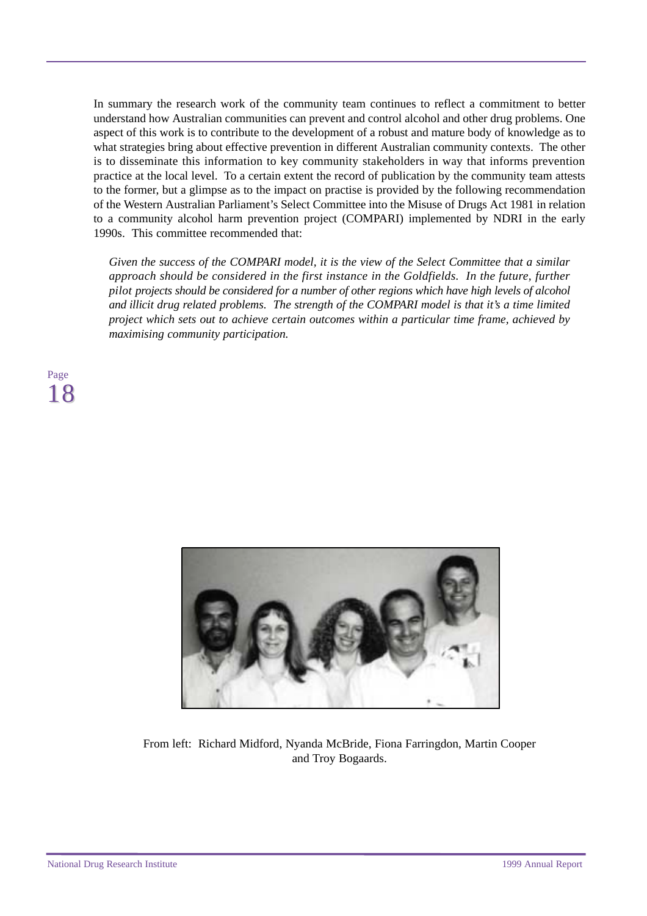In summary the research work of the community team continues to reflect a commitment to better understand how Australian communities can prevent and control alcohol and other drug problems. One aspect of this work is to contribute to the development of a robust and mature body of knowledge as to what strategies bring about effective prevention in different Australian community contexts. The other is to disseminate this information to key community stakeholders in way that informs prevention practice at the local level. To a certain extent the record of publication by the community team attests to the former, but a glimpse as to the impact on practise is provided by the following recommendation of the Western Australian Parliament's Select Committee into the Misuse of Drugs Act 1981 in relation to a community alcohol harm prevention project (COMPARI) implemented by NDRI in the early 1990s. This committee recommended that:

*Given the success of the COMPARI model, it is the view of the Select Committee that a similar approach should be considered in the first instance in the Goldfields. In the future, further pilot projects should be considered for a number of other regions which have high levels of alcohol and illicit drug related problems. The strength of the COMPARI model is that it's a time limited project which sets out to achieve certain outcomes within a particular time frame, achieved by maximising community participation.*





From left: Richard Midford, Nyanda McBride, Fiona Farringdon, Martin Cooper and Troy Bogaards.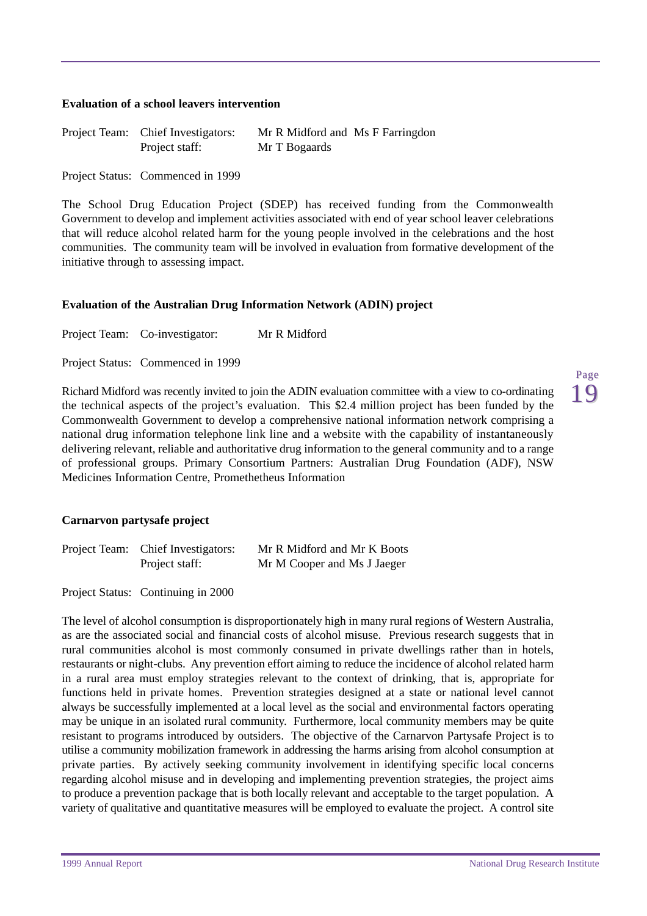#### **Evaluation of a school leavers intervention**

| Project Team: Chief Investigators: | Mr R Midford and Ms F Farringdon |  |
|------------------------------------|----------------------------------|--|
| Project staff:                     | Mr T Bogaards                    |  |

Project Status: Commenced in 1999

The School Drug Education Project (SDEP) has received funding from the Commonwealth Government to develop and implement activities associated with end of year school leaver celebrations that will reduce alcohol related harm for the young people involved in the celebrations and the host communities. The community team will be involved in evaluation from formative development of the initiative through to assessing impact.

#### **Evaluation of the Australian Drug Information Network (ADIN) project**

Project Team: Co-investigator: Mr R Midford

Project Status: Commenced in 1999

Richard Midford was recently invited to join the ADIN evaluation committee with a view to co-ordinating the technical aspects of the project's evaluation. This \$2.4 million project has been funded by the Commonwealth Government to develop a comprehensive national information network comprising a national drug information telephone link line and a website with the capability of instantaneously delivering relevant, reliable and authoritative drug information to the general community and to a range of professional groups. Primary Consortium Partners: Australian Drug Foundation (ADF), NSW Medicines Information Centre, Promethetheus Information

#### **Carnarvon partysafe project**

| Project Team: Chief Investigators: | Mr R Midford and Mr K Boots |
|------------------------------------|-----------------------------|
| Project staff:                     | Mr M Cooper and Ms J Jaeger |

Project Status: Continuing in 2000

The level of alcohol consumption is disproportionately high in many rural regions of Western Australia, as are the associated social and financial costs of alcohol misuse. Previous research suggests that in rural communities alcohol is most commonly consumed in private dwellings rather than in hotels, restaurants or night-clubs. Any prevention effort aiming to reduce the incidence of alcohol related harm in a rural area must employ strategies relevant to the context of drinking, that is, appropriate for functions held in private homes. Prevention strategies designed at a state or national level cannot always be successfully implemented at a local level as the social and environmental factors operating may be unique in an isolated rural community. Furthermore, local community members may be quite resistant to programs introduced by outsiders. The objective of the Carnarvon Partysafe Project is to utilise a community mobilization framework in addressing the harms arising from alcohol consumption at private parties. By actively seeking community involvement in identifying specific local concerns regarding alcohol misuse and in developing and implementing prevention strategies, the project aims to produce a prevention package that is both locally relevant and acceptable to the target population. A variety of qualitative and quantitative measures will be employed to evaluate the project. A control site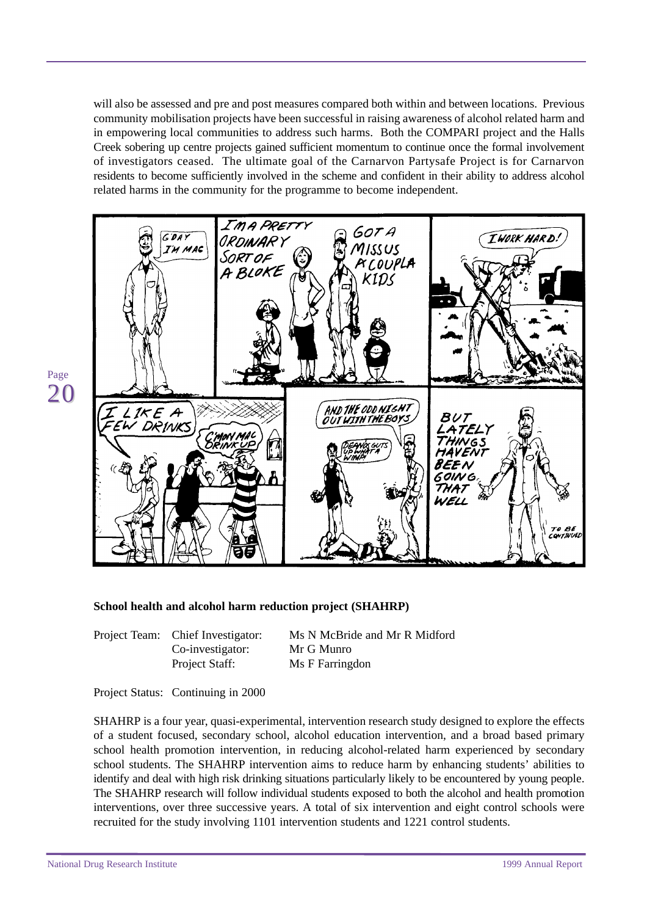will also be assessed and pre and post measures compared both within and between locations. Previous community mobilisation projects have been successful in raising awareness of alcohol related harm and in empowering local communities to address such harms. Both the COMPARI project and the Halls Creek sobering up centre projects gained sufficient momentum to continue once the formal involvement of investigators ceased. The ultimate goal of the Carnarvon Partysafe Project is for Carnarvon residents to become sufficiently involved in the scheme and confident in their ability to address alcohol related harms in the community for the programme to become independent.



#### **School health and alcohol harm reduction project (SHAHRP)**

Project Team: Chief Investigator: Ms N McBride and Mr R Midford Co-investigator: Mr G Munro Project Staff: Ms F Farringdon

#### Project Status: Continuing in 2000

SHAHRP is a four year, quasi-experimental, intervention research study designed to explore the effects of a student focused, secondary school, alcohol education intervention, and a broad based primary school health promotion intervention, in reducing alcohol-related harm experienced by secondary school students. The SHAHRP intervention aims to reduce harm by enhancing students' abilities to identify and deal with high risk drinking situations particularly likely to be encountered by young people. The SHAHRP research will follow individual students exposed to both the alcohol and health promotion interventions, over three successive years. A total of six intervention and eight control schools were recruited for the study involving 1101 intervention students and 1221 control students.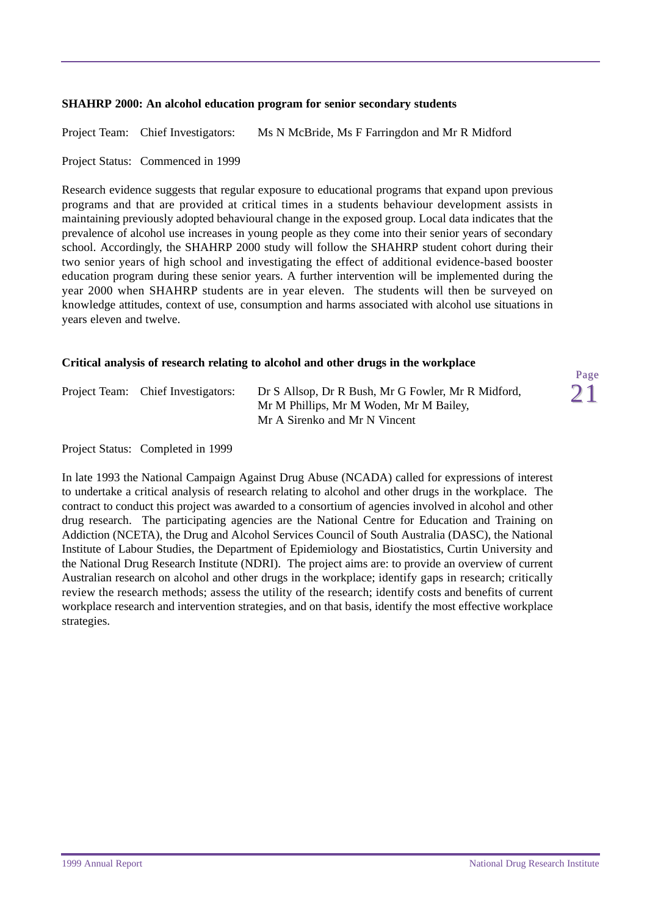#### **SHAHRP 2000: An alcohol education program for senior secondary students**

Project Team: Chief Investigators: Ms N McBride, Ms F Farringdon and Mr R Midford

Project Status: Commenced in 1999

Research evidence suggests that regular exposure to educational programs that expand upon previous programs and that are provided at critical times in a students behaviour development assists in maintaining previously adopted behavioural change in the exposed group. Local data indicates that the prevalence of alcohol use increases in young people as they come into their senior years of secondary school. Accordingly, the SHAHRP 2000 study will follow the SHAHRP student cohort during their two senior years of high school and investigating the effect of additional evidence-based booster education program during these senior years. A further intervention will be implemented during the year 2000 when SHAHRP students are in year eleven. The students will then be surveyed on knowledge attitudes, context of use, consumption and harms associated with alcohol use situations in years eleven and twelve.

#### **Critical analysis of research relating to alcohol and other drugs in the workplace**

| Project Team: Chief Investigators: | Dr S Allsop, Dr R Bush, Mr G Fowler, Mr R Midford, |
|------------------------------------|----------------------------------------------------|
|                                    | Mr M Phillips, Mr M Woden, Mr M Bailey,            |
|                                    | Mr A Sirenko and Mr N Vincent                      |

Project Status: Completed in 1999

In late 1993 the National Campaign Against Drug Abuse (NCADA) called for expressions of interest to undertake a critical analysis of research relating to alcohol and other drugs in the workplace. The contract to conduct this project was awarded to a consortium of agencies involved in alcohol and other drug research. The participating agencies are the National Centre for Education and Training on Addiction (NCETA), the Drug and Alcohol Services Council of South Australia (DASC), the National Institute of Labour Studies, the Department of Epidemiology and Biostatistics, Curtin University and the National Drug Research Institute (NDRI). The project aims are: to provide an overview of current Australian research on alcohol and other drugs in the workplace; identify gaps in research; critically review the research methods; assess the utility of the research; identify costs and benefits of current workplace research and intervention strategies, and on that basis, identify the most effective workplace strategies.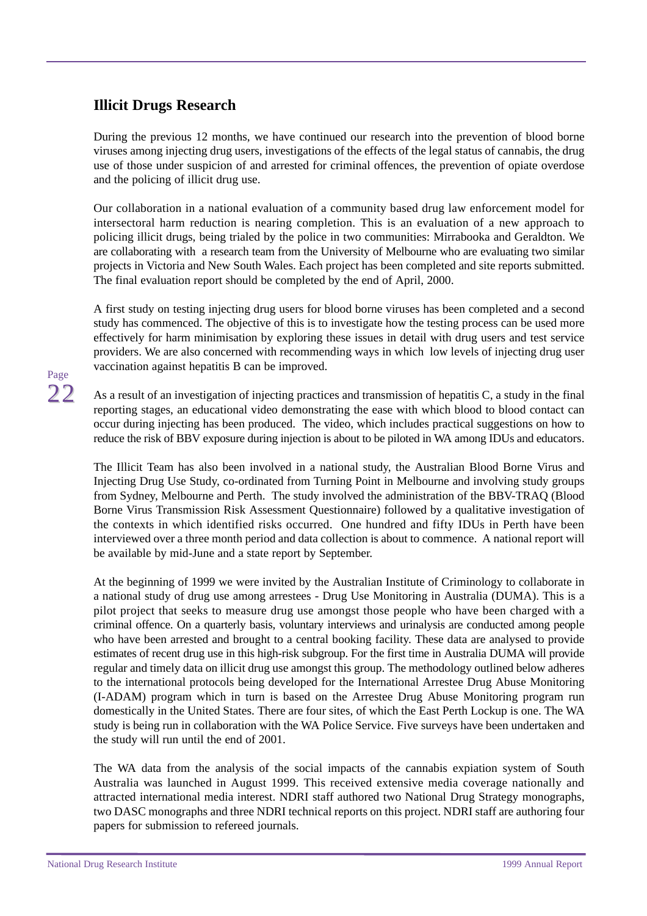### <span id="page-25-0"></span>**Illicit Drugs Research**

During the previous 12 months, we have continued our research into the prevention of blood borne viruses among injecting drug users, investigations of the effects of the legal status of cannabis, the drug use of those under suspicion of and arrested for criminal offences, the prevention of opiate overdose and the policing of illicit drug use.

Our collaboration in a national evaluation of a community based drug law enforcement model for intersectoral harm reduction is nearing completion. This is an evaluation of a new approach to policing illicit drugs, being trialed by the police in two communities: Mirrabooka and Geraldton. We are collaborating with a research team from the University of Melbourne who are evaluating two similar projects in Victoria and New South Wales. Each project has been completed and site reports submitted. The final evaluation report should be completed by the end of April, 2000.

A first study on testing injecting drug users for blood borne viruses has been completed and a second study has commenced. The objective of this is to investigate how the testing process can be used more effectively for harm minimisation by exploring these issues in detail with drug users and test service providers. We are also concerned with recommending ways in which low levels of injecting drug user vaccination against hepatitis B can be improved.

## Page 22

As a result of an investigation of injecting practices and transmission of hepatitis C, a study in the final reporting stages, an educational video demonstrating the ease with which blood to blood contact can occur during injecting has been produced. The video, which includes practical suggestions on how to reduce the risk of BBV exposure during injection is about to be piloted in WA among IDUs and educators.

The Illicit Team has also been involved in a national study, the Australian Blood Borne Virus and Injecting Drug Use Study, co-ordinated from Turning Point in Melbourne and involving study groups from Sydney, Melbourne and Perth. The study involved the administration of the BBV-TRAQ (Blood Borne Virus Transmission Risk Assessment Questionnaire) followed by a qualitative investigation of the contexts in which identified risks occurred. One hundred and fifty IDUs in Perth have been interviewed over a three month period and data collection is about to commence. A national report will be available by mid-June and a state report by September.

At the beginning of 1999 we were invited by the Australian Institute of Criminology to collaborate in a national study of drug use among arrestees - Drug Use Monitoring in Australia (DUMA). This is a pilot project that seeks to measure drug use amongst those people who have been charged with a criminal offence. On a quarterly basis, voluntary interviews and urinalysis are conducted among people who have been arrested and brought to a central booking facility. These data are analysed to provide estimates of recent drug use in this high-risk subgroup. For the first time in Australia DUMA will provide regular and timely data on illicit drug use amongst this group. The methodology outlined below adheres to the international protocols being developed for the International Arrestee Drug Abuse Monitoring (I-ADAM) program which in turn is based on the Arrestee Drug Abuse Monitoring program run domestically in the United States. There are four sites, of which the East Perth Lockup is one. The WA study is being run in collaboration with the WA Police Service. Five surveys have been undertaken and the study will run until the end of 2001.

The WA data from the analysis of the social impacts of the cannabis expiation system of South Australia was launched in August 1999. This received extensive media coverage nationally and attracted international media interest. NDRI staff authored two National Drug Strategy monographs, two DASC monographs and three NDRI technical reports on this project. NDRI staff are authoring four papers for submission to refereed journals.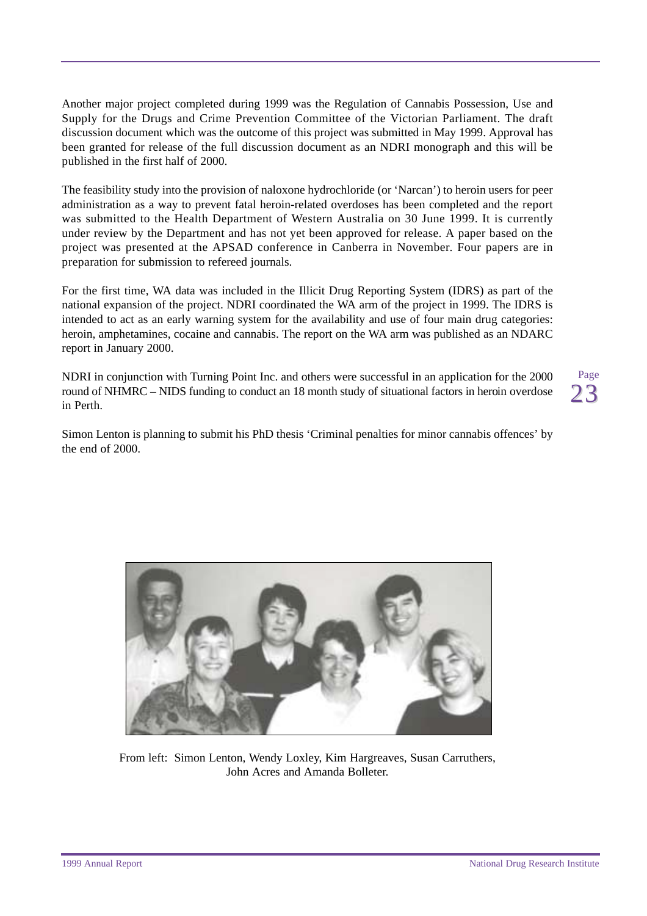Another major project completed during 1999 was the Regulation of Cannabis Possession, Use and Supply for the Drugs and Crime Prevention Committee of the Victorian Parliament. The draft discussion document which was the outcome of this project was submitted in May 1999. Approval has been granted for release of the full discussion document as an NDRI monograph and this will be published in the first half of 2000.

The feasibility study into the provision of naloxone hydrochloride (or 'Narcan') to heroin users for peer administration as a way to prevent fatal heroin-related overdoses has been completed and the report was submitted to the Health Department of Western Australia on 30 June 1999. It is currently under review by the Department and has not yet been approved for release. A paper based on the project was presented at the APSAD conference in Canberra in November. Four papers are in preparation for submission to refereed journals.

For the first time, WA data was included in the Illicit Drug Reporting System (IDRS) as part of the national expansion of the project. NDRI coordinated the WA arm of the project in 1999. The IDRS is intended to act as an early warning system for the availability and use of four main drug categories: heroin, amphetamines, cocaine and cannabis. The report on the WA arm was published as an NDARC report in January 2000.

NDRI in conjunction with Turning Point Inc. and others were successful in an application for the 2000 round of NHMRC – NIDS funding to conduct an 18 month study of situational factors in heroin overdose in Perth.

Page 23

Simon Lenton is planning to submit his PhD thesis 'Criminal penalties for minor cannabis offences' by the end of 2000.



From left: Simon Lenton, Wendy Loxley, Kim Hargreaves, Susan Carruthers, John Acres and Amanda Bolleter.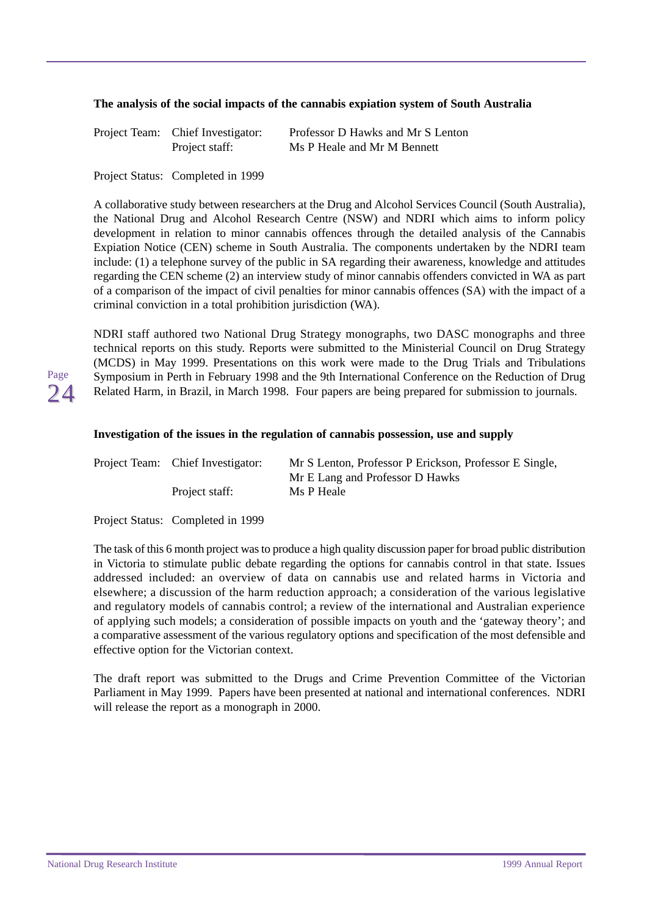#### **The analysis of the social impacts of the cannabis expiation system of South Australia**

| Project Team: Chief Investigator: | Professor D Hawks and Mr S Lenton |
|-----------------------------------|-----------------------------------|
| Project staff:                    | Ms P Heale and Mr M Bennett       |

Project Status: Completed in 1999

A collaborative study between researchers at the Drug and Alcohol Services Council (South Australia), the National Drug and Alcohol Research Centre (NSW) and NDRI which aims to inform policy development in relation to minor cannabis offences through the detailed analysis of the Cannabis Expiation Notice (CEN) scheme in South Australia. The components undertaken by the NDRI team include: (1) a telephone survey of the public in SA regarding their awareness, knowledge and attitudes regarding the CEN scheme (2) an interview study of minor cannabis offenders convicted in WA as part of a comparison of the impact of civil penalties for minor cannabis offences (SA) with the impact of a criminal conviction in a total prohibition jurisdiction (WA).

NDRI staff authored two National Drug Strategy monographs, two DASC monographs and three technical reports on this study. Reports were submitted to the Ministerial Council on Drug Strategy (MCDS) in May 1999. Presentations on this work were made to the Drug Trials and Tribulations Symposium in Perth in February 1998 and the 9th International Conference on the Reduction of Drug Related Harm, in Brazil, in March 1998. Four papers are being prepared for submission to journals.

#### **Investigation of the issues in the regulation of cannabis possession, use and supply**

| Project Team: Chief Investigator: | Mr S Lenton, Professor P Erickson, Professor E Single, |
|-----------------------------------|--------------------------------------------------------|
|                                   | Mr E Lang and Professor D Hawks                        |
| Project staff:                    | Ms P Heale                                             |

Project Status: Completed in 1999

The task of this 6 month project was to produce a high quality discussion paper for broad public distribution in Victoria to stimulate public debate regarding the options for cannabis control in that state. Issues addressed included: an overview of data on cannabis use and related harms in Victoria and elsewhere; a discussion of the harm reduction approach; a consideration of the various legislative and regulatory models of cannabis control; a review of the international and Australian experience of applying such models; a consideration of possible impacts on youth and the 'gateway theory'; and a comparative assessment of the various regulatory options and specification of the most defensible and effective option for the Victorian context.

The draft report was submitted to the Drugs and Crime Prevention Committee of the Victorian Parliament in May 1999. Papers have been presented at national and international conferences. NDRI will release the report as a monograph in 2000.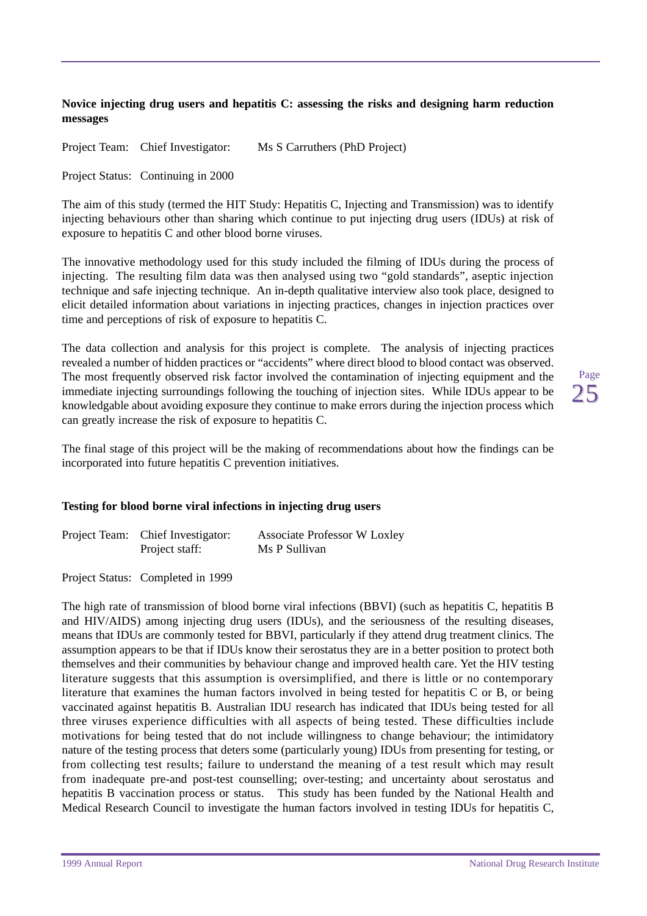#### **Novice injecting drug users and hepatitis C: assessing the risks and designing harm reduction messages**

Project Team: Chief Investigator: Ms S Carruthers (PhD Project)

Project Status: Continuing in 2000

The aim of this study (termed the HIT Study: Hepatitis C, Injecting and Transmission) was to identify injecting behaviours other than sharing which continue to put injecting drug users (IDUs) at risk of exposure to hepatitis C and other blood borne viruses.

The innovative methodology used for this study included the filming of IDUs during the process of injecting. The resulting film data was then analysed using two "gold standards", aseptic injection technique and safe injecting technique. An in-depth qualitative interview also took place, designed to elicit detailed information about variations in injecting practices, changes in injection practices over time and perceptions of risk of exposure to hepatitis C.

The data collection and analysis for this project is complete. The analysis of injecting practices revealed a number of hidden practices or "accidents" where direct blood to blood contact was observed. The most frequently observed risk factor involved the contamination of injecting equipment and the immediate injecting surroundings following the touching of injection sites. While IDUs appear to be knowledgable about avoiding exposure they continue to make errors during the injection process which can greatly increase the risk of exposure to hepatitis C.

Page 25

The final stage of this project will be the making of recommendations about how the findings can be incorporated into future hepatitis C prevention initiatives.

#### **Testing for blood borne viral infections in injecting drug users**

| Project Team: Chief Investigator: | <b>Associate Professor W Loxley</b> |  |
|-----------------------------------|-------------------------------------|--|
| Project staff:                    | Ms P Sullivan                       |  |

Project Status: Completed in 1999

The high rate of transmission of blood borne viral infections (BBVI) (such as hepatitis C, hepatitis B and HIV/AIDS) among injecting drug users (IDUs), and the seriousness of the resulting diseases, means that IDUs are commonly tested for BBVI, particularly if they attend drug treatment clinics. The assumption appears to be that if IDUs know their serostatus they are in a better position to protect both themselves and their communities by behaviour change and improved health care. Yet the HIV testing literature suggests that this assumption is oversimplified, and there is little or no contemporary literature that examines the human factors involved in being tested for hepatitis C or B, or being vaccinated against hepatitis B. Australian IDU research has indicated that IDUs being tested for all three viruses experience difficulties with all aspects of being tested. These difficulties include motivations for being tested that do not include willingness to change behaviour; the intimidatory nature of the testing process that deters some (particularly young) IDUs from presenting for testing, or from collecting test results; failure to understand the meaning of a test result which may result from inadequate pre-and post-test counselling; over-testing; and uncertainty about serostatus and hepatitis B vaccination process or status. This study has been funded by the National Health and Medical Research Council to investigate the human factors involved in testing IDUs for hepatitis C,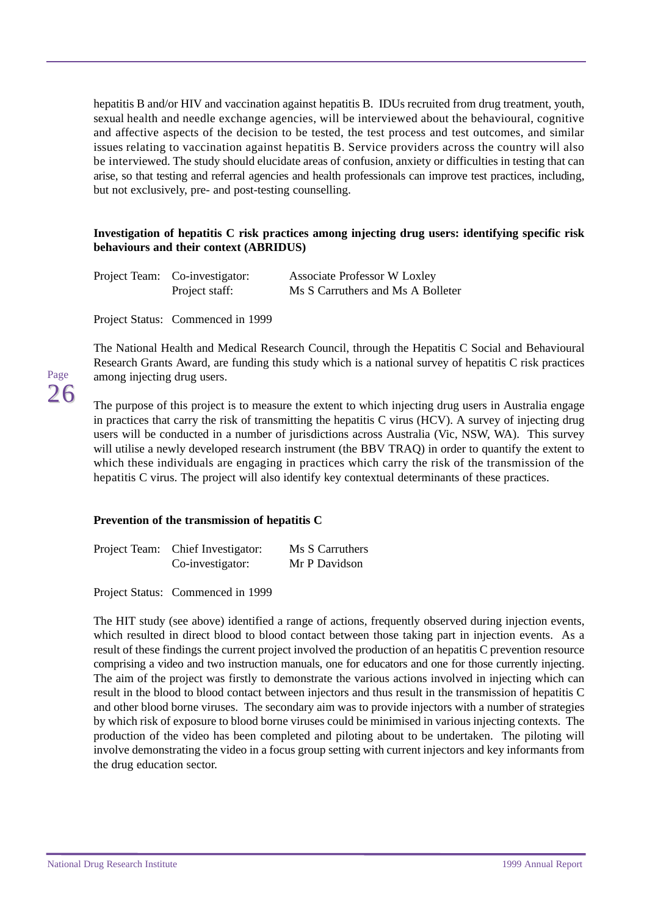hepatitis B and/or HIV and vaccination against hepatitis B. IDUs recruited from drug treatment, youth, sexual health and needle exchange agencies, will be interviewed about the behavioural, cognitive and affective aspects of the decision to be tested, the test process and test outcomes, and similar issues relating to vaccination against hepatitis B. Service providers across the country will also be interviewed. The study should elucidate areas of confusion, anxiety or difficulties in testing that can arise, so that testing and referral agencies and health professionals can improve test practices, including, but not exclusively, pre- and post-testing counselling.

#### **Investigation of hepatitis C risk practices among injecting drug users: identifying specific risk behaviours and their context (ABRIDUS)**

| Project Team: Co-investigator: |                | <b>Associate Professor W Loxley</b> |  |
|--------------------------------|----------------|-------------------------------------|--|
|                                | Project staff: | Ms S Carruthers and Ms A Bolleter   |  |

Project Status: Commenced in 1999

The National Health and Medical Research Council, through the Hepatitis C Social and Behavioural Research Grants Award, are funding this study which is a national survey of hepatitis C risk practices among injecting drug users.

The purpose of this project is to measure the extent to which injecting drug users in Australia engage in practices that carry the risk of transmitting the hepatitis C virus (HCV). A survey of injecting drug users will be conducted in a number of jurisdictions across Australia (Vic, NSW, WA). This survey will utilise a newly developed research instrument (the BBV TRAO) in order to quantify the extent to which these individuals are engaging in practices which carry the risk of the transmission of the hepatitis C virus. The project will also identify key contextual determinants of these practices.

#### **Prevention of the transmission of hepatitis C**

| Project Team: Chief Investigator: |                  | Ms S Carruthers |
|-----------------------------------|------------------|-----------------|
|                                   | Co-investigator: | Mr P Davidson   |

Project Status: Commenced in 1999

The HIT study (see above) identified a range of actions, frequently observed during injection events, which resulted in direct blood to blood contact between those taking part in injection events. As a result of these findings the current project involved the production of an hepatitis C prevention resource comprising a video and two instruction manuals, one for educators and one for those currently injecting. The aim of the project was firstly to demonstrate the various actions involved in injecting which can result in the blood to blood contact between injectors and thus result in the transmission of hepatitis C and other blood borne viruses. The secondary aim was to provide injectors with a number of strategies by which risk of exposure to blood borne viruses could be minimised in various injecting contexts. The production of the video has been completed and piloting about to be undertaken. The piloting will involve demonstrating the video in a focus group setting with current injectors and key informants from the drug education sector.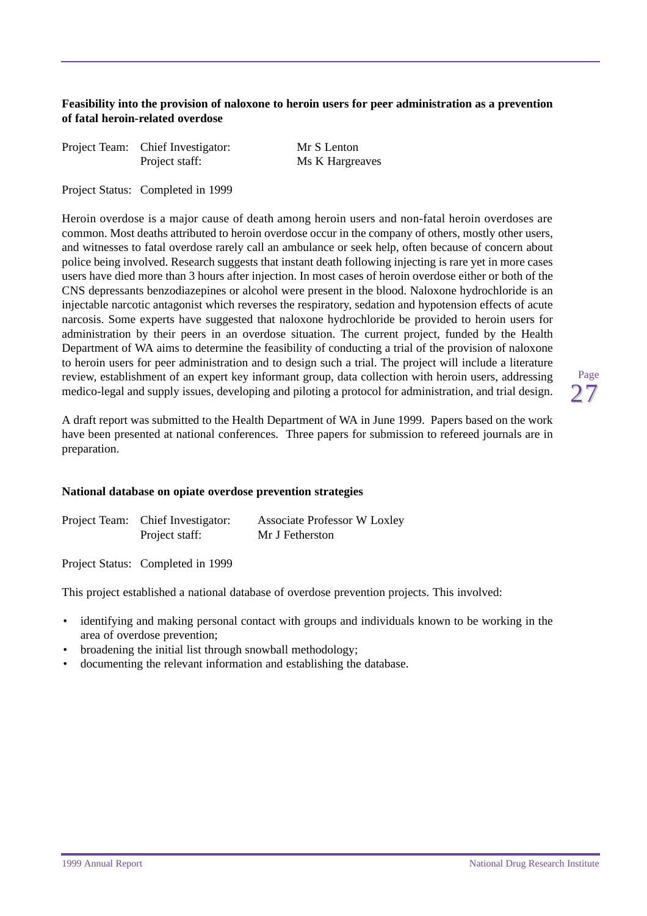#### **Feasibility into the provision of naloxone to heroin users for peer administration as a prevention of fatal heroin-related overdose**

| Project Team: Chief Investigator: | Mr S Lenton     |
|-----------------------------------|-----------------|
| Project staff:                    | Ms K Hargreaves |

Project Status: Completed in 1999

Heroin overdose is a major cause of death among heroin users and non-fatal heroin overdoses are common. Most deaths attributed to heroin overdose occur in the company of others, mostly other users, and witnesses to fatal overdose rarely call an ambulance or seek help, often because of concern about police being involved. Research suggests that instant death following injecting is rare yet in more cases users have died more than 3 hours after injection. In most cases of heroin overdose either or both of the CNS depressants benzodiazepines or alcohol were present in the blood. Naloxone hydrochloride is an injectable narcotic antagonist which reverses the respiratory, sedation and hypotension effects of acute narcosis. Some experts have suggested that naloxone hydrochloride be provided to heroin users for administration by their peers in an overdose situation. The current project, funded by the Health Department of WA aims to determine the feasibility of conducting a trial of the provision of naloxone to heroin users for peer administration and to design such a trial. The project will include a literature review, establishment of an expert key informant group, data collection with heroin users, addressing medico-legal and supply issues, developing and piloting a protocol for administration, and trial design.

Page 27

A draft report was submitted to the Health Department of WA in June 1999. Papers based on the work have been presented at national conferences. Three papers for submission to refereed journals are in preparation.

#### **National database on opiate overdose prevention strategies**

| Project Team: Chief Investigator: | <b>Associate Professor W Loxley</b> |
|-----------------------------------|-------------------------------------|
| Project staff:                    | Mr J Fetherston                     |

Project Status: Completed in 1999

This project established a national database of overdose prevention projects. This involved:

- identifying and making personal contact with groups and individuals known to be working in the area of overdose prevention;
- broadening the initial list through snowball methodology;
- documenting the relevant information and establishing the database.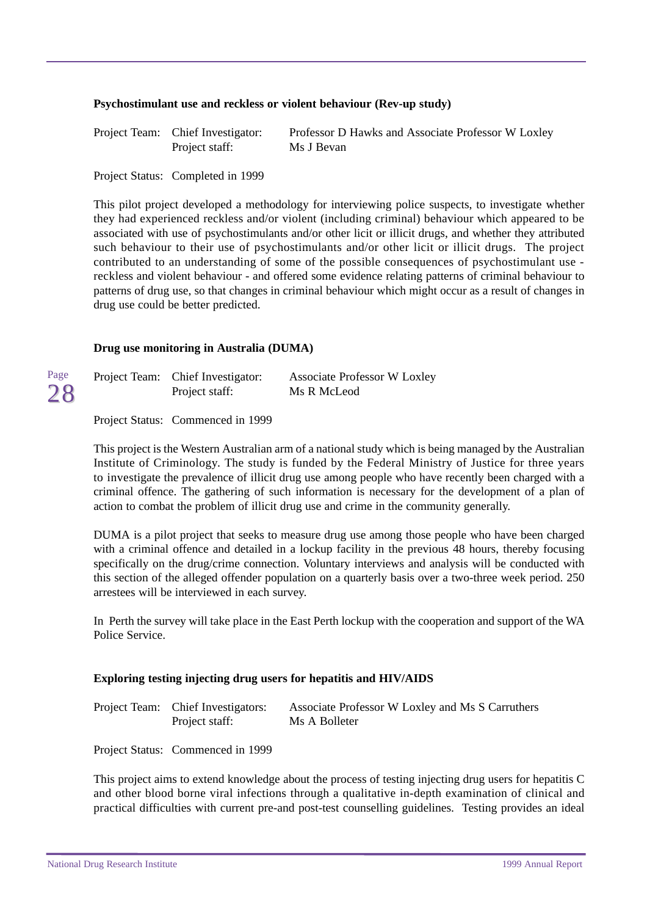#### **Psychostimulant use and reckless or violent behaviour (Rev-up study)**

| Project Team: Chief Investigator: | Professor D Hawks and Associate Professor W Loxley |
|-----------------------------------|----------------------------------------------------|
| Project staff:                    | Ms J Bevan                                         |

Project Status: Completed in 1999

This pilot project developed a methodology for interviewing police suspects, to investigate whether they had experienced reckless and/or violent (including criminal) behaviour which appeared to be associated with use of psychostimulants and/or other licit or illicit drugs, and whether they attributed such behaviour to their use of psychostimulants and/or other licit or illicit drugs. The project contributed to an understanding of some of the possible consequences of psychostimulant use reckless and violent behaviour - and offered some evidence relating patterns of criminal behaviour to patterns of drug use, so that changes in criminal behaviour which might occur as a result of changes in drug use could be better predicted.

#### **Drug use monitoring in Australia (DUMA)**

| Page | Project Team: Chief Investigator: | <b>Associate Professor W Loxley</b> |
|------|-----------------------------------|-------------------------------------|
| 28   | Project staff:                    | Ms R McLeod                         |

Project Status: Commenced in 1999

This project is the Western Australian arm of a national study which is being managed by the Australian Institute of Criminology. The study is funded by the Federal Ministry of Justice for three years to investigate the prevalence of illicit drug use among people who have recently been charged with a criminal offence. The gathering of such information is necessary for the development of a plan of action to combat the problem of illicit drug use and crime in the community generally.

DUMA is a pilot project that seeks to measure drug use among those people who have been charged with a criminal offence and detailed in a lockup facility in the previous 48 hours, thereby focusing specifically on the drug/crime connection. Voluntary interviews and analysis will be conducted with this section of the alleged offender population on a quarterly basis over a two-three week period. 250 arrestees will be interviewed in each survey.

In Perth the survey will take place in the East Perth lockup with the cooperation and support of the WA Police Service.

#### **Exploring testing injecting drug users for hepatitis and HIV/AIDS**

| Project Team: Chief Investigators: | Associate Professor W Loxley and Ms S Carruthers |
|------------------------------------|--------------------------------------------------|
| Project staff:                     | Ms A Bolleter                                    |

Project Status: Commenced in 1999

This project aims to extend knowledge about the process of testing injecting drug users for hepatitis C and other blood borne viral infections through a qualitative in-depth examination of clinical and practical difficulties with current pre-and post-test counselling guidelines. Testing provides an ideal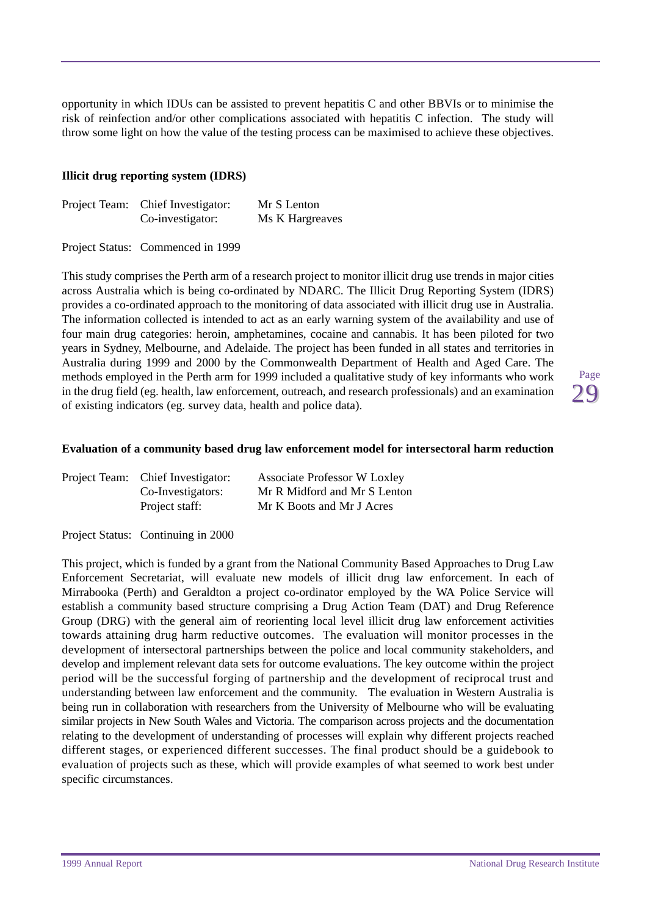opportunity in which IDUs can be assisted to prevent hepatitis C and other BBVIs or to minimise the risk of reinfection and/or other complications associated with hepatitis C infection. The study will throw some light on how the value of the testing process can be maximised to achieve these objectives.

#### **Illicit drug reporting system (IDRS)**

| Project Team: Chief Investigator: | Mr S Lenton     |
|-----------------------------------|-----------------|
| Co-investigator:                  | Ms K Hargreaves |

Project Status: Commenced in 1999

This study comprises the Perth arm of a research project to monitor illicit drug use trends in major cities across Australia which is being co-ordinated by NDARC. The Illicit Drug Reporting System (IDRS) provides a co-ordinated approach to the monitoring of data associated with illicit drug use in Australia. The information collected is intended to act as an early warning system of the availability and use of four main drug categories: heroin, amphetamines, cocaine and cannabis. It has been piloted for two years in Sydney, Melbourne, and Adelaide. The project has been funded in all states and territories in Australia during 1999 and 2000 by the Commonwealth Department of Health and Aged Care. The methods employed in the Perth arm for 1999 included a qualitative study of key informants who work in the drug field (eg. health, law enforcement, outreach, and research professionals) and an examination of existing indicators (eg. survey data, health and police data).

#### **Evaluation of a community based drug law enforcement model for intersectoral harm reduction**

| Project Team: Chief Investigator: | <b>Associate Professor W Loxley</b> |
|-----------------------------------|-------------------------------------|
| Co-Investigators:                 | Mr R Midford and Mr S Lenton        |
| Project staff:                    | Mr K Boots and Mr J Acres           |

Project Status: Continuing in 2000

This project, which is funded by a grant from the National Community Based Approaches to Drug Law Enforcement Secretariat, will evaluate new models of illicit drug law enforcement. In each of Mirrabooka (Perth) and Geraldton a project co-ordinator employed by the WA Police Service will establish a community based structure comprising a Drug Action Team (DAT) and Drug Reference Group (DRG) with the general aim of reorienting local level illicit drug law enforcement activities towards attaining drug harm reductive outcomes. The evaluation will monitor processes in the development of intersectoral partnerships between the police and local community stakeholders, and develop and implement relevant data sets for outcome evaluations. The key outcome within the project period will be the successful forging of partnership and the development of reciprocal trust and understanding between law enforcement and the community. The evaluation in Western Australia is being run in collaboration with researchers from the University of Melbourne who will be evaluating similar projects in New South Wales and Victoria. The comparison across projects and the documentation relating to the development of understanding of processes will explain why different projects reached different stages, or experienced different successes. The final product should be a guidebook to evaluation of projects such as these, which will provide examples of what seemed to work best under specific circumstances.

Page 7 Q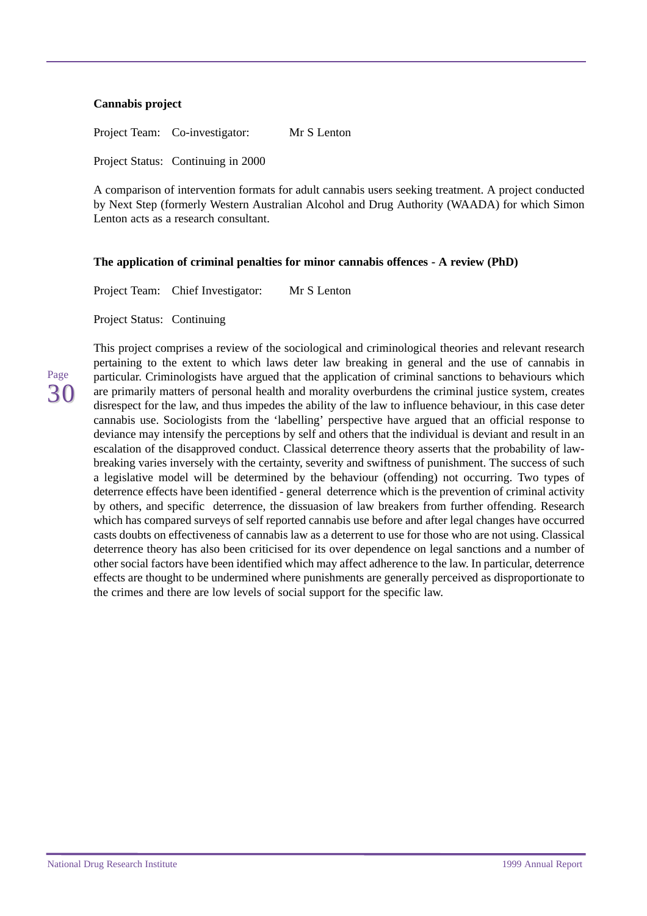#### **Cannabis project**

Project Team: Co-investigator: Mr S Lenton

Project Status: Continuing in 2000

A comparison of intervention formats for adult cannabis users seeking treatment. A project conducted by Next Step (formerly Western Australian Alcohol and Drug Authority (WAADA) for which Simon Lenton acts as a research consultant.

#### **The application of criminal penalties for minor cannabis offences - A review (PhD)**

Project Team: Chief Investigator: Mr S Lenton

Project Status: Continuing

Page 30 This project comprises a review of the sociological and criminological theories and relevant research pertaining to the extent to which laws deter law breaking in general and the use of cannabis in particular. Criminologists have argued that the application of criminal sanctions to behaviours which are primarily matters of personal health and morality overburdens the criminal justice system, creates disrespect for the law, and thus impedes the ability of the law to influence behaviour, in this case deter cannabis use. Sociologists from the 'labelling' perspective have argued that an official response to deviance may intensify the perceptions by self and others that the individual is deviant and result in an escalation of the disapproved conduct. Classical deterrence theory asserts that the probability of lawbreaking varies inversely with the certainty, severity and swiftness of punishment. The success of such a legislative model will be determined by the behaviour (offending) not occurring. Two types of deterrence effects have been identified - general deterrence which is the prevention of criminal activity by others, and specific deterrence, the dissuasion of law breakers from further offending. Research which has compared surveys of self reported cannabis use before and after legal changes have occurred casts doubts on effectiveness of cannabis law as a deterrent to use for those who are not using. Classical deterrence theory has also been criticised for its over dependence on legal sanctions and a number of other social factors have been identified which may affect adherence to the law. In particular, deterrence effects are thought to be undermined where punishments are generally perceived as disproportionate to the crimes and there are low levels of social support for the specific law.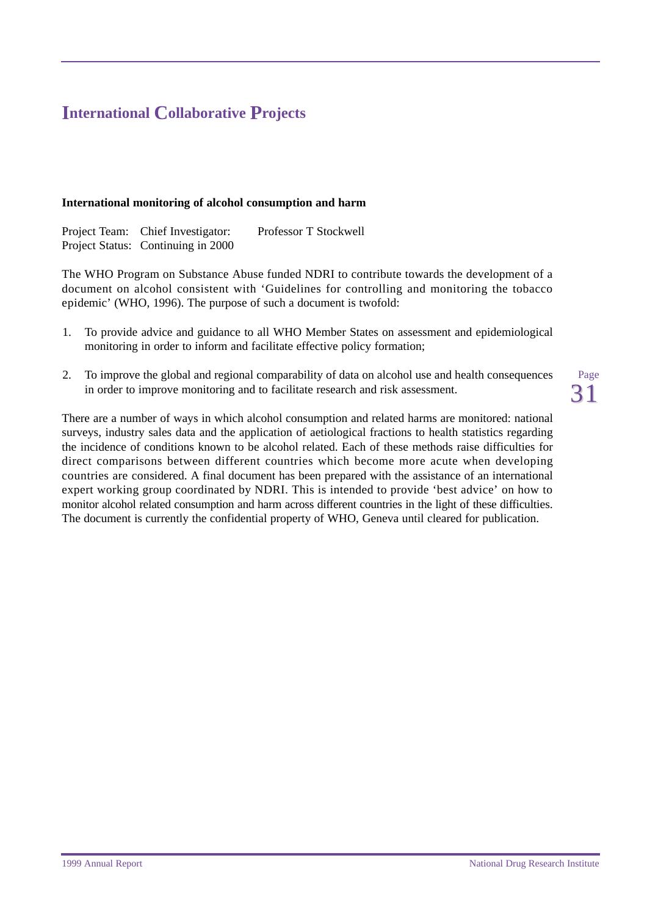# <span id="page-34-0"></span>**International Collaborative Projects**

#### **International monitoring of alcohol consumption and harm**

Project Team: Chief Investigator: Professor T Stockwell Project Status: Continuing in 2000

The WHO Program on Substance Abuse funded NDRI to contribute towards the development of a document on alcohol consistent with 'Guidelines for controlling and monitoring the tobacco epidemic' (WHO, 1996). The purpose of such a document is twofold:

- 1. To provide advice and guidance to all WHO Member States on assessment and epidemiological monitoring in order to inform and facilitate effective policy formation;
- 2. To improve the global and regional comparability of data on alcohol use and health consequences in order to improve monitoring and to facilitate research and risk assessment.

There are a number of ways in which alcohol consumption and related harms are monitored: national surveys, industry sales data and the application of aetiological fractions to health statistics regarding the incidence of conditions known to be alcohol related. Each of these methods raise difficulties for direct comparisons between different countries which become more acute when developing countries are considered. A final document has been prepared with the assistance of an international expert working group coordinated by NDRI. This is intended to provide 'best advice' on how to monitor alcohol related consumption and harm across different countries in the light of these difficulties. The document is currently the confidential property of WHO, Geneva until cleared for publication.

Page 31

1999 Annual Report National Drug Research Institute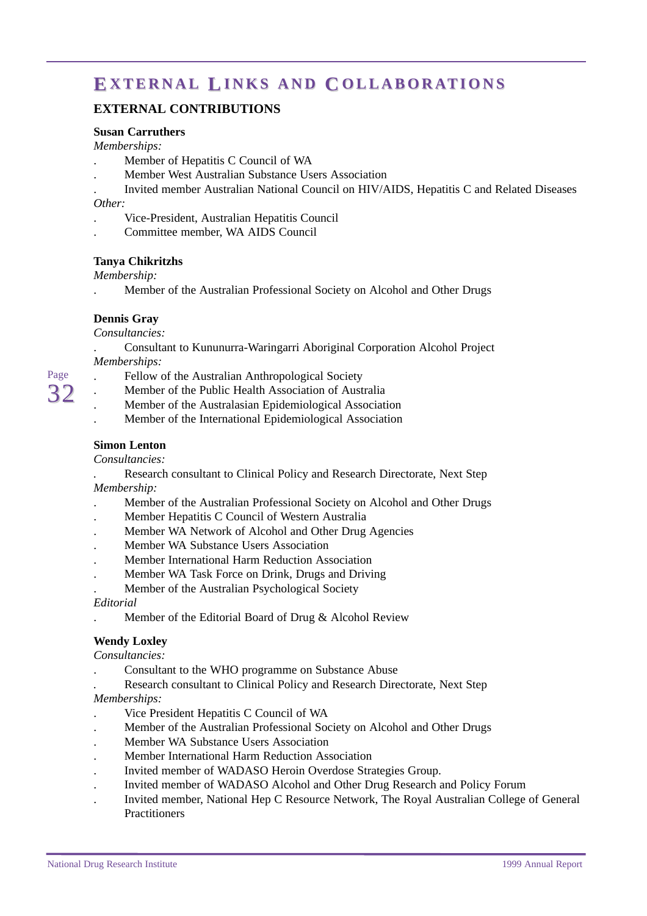# <span id="page-35-0"></span>**EXTERNAL LINKS AND COLLABORATIONS**

#### **EXTERNAL CONTRIBUTIONS**

#### **Susan Carruthers**

*Memberships:*

- . Member of Hepatitis C Council of WA
- . Member West Australian Substance Users Association
- . Invited member Australian National Council on HIV/AIDS, Hepatitis C and Related Diseases

#### *Other:*

- . Vice-President, Australian Hepatitis Council
- . Committee member, WA AIDS Council

#### **Tanya Chikritzhs**

*Membership:*

. Member of the Australian Professional Society on Alcohol and Other Drugs

#### **Dennis Gray**

*Consultancies:*

. Consultant to Kununurra-Waringarri Aboriginal Corporation Alcohol Project *Memberships:*

- . Fellow of the Australian Anthropological Society
- . Member of the Public Health Association of Australia
- . Member of the Australasian Epidemiological Association
- . Member of the International Epidemiological Association

#### **Simon Lenton**

#### *Consultancies:*

*.* Research consultant to Clinical Policy and Research Directorate, Next Step *Membership:*

- . Member of the Australian Professional Society on Alcohol and Other Drugs
- . Member Hepatitis C Council of Western Australia
- . Member WA Network of Alcohol and Other Drug Agencies
- . Member WA Substance Users Association
- . Member International Harm Reduction Association
- . Member WA Task Force on Drink, Drugs and Driving
- . Member of the Australian Psychological Society

#### *Editorial*

. Member of the Editorial Board of Drug & Alcohol Review

#### **Wendy Loxley**

*Consultancies:*

. Consultant to the WHO programme on Substance Abuse

*.* Research consultant to Clinical Policy and Research Directorate, Next Step *Memberships:*

- . Vice President Hepatitis C Council of WA
- . Member of the Australian Professional Society on Alcohol and Other Drugs
- . Member WA Substance Users Association
- . Member International Harm Reduction Association
- . Invited member of WADASO Heroin Overdose Strategies Group.
- . Invited member of WADASO Alcohol and Other Drug Research and Policy Forum
- . Invited member, National Hep C Resource Network, The Royal Australian College of General **Practitioners**

Page  $3'$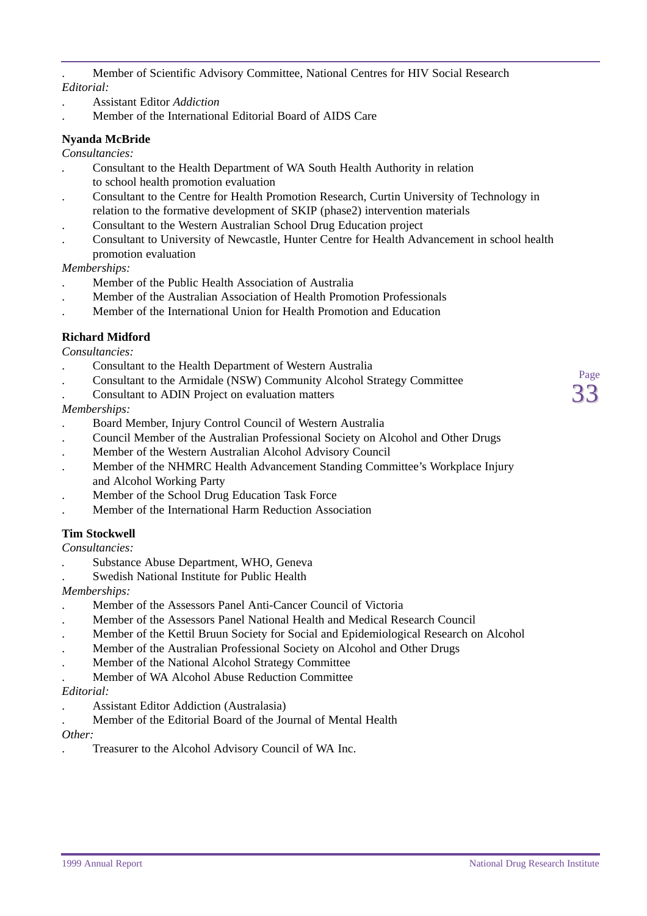. Member of Scientific Advisory Committee, National Centres for HIV Social Research *Editorial:*

- . Assistant Editor *Addiction*
- . Member of the International Editorial Board of AIDS Care

#### **Nyanda McBride**

*Consultancies:*

- *.* Consultant to the Health Department of WA South Health Authority in relation to school health promotion evaluation
- . Consultant to the Centre for Health Promotion Research, Curtin University of Technology in relation to the formative development of SKIP (phase2) intervention materials
- . Consultant to the Western Australian School Drug Education project
- . Consultant to University of Newcastle, Hunter Centre for Health Advancement in school health promotion evaluation

*Memberships:*

- . Member of the Public Health Association of Australia
- . Member of the Australian Association of Health Promotion Professionals
- . Member of the International Union for Health Promotion and Education

#### **Richard Midford**

*Consultancies:*

- . Consultant to the Health Department of Western Australia
- . Consultant to the Armidale (NSW) Community Alcohol Strategy Committee
- . Consultant to ADIN Project on evaluation matters

#### *Memberships:*

- . Board Member, Injury Control Council of Western Australia
- . Council Member of the Australian Professional Society on Alcohol and Other Drugs
- . Member of the Western Australian Alcohol Advisory Council
- . Member of the NHMRC Health Advancement Standing Committee's Workplace Injury and Alcohol Working Party
- . Member of the School Drug Education Task Force
- . Member of the International Harm Reduction Association

#### **Tim Stockwell**

*Consultancies:*

- *.* Substance Abuse Department, WHO, Geneva
- . Swedish National Institute for Public Health

#### *Memberships:*

- . Member of the Assessors Panel Anti-Cancer Council of Victoria
- . Member of the Assessors Panel National Health and Medical Research Council
- . Member of the Kettil Bruun Society for Social and Epidemiological Research on Alcohol
- . Member of the Australian Professional Society on Alcohol and Other Drugs
- . Member of the National Alcohol Strategy Committee
- . Member of WA Alcohol Abuse Reduction Committee

#### *Editorial:*

- . Assistant Editor Addiction (Australasia)
- . Member of the Editorial Board of the Journal of Mental Health

#### *Other:*

. Treasurer to the Alcohol Advisory Council of WA Inc.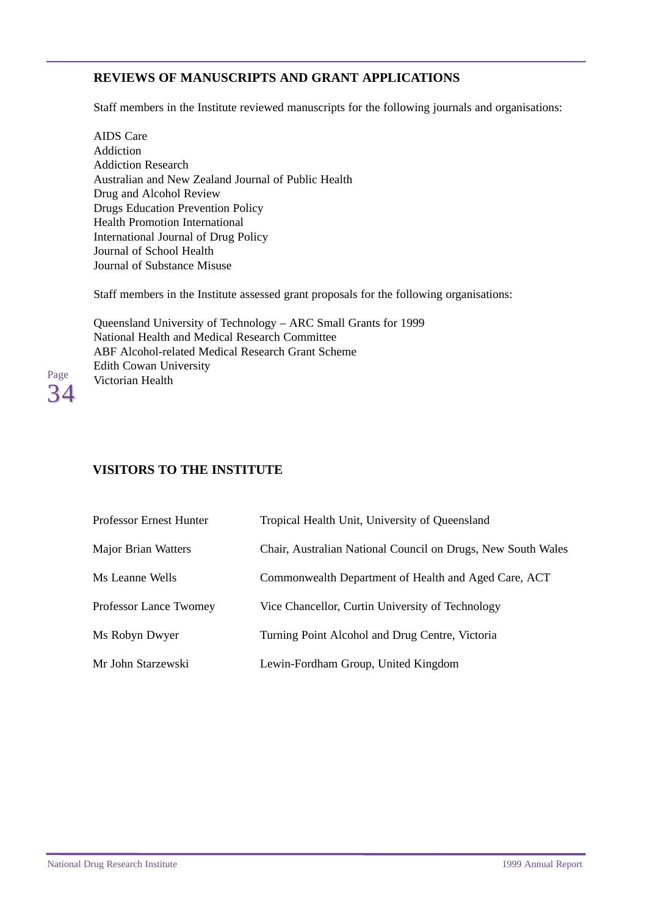### <span id="page-37-0"></span>**REVIEWS OF MANUSCRIPTS AND GRANT APPLICATIONS**

Staff members in the Institute reviewed manuscripts for the following journals and organisations:

AIDS Care Addiction Addiction Research Australian and New Zealand Journal of Public Health Drug and Alcohol Review Drugs Education Prevention Policy Health Promotion International International Journal of Drug Policy Journal of School Health Journal of Substance Misuse

Staff members in the Institute assessed grant proposals for the following organisations:

Queensland University of Technology – ARC Small Grants for 1999 National Health and Medical Research Committee ABF Alcohol-related Medical Research Grant Scheme Edith Cowan University Victorian Health



### **VISITORS TO THE INSTITUTE**

| Professor Ernest Hunter | Tropical Health Unit, University of Queensland               |
|-------------------------|--------------------------------------------------------------|
| Major Brian Watters     | Chair, Australian National Council on Drugs, New South Wales |
| Ms Leanne Wells         | Commonwealth Department of Health and Aged Care, ACT         |
| Professor Lance Twomey  | Vice Chancellor, Curtin University of Technology             |
| Ms Robyn Dwyer          | Turning Point Alcohol and Drug Centre, Victoria              |
| Mr John Starzewski      | Lewin-Fordham Group, United Kingdom                          |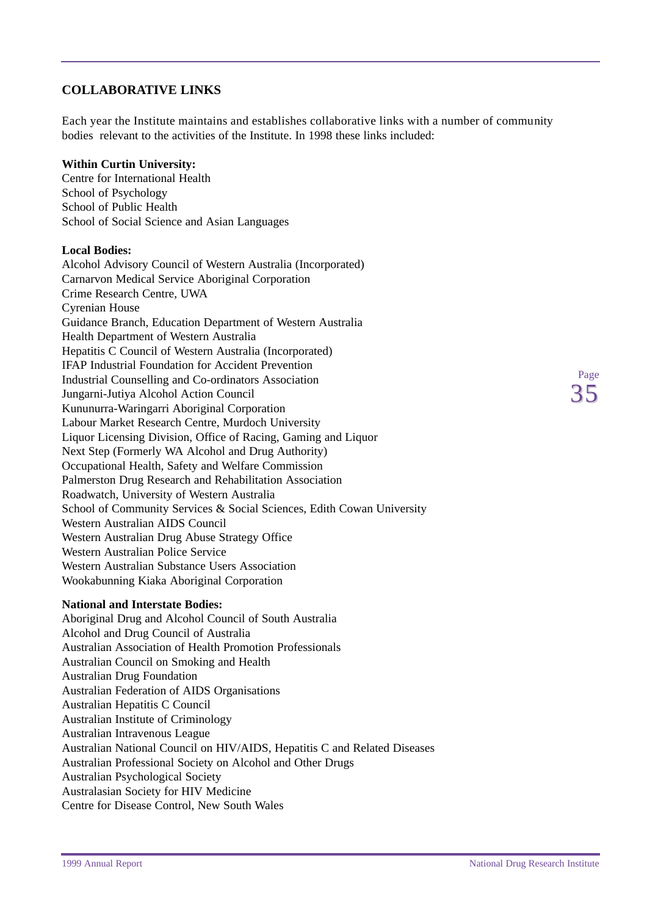#### <span id="page-38-0"></span>**COLLABORATIVE LINKS**

Each year the Institute maintains and establishes collaborative links with a number of community bodies relevant to the activities of the Institute. In 1998 these links included:

#### **Within Curtin University:**

Centre for International Health School of Psychology School of Public Health School of Social Science and Asian Languages

#### **Local Bodies:**

Alcohol Advisory Council of Western Australia (Incorporated) Carnarvon Medical Service Aboriginal Corporation Crime Research Centre, UWA Cyrenian House Guidance Branch, Education Department of Western Australia Health Department of Western Australia Hepatitis C Council of Western Australia (Incorporated) IFAP Industrial Foundation for Accident Prevention Industrial Counselling and Co-ordinators Association Jungarni-Jutiya Alcohol Action Council Kununurra-Waringarri Aboriginal Corporation Labour Market Research Centre, Murdoch University Liquor Licensing Division, Office of Racing, Gaming and Liquor Next Step (Formerly WA Alcohol and Drug Authority) Occupational Health, Safety and Welfare Commission Palmerston Drug Research and Rehabilitation Association Roadwatch, University of Western Australia School of Community Services & Social Sciences, Edith Cowan University Western Australian AIDS Council Western Australian Drug Abuse Strategy Office Western Australian Police Service Western Australian Substance Users Association Wookabunning Kiaka Aboriginal Corporation

#### **National and Interstate Bodies:**

Aboriginal Drug and Alcohol Council of South Australia Alcohol and Drug Council of Australia Australian Association of Health Promotion Professionals Australian Council on Smoking and Health Australian Drug Foundation Australian Federation of AIDS Organisations Australian Hepatitis C Council Australian Institute of Criminology Australian Intravenous League Australian National Council on HIV/AIDS, Hepatitis C and Related Diseases Australian Professional Society on Alcohol and Other Drugs Australian Psychological Society Australasian Society for HIV Medicine Centre for Disease Control, New South Wales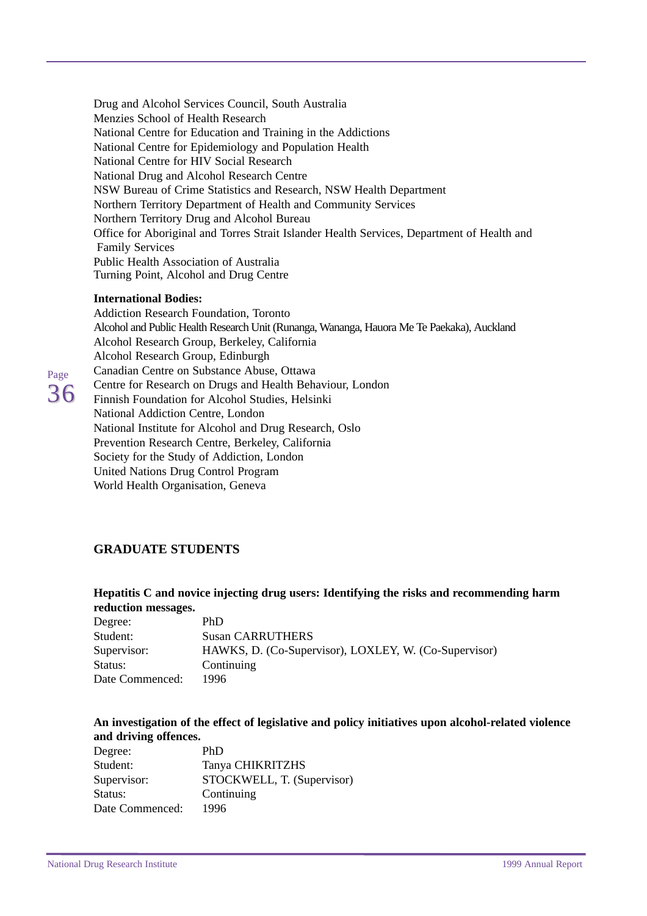<span id="page-39-0"></span>Drug and Alcohol Services Council, South Australia Menzies School of Health Research National Centre for Education and Training in the Addictions National Centre for Epidemiology and Population Health National Centre for HIV Social Research National Drug and Alcohol Research Centre NSW Bureau of Crime Statistics and Research, NSW Health Department Northern Territory Department of Health and Community Services Northern Territory Drug and Alcohol Bureau Office for Aboriginal and Torres Strait Islander Health Services, Department of Health and Family Services Public Health Association of Australia Turning Point, Alcohol and Drug Centre

#### **International Bodies:**

Page 36 Addiction Research Foundation, Toronto Alcohol and Public Health Research Unit (Runanga, Wananga, Hauora Me Te Paekaka), Auckland Alcohol Research Group, Berkeley, California Alcohol Research Group, Edinburgh Canadian Centre on Substance Abuse, Ottawa Centre for Research on Drugs and Health Behaviour, London Finnish Foundation for Alcohol Studies, Helsinki National Addiction Centre, London National Institute for Alcohol and Drug Research, Oslo Prevention Research Centre, Berkeley, California Society for the Study of Addiction, London United Nations Drug Control Program World Health Organisation, Geneva

### **GRADUATE STUDENTS**

#### **Hepatitis C and novice injecting drug users: Identifying the risks and recommending harm reduction messages.**

| Degree:         | PhD                                                   |
|-----------------|-------------------------------------------------------|
| Student:        | <b>Susan CARRUTHERS</b>                               |
| Supervisor:     | HAWKS, D. (Co-Supervisor), LOXLEY, W. (Co-Supervisor) |
| Status:         | Continuing                                            |
| Date Commenced: | 1996                                                  |

#### **An investigation of the effect of legislative and policy initiatives upon alcohol-related violence and driving offences.**

| Degree:         | PhD                        |
|-----------------|----------------------------|
| Student:        | Tanya CHIKRITZHS           |
| Supervisor:     | STOCKWELL, T. (Supervisor) |
| Status:         | Continuing                 |
| Date Commenced: | 1996                       |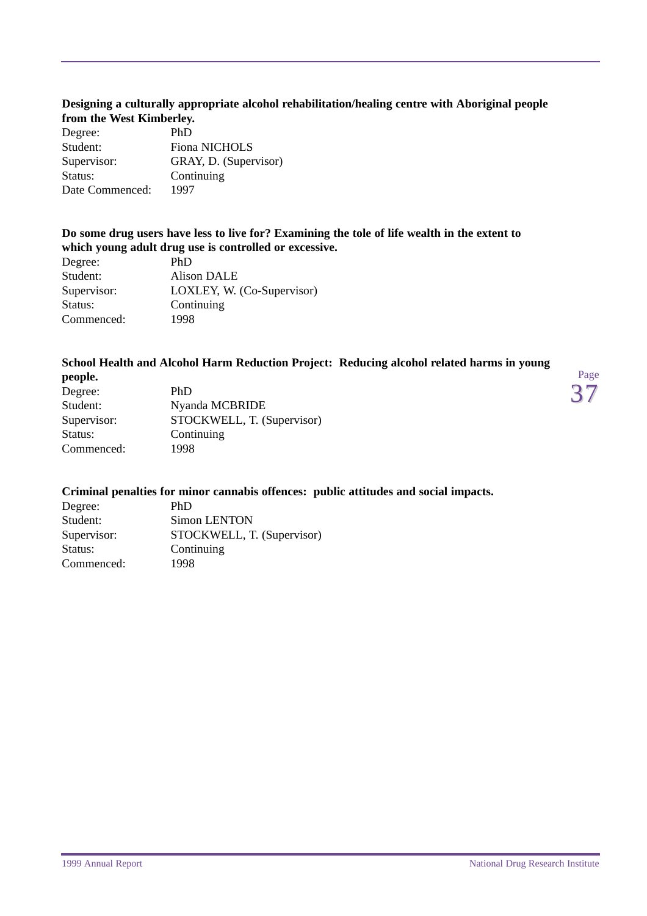#### **Designing a culturally appropriate alcohol rehabilitation/healing centre with Aboriginal people from the West Kimberley.**

| Degree:         | PhD                   |
|-----------------|-----------------------|
| Student:        | <b>Fiona NICHOLS</b>  |
| Supervisor:     | GRAY, D. (Supervisor) |
| Status:         | Continuing            |
| Date Commenced: | 1997                  |

#### **Do some drug users have less to live for? Examining the tole of life wealth in the extent to which young adult drug use is controlled or excessive.**

| Degree:     | PhD                        |
|-------------|----------------------------|
| Student:    | Alison DALE                |
| Supervisor: | LOXLEY, W. (Co-Supervisor) |
| Status:     | Continuing                 |
| Commenced:  | 1998                       |
|             |                            |

#### **School Health and Alcohol Harm Reduction Project: Reducing alcohol related harms in young**

| people.     |                            |
|-------------|----------------------------|
| Degree:     | PhD                        |
| Student:    | Nyanda MCBRIDE             |
| Supervisor: | STOCKWELL, T. (Supervisor) |
| Status:     | Continuing                 |
| Commenced:  | 1998                       |
|             |                            |

#### **Criminal penalties for minor cannabis offences: public attitudes and social impacts.**

| Degree:     | PhD                        |
|-------------|----------------------------|
| Student:    | Simon LENTON               |
| Supervisor: | STOCKWELL, T. (Supervisor) |
| Status:     | Continuing                 |
| Commenced:  | 1998                       |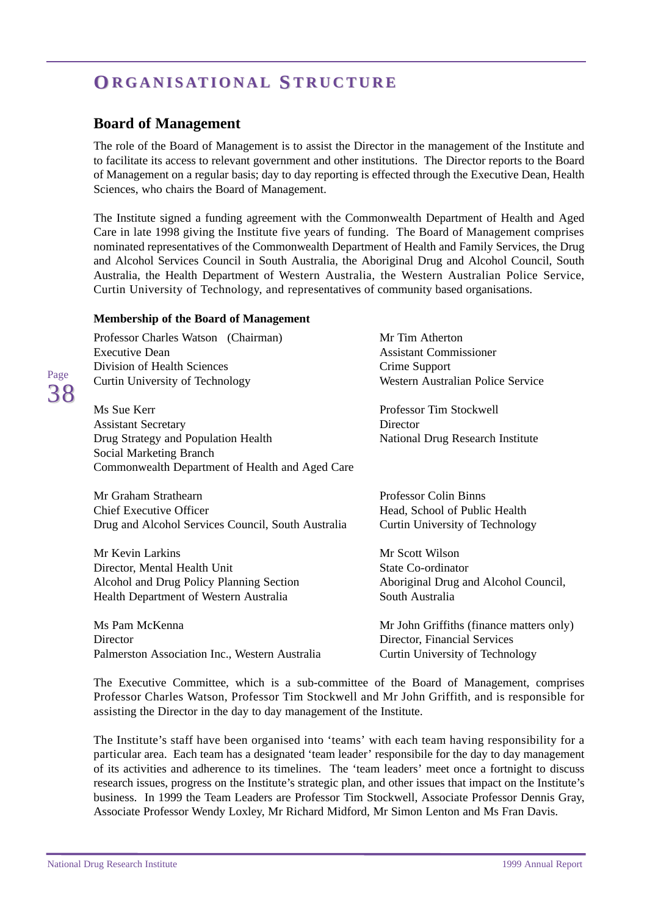# <span id="page-41-0"></span>**O RGANISA RGANISATIONAL S TRUCTURE TRUCTURE**

### **Board of Management**

The role of the Board of Management is to assist the Director in the management of the Institute and to facilitate its access to relevant government and other institutions. The Director reports to the Board of Management on a regular basis; day to day reporting is effected through the Executive Dean, Health Sciences, who chairs the Board of Management.

The Institute signed a funding agreement with the Commonwealth Department of Health and Aged Care in late 1998 giving the Institute five years of funding. The Board of Management comprises nominated representatives of the Commonwealth Department of Health and Family Services, the Drug and Alcohol Services Council in South Australia, the Aboriginal Drug and Alcohol Council, South Australia, the Health Department of Western Australia, the Western Australian Police Service, Curtin University of Technology, and representatives of community based organisations.

#### **Membership of the Board of Management**

| Professor Charles Watson (Chairman)<br><b>Executive Dean</b>   | Mr Tim Atherton<br><b>Assistant Commissioner</b> |
|----------------------------------------------------------------|--------------------------------------------------|
| Division of Health Sciences                                    | Crime Support                                    |
| Curtin University of Technology                                | Western Australian Police Service                |
| Ms Sue Kerr                                                    | Professor Tim Stockwell                          |
| <b>Assistant Secretary</b>                                     | Director                                         |
| Drug Strategy and Population Health<br>Social Marketing Branch | National Drug Research Institute                 |
| Commonwealth Department of Health and Aged Care                |                                                  |
| Mr Graham Strathearn                                           | <b>Professor Colin Binns</b>                     |
| <b>Chief Executive Officer</b>                                 | Head, School of Public Health                    |
| Drug and Alcohol Services Council, South Australia             | Curtin University of Technology                  |
| Mr Kevin Larkins                                               | Mr Scott Wilson                                  |
| Director, Mental Health Unit                                   | State Co-ordinator                               |
| Alcohol and Drug Policy Planning Section                       | Aboriginal Drug and Alcohol Council,             |
| Health Department of Western Australia                         | South Australia                                  |
| Ms Pam McKenna                                                 | Mr John Griffiths (finance matters only)         |
| Director                                                       | Director, Financial Services                     |
| Palmerston Association Inc., Western Australia                 | Curtin University of Technology                  |
|                                                                |                                                  |

The Executive Committee, which is a sub-committee of the Board of Management, comprises Professor Charles Watson, Professor Tim Stockwell and Mr John Griffith, and is responsible for assisting the Director in the day to day management of the Institute.

The Institute's staff have been organised into 'teams' with each team having responsibility for a particular area. Each team has a designated 'team leader' responsibile for the day to day management of its activities and adherence to its timelines. The 'team leaders' meet once a fortnight to discuss research issues, progress on the Institute's strategic plan, and other issues that impact on the Institute's business. In 1999 the Team Leaders are Professor Tim Stockwell, Associate Professor Dennis Gray, Associate Professor Wendy Loxley, Mr Richard Midford, Mr Simon Lenton and Ms Fran Davis.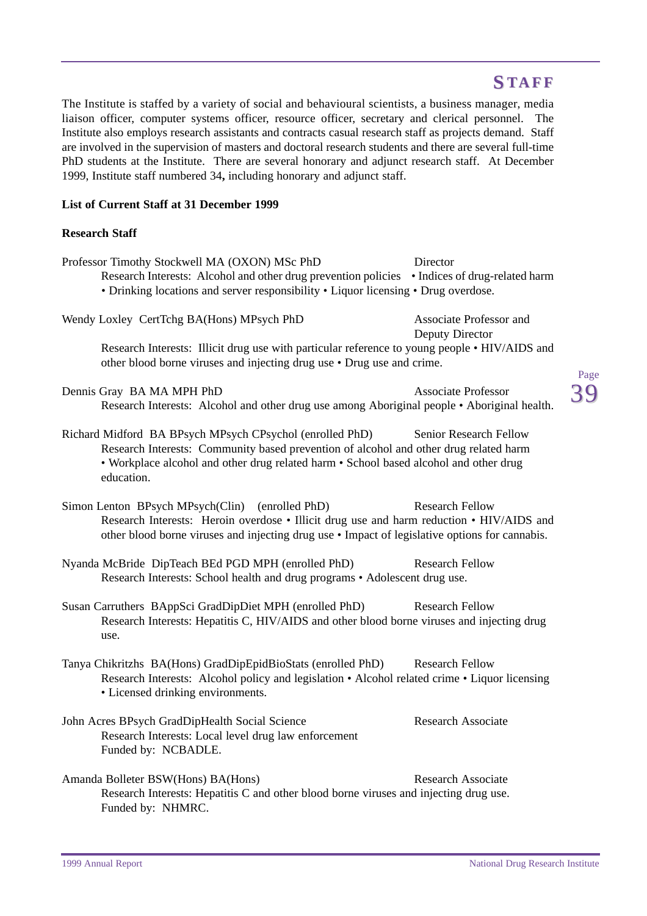# **S TAFF**

<span id="page-42-0"></span>The Institute is staffed by a variety of social and behavioural scientists, a business manager, media liaison officer, computer systems officer, resource officer, secretary and clerical personnel. The Institute also employs research assistants and contracts casual research staff as projects demand. Staff are involved in the supervision of masters and doctoral research students and there are several full-time PhD students at the Institute. There are several honorary and adjunct research staff. At December 1999, Institute staff numbered 34**,** including honorary and adjunct staff.

#### **List of Current Staff at 31 December 1999**

#### **Research Staff**

| Professor Timothy Stockwell MA (OXON) MSc PhD                                                          | Director                   |      |
|--------------------------------------------------------------------------------------------------------|----------------------------|------|
| Research Interests: Alcohol and other drug prevention policies • Indices of drug-related harm          |                            |      |
| • Drinking locations and server responsibility • Liquor licensing • Drug overdose.                     |                            |      |
|                                                                                                        |                            |      |
| Wendy Loxley CertTchg BA(Hons) MPsych PhD                                                              | Associate Professor and    |      |
|                                                                                                        | Deputy Director            |      |
| Research Interests: Illicit drug use with particular reference to young people • HIV/AIDS and          |                            |      |
| other blood borne viruses and injecting drug use • Drug use and crime.                                 |                            |      |
|                                                                                                        |                            | Page |
| Dennis Gray BA MA MPH PhD                                                                              | <b>Associate Professor</b> |      |
| Research Interests: Alcohol and other drug use among Aboriginal people . Aboriginal health.            |                            |      |
|                                                                                                        |                            |      |
| Richard Midford BA BPsych MPsych CPsychol (enrolled PhD)                                               | Senior Research Fellow     |      |
| Research Interests: Community based prevention of alcohol and other drug related harm                  |                            |      |
| • Workplace alcohol and other drug related harm • School based alcohol and other drug                  |                            |      |
| education.                                                                                             |                            |      |
|                                                                                                        |                            |      |
| Simon Lenton BPsych MPsych(Clin) (enrolled PhD)                                                        | <b>Research Fellow</b>     |      |
| Research Interests: Heroin overdose • Illicit drug use and harm reduction • HIV/AIDS and               |                            |      |
| other blood borne viruses and injecting drug use • Impact of legislative options for cannabis.         |                            |      |
|                                                                                                        |                            |      |
| Nyanda McBride DipTeach BEd PGD MPH (enrolled PhD)                                                     | <b>Research Fellow</b>     |      |
| Research Interests: School health and drug programs • Adolescent drug use.                             |                            |      |
|                                                                                                        |                            |      |
| Susan Carruthers BAppSci GradDipDiet MPH (enrolled PhD)                                                | <b>Research Fellow</b>     |      |
| Research Interests: Hepatitis C, HIV/AIDS and other blood borne viruses and injecting drug             |                            |      |
| use.                                                                                                   |                            |      |
|                                                                                                        |                            |      |
| Tanya Chikritzhs BA(Hons) GradDipEpidBioStats (enrolled PhD)                                           | <b>Research Fellow</b>     |      |
| Research Interests: Alcohol policy and legislation • Alcohol related crime • Liquor licensing          |                            |      |
| • Licensed drinking environments.                                                                      |                            |      |
|                                                                                                        | Research Associate         |      |
| John Acres BPsych GradDipHealth Social Science<br>Research Interests: Local level drug law enforcement |                            |      |
| Funded by: NCBADLE.                                                                                    |                            |      |
|                                                                                                        |                            |      |
| Amanda Bolleter BSW(Hons) BA(Hons)                                                                     | <b>Research Associate</b>  |      |
| Research Interests: Hepatitis C and other blood borne viruses and injecting drug use.                  |                            |      |
| Funded by: NHMRC.                                                                                      |                            |      |
|                                                                                                        |                            |      |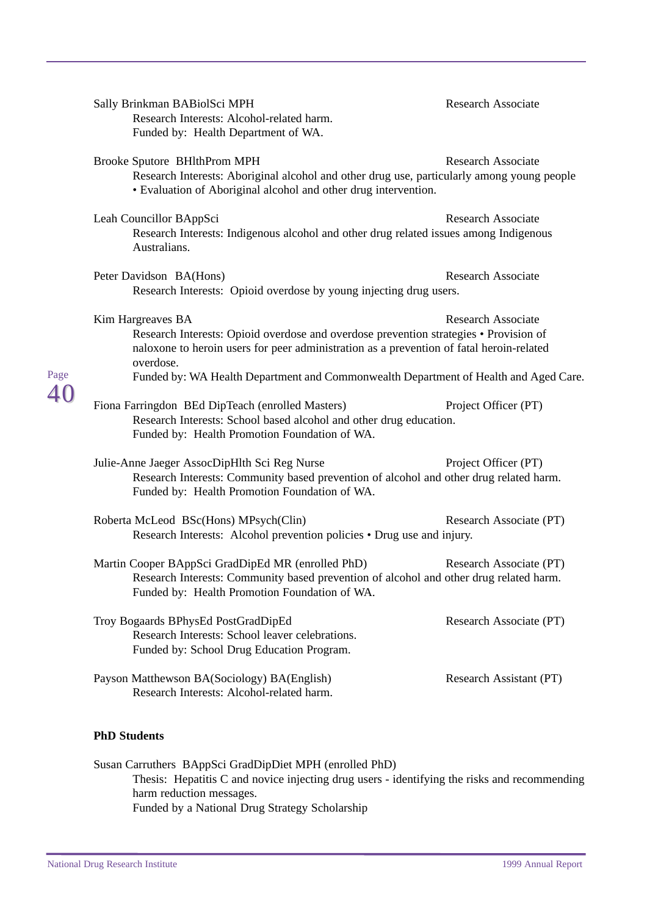|      | Sally Brinkman BABiolSci MPH<br>Research Interests: Alcohol-related harm.<br>Funded by: Health Department of WA.                                                                                                                                                                                                                         | <b>Research Associate</b> |  |
|------|------------------------------------------------------------------------------------------------------------------------------------------------------------------------------------------------------------------------------------------------------------------------------------------------------------------------------------------|---------------------------|--|
|      | Brooke Sputore BHlthProm MPH<br>Research Interests: Aboriginal alcohol and other drug use, particularly among young people<br>• Evaluation of Aboriginal alcohol and other drug intervention.                                                                                                                                            | <b>Research Associate</b> |  |
|      | Leah Councillor BAppSci<br>Research Interests: Indigenous alcohol and other drug related issues among Indigenous<br>Australians.                                                                                                                                                                                                         | <b>Research Associate</b> |  |
|      | Peter Davidson BA(Hons)<br>Research Interests: Opioid overdose by young injecting drug users.                                                                                                                                                                                                                                            | <b>Research Associate</b> |  |
| Page | Kim Hargreaves BA<br><b>Research Associate</b><br>Research Interests: Opioid overdose and overdose prevention strategies • Provision of<br>naloxone to heroin users for peer administration as a prevention of fatal heroin-related<br>overdose.<br>Funded by: WA Health Department and Commonwealth Department of Health and Aged Care. |                           |  |
|      | Fiona Farringdon BEd DipTeach (enrolled Masters)<br>Research Interests: School based alcohol and other drug education.<br>Funded by: Health Promotion Foundation of WA.                                                                                                                                                                  | Project Officer (PT)      |  |
|      | Julie-Anne Jaeger AssocDipHlth Sci Reg Nurse<br>Research Interests: Community based prevention of alcohol and other drug related harm.<br>Funded by: Health Promotion Foundation of WA.                                                                                                                                                  | Project Officer (PT)      |  |
|      | Roberta McLeod BSc(Hons) MPsych(Clin)<br>Research Interests: Alcohol prevention policies • Drug use and injury.                                                                                                                                                                                                                          | Research Associate (PT)   |  |
|      | Martin Cooper BAppSci GradDipEd MR (enrolled PhD)<br>Research Interests: Community based prevention of alcohol and other drug related harm.<br>Funded by: Health Promotion Foundation of WA.                                                                                                                                             | Research Associate (PT)   |  |
|      | Troy Bogaards BPhysEd PostGradDipEd<br>Research Interests: School leaver celebrations.<br>Funded by: School Drug Education Program.                                                                                                                                                                                                      | Research Associate (PT)   |  |
|      | Payson Matthewson BA(Sociology) BA(English)<br>Research Interests: Alcohol-related harm.                                                                                                                                                                                                                                                 | Research Assistant (PT)   |  |
|      | <b>PhD Students</b>                                                                                                                                                                                                                                                                                                                      |                           |  |
|      |                                                                                                                                                                                                                                                                                                                                          |                           |  |

Susan Carruthers BAppSci GradDipDiet MPH (enrolled PhD) Thesis: Hepatitis C and novice injecting drug users - identifying the risks and recommending harm reduction messages. Funded by a National Drug Strategy Scholarship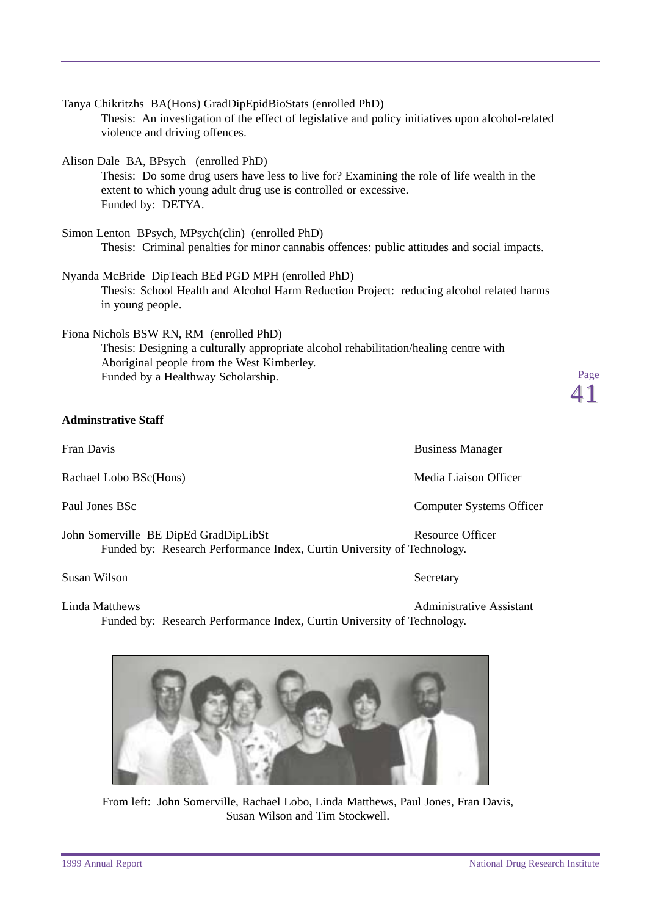extent to which young adult drug use is controlled or excessive. Funded by: DETYA. Simon Lenton BPsych, MPsych(clin) (enrolled PhD) Thesis: Criminal penalties for minor cannabis offences: public attitudes and social impacts. Nyanda McBride DipTeach BEd PGD MPH (enrolled PhD) Thesis: School Health and Alcohol Harm Reduction Project: reducing alcohol related harms in young people. Fiona Nichols BSW RN, RM (enrolled PhD) Thesis: Designing a culturally appropriate alcohol rehabilitation/healing centre with Aboriginal people from the West Kimberley. Funded by a Healthway Scholarship. **Adminstrative Staff** Fran Davis **Business Manager** Business Manager Rachael Lobo BSc(Hons) Media Liaison Officer Paul Jones BSc Computer Systems Officer John Somerville BE DipEd GradDipLibSt Resource Officer Funded by: Research Performance Index, Curtin University of Technology.

Thesis: An investigation of the effect of legislative and policy initiatives upon alcohol-related

Thesis: Do some drug users have less to live for? Examining the role of life wealth in the

Tanya Chikritzhs BA(Hons) GradDipEpidBioStats (enrolled PhD)

violence and driving offences.

Alison Dale BA, BPsych (enrolled PhD)

Susan Wilson Secretary Secretary

Linda Matthews **Administrative Assistant** Funded by: Research Performance Index, Curtin University of Technology.

### From left: John Somerville, Rachael Lobo, Linda Matthews, Paul Jones, Fran Davis, Susan Wilson and Tim Stockwell.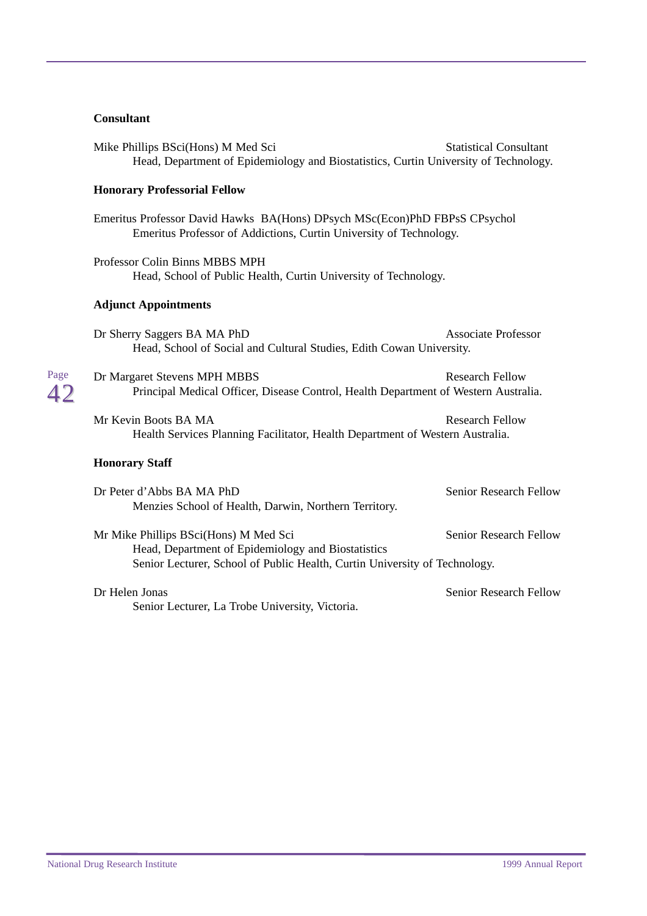#### **Consultant**

Page 42

| Mike Phillips BSci(Hons) M Med Sci<br>Head, Department of Epidemiology and Biostatistics, Curtin University of Technology.                                                | <b>Statistical Consultant</b> |
|---------------------------------------------------------------------------------------------------------------------------------------------------------------------------|-------------------------------|
| <b>Honorary Professorial Fellow</b>                                                                                                                                       |                               |
| Emeritus Professor David Hawks BA(Hons) DPsych MSc(Econ)PhD FBPsS CPsychol<br>Emeritus Professor of Addictions, Curtin University of Technology.                          |                               |
| Professor Colin Binns MBBS MPH<br>Head, School of Public Health, Curtin University of Technology.                                                                         |                               |
| <b>Adjunct Appointments</b>                                                                                                                                               |                               |
| Dr Sherry Saggers BA MA PhD<br>Head, School of Social and Cultural Studies, Edith Cowan University.                                                                       | <b>Associate Professor</b>    |
| Dr Margaret Stevens MPH MBBS<br>Principal Medical Officer, Disease Control, Health Department of Western Australia.                                                       | <b>Research Fellow</b>        |
| Mr Kevin Boots BA MA<br>Health Services Planning Facilitator, Health Department of Western Australia.                                                                     | <b>Research Fellow</b>        |
| <b>Honorary Staff</b>                                                                                                                                                     |                               |
| Dr Peter d'Abbs BA MA PhD<br>Menzies School of Health, Darwin, Northern Territory.                                                                                        | Senior Research Fellow        |
| Mr Mike Phillips BSci(Hons) M Med Sci<br>Head, Department of Epidemiology and Biostatistics<br>Senior Lecturer, School of Public Health, Curtin University of Technology. | <b>Senior Research Fellow</b> |
|                                                                                                                                                                           |                               |
| Dr Helen Jonas                                                                                                                                                            | Senior Research Fellow        |

Senior Lecturer, La Trobe University, Victoria.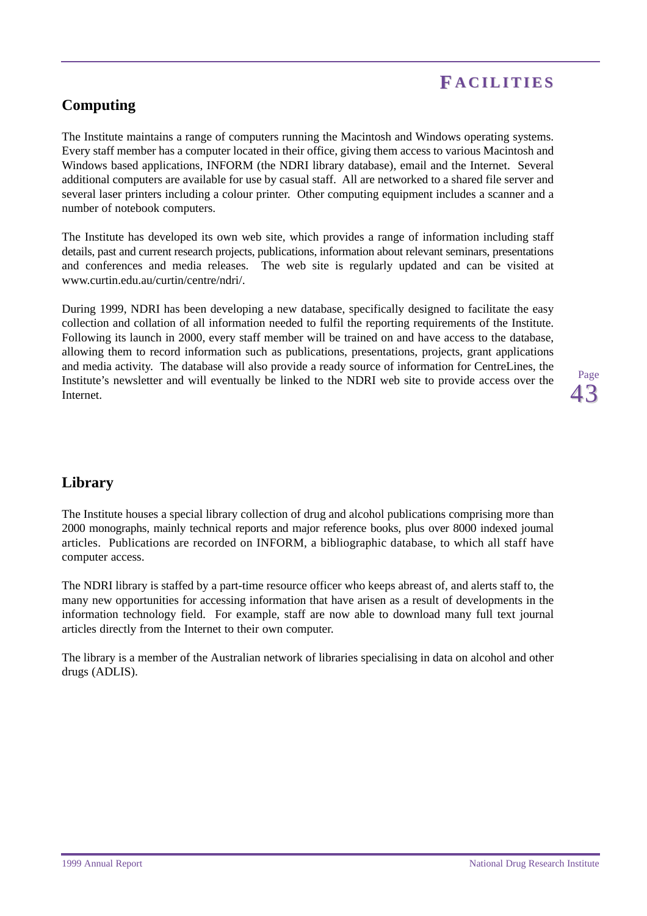# **F ACILITIES ACILITIES**

## <span id="page-46-0"></span>**Computing**

The Institute maintains a range of computers running the Macintosh and Windows operating systems. Every staff member has a computer located in their office, giving them access to various Macintosh and Windows based applications, INFORM (the NDRI library database), email and the Internet. Several additional computers are available for use by casual staff. All are networked to a shared file server and several laser printers including a colour printer. Other computing equipment includes a scanner and a number of notebook computers.

The Institute has developed its own web site, which provides a range of information including staff details, past and current research projects, publications, information about relevant seminars, presentations and conferences and media releases. The web site is regularly updated and can be visited at www.curtin.edu.au/curtin/centre/ndri/.

During 1999, NDRI has been developing a new database, specifically designed to facilitate the easy collection and collation of all information needed to fulfil the reporting requirements of the Institute. Following its launch in 2000, every staff member will be trained on and have access to the database, allowing them to record information such as publications, presentations, projects, grant applications and media activity. The database will also provide a ready source of information for CentreLines, the Institute's newsletter and will eventually be linked to the NDRI web site to provide access over the Internet.

Page 43

### **Library**

The Institute houses a special library collection of drug and alcohol publications comprising more than 2000 monographs, mainly technical reports and major reference books, plus over 8000 indexed journal articles. Publications are recorded on INFORM, a bibliographic database, to which all staff have computer access.

The NDRI library is staffed by a part-time resource officer who keeps abreast of, and alerts staff to, the many new opportunities for accessing information that have arisen as a result of developments in the information technology field. For example, staff are now able to download many full text journal articles directly from the Internet to their own computer.

The library is a member of the Australian network of libraries specialising in data on alcohol and other drugs (ADLIS).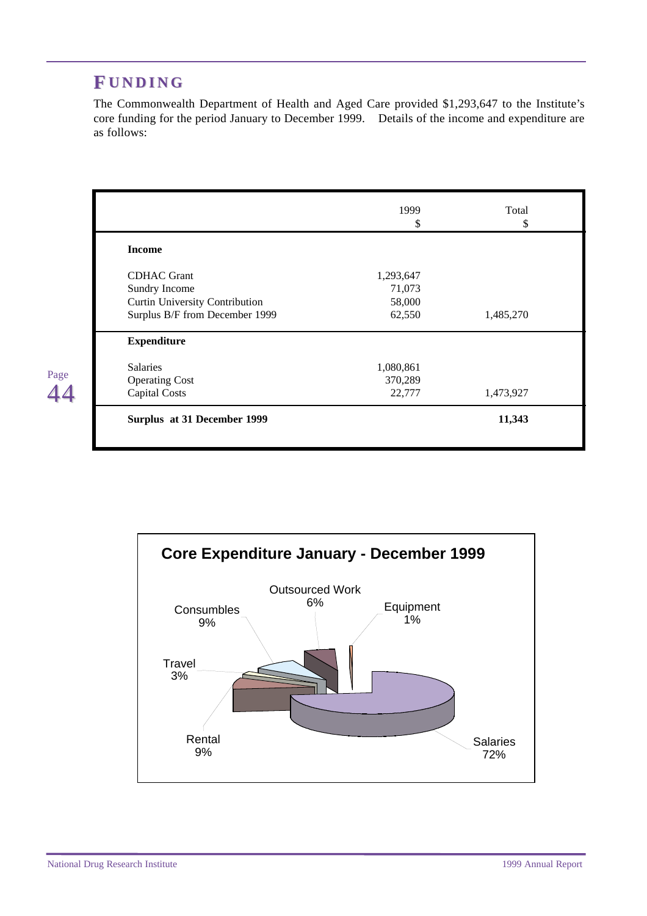# <span id="page-47-0"></span>**F UNDING**

The Commonwealth Department of Health and Aged Care provided \$1,293,647 to the Institute's core funding for the period January to December 1999. Details of the income and expenditure are as follows:

|                                | 1999      | Total     |
|--------------------------------|-----------|-----------|
|                                | \$        | \$        |
| <b>Income</b>                  |           |           |
| <b>CDHAC</b> Grant             | 1,293,647 |           |
| Sundry Income                  | 71,073    |           |
| Curtin University Contribution | 58,000    |           |
| Surplus B/F from December 1999 | 62,550    | 1,485,270 |
| <b>Expenditure</b>             |           |           |
| <b>Salaries</b>                | 1,080,861 |           |
| <b>Operating Cost</b>          | 370,289   |           |
| <b>Capital Costs</b>           | 22,777    | 1,473,927 |
| Surplus at 31 December 1999    |           | 11,343    |

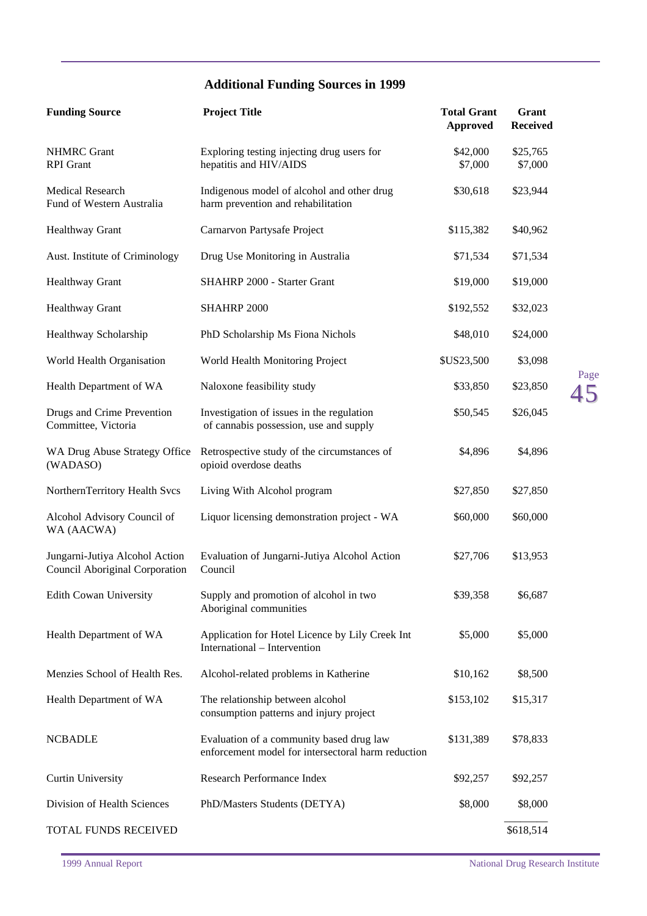## **Additional Funding Sources in 1999**

| <b>Funding Source</b>                                            | <b>Project Title</b>                                                                           | <b>Total Grant</b><br><b>Approved</b> | Grant<br><b>Received</b> |
|------------------------------------------------------------------|------------------------------------------------------------------------------------------------|---------------------------------------|--------------------------|
| <b>NHMRC</b> Grant<br><b>RPI</b> Grant                           | Exploring testing injecting drug users for<br>hepatitis and HIV/AIDS                           | \$42,000<br>\$7,000                   | \$25,765<br>\$7,000      |
| Medical Research<br>Fund of Western Australia                    | Indigenous model of alcohol and other drug<br>harm prevention and rehabilitation               | \$30,618                              | \$23,944                 |
| Healthway Grant                                                  | Carnarvon Partysafe Project                                                                    | \$115,382                             | \$40,962                 |
| Aust. Institute of Criminology                                   | Drug Use Monitoring in Australia                                                               | \$71,534                              | \$71,534                 |
| Healthway Grant                                                  | SHAHRP 2000 - Starter Grant                                                                    | \$19,000                              | \$19,000                 |
| Healthway Grant                                                  | SHAHRP 2000                                                                                    | \$192,552                             | \$32,023                 |
| Healthway Scholarship                                            | PhD Scholarship Ms Fiona Nichols                                                               | \$48,010                              | \$24,000                 |
| World Health Organisation                                        | World Health Monitoring Project                                                                | \$US23,500                            | \$3,098                  |
| Health Department of WA                                          | Naloxone feasibility study                                                                     | \$33,850                              | \$23,850                 |
| Drugs and Crime Prevention<br>Committee, Victoria                | Investigation of issues in the regulation<br>of cannabis possession, use and supply            | \$50,545                              | \$26,045                 |
| WA Drug Abuse Strategy Office<br>(WADASO)                        | Retrospective study of the circumstances of<br>opioid overdose deaths                          | \$4,896                               | \$4,896                  |
| NorthernTerritory Health Svcs                                    | Living With Alcohol program                                                                    | \$27,850                              | \$27,850                 |
| Alcohol Advisory Council of<br>WA (AACWA)                        | Liquor licensing demonstration project - WA                                                    | \$60,000                              | \$60,000                 |
| Jungarni-Jutiya Alcohol Action<br>Council Aboriginal Corporation | Evaluation of Jungarni-Jutiya Alcohol Action<br>Council                                        | \$27,706                              | \$13,953                 |
| <b>Edith Cowan University</b>                                    | Supply and promotion of alcohol in two<br>Aboriginal communities                               | \$39,358                              | \$6,687                  |
| Health Department of WA                                          | Application for Hotel Licence by Lily Creek Int<br>International - Intervention                | \$5,000                               | \$5,000                  |
| Menzies School of Health Res.                                    | Alcohol-related problems in Katherine                                                          | \$10,162                              | \$8,500                  |
| Health Department of WA                                          | The relationship between alcohol<br>consumption patterns and injury project                    | \$153,102                             | \$15,317                 |
| <b>NCBADLE</b>                                                   | Evaluation of a community based drug law<br>enforcement model for intersectoral harm reduction | \$131,389                             | \$78,833                 |
| <b>Curtin University</b>                                         | Research Performance Index                                                                     | \$92,257                              | \$92,257                 |
| Division of Health Sciences                                      | PhD/Masters Students (DETYA)                                                                   | \$8,000                               | \$8,000                  |
| TOTAL FUNDS RECEIVED                                             |                                                                                                |                                       | \$618,514                |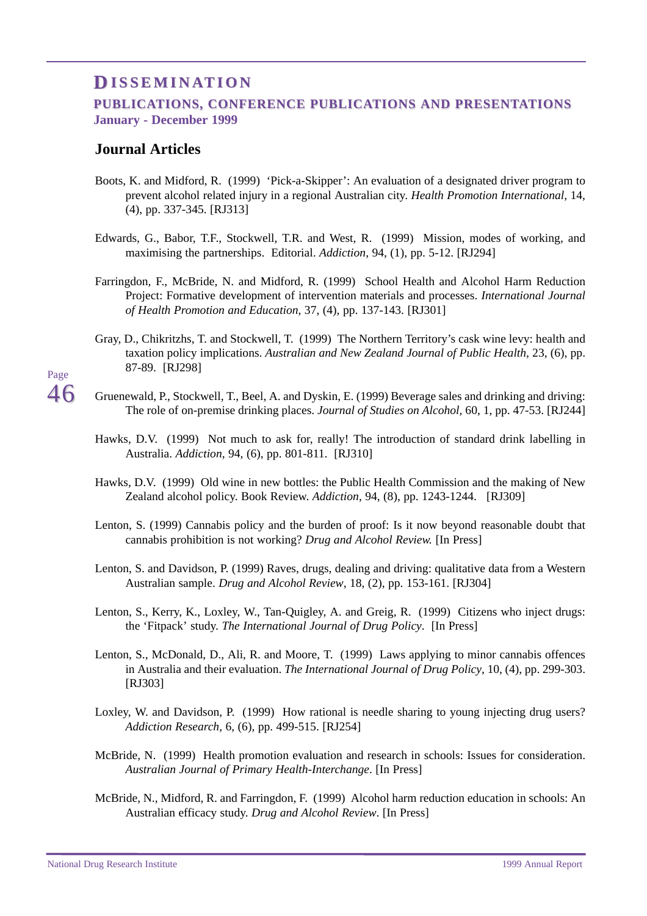## <span id="page-49-0"></span>**D ISSEMINA ISSEMINATION**

### **PUBLICATIONS, CONFERENCE PUBLICATIONS AND PRESENTATIONS January - December 1999**

### **Journal Articles**

- Boots, K. and Midford, R. (1999) 'Pick-a-Skipper': An evaluation of a designated driver program to prevent alcohol related injury in a regional Australian city. *Health Promotion International*, 14, (4), pp. 337-345. [RJ313]
- Edwards, G., Babor, T.F., Stockwell, T.R. and West, R. (1999) Mission, modes of working, and maximising the partnerships. Editorial. *Addiction*, 94, (1), pp. 5-12. [RJ294]
- Farringdon, F., McBride, N. and Midford, R. (1999) School Health and Alcohol Harm Reduction Project: Formative development of intervention materials and processes. *International Journal of Health Promotion and Education*, 37, (4), pp. 137-143. [RJ301]
- Gray, D., Chikritzhs, T. and Stockwell, T. (1999) The Northern Territory's cask wine levy: health and taxation policy implications. *Australian and New Zealand Journal of Public Health*, 23, (6), pp. 87-89. [RJ298]
- Gruenewald, P., Stockwell, T., Beel, A. and Dyskin, E. (1999) Beverage sales and drinking and driving: The role of on-premise drinking places. *Journal of Studies on Alcohol,* 60, 1, pp. 47-53. [RJ244]
- Hawks, D.V. (1999) Not much to ask for, really! The introduction of standard drink labelling in Australia. *Addiction*, 94, (6), pp. 801-811. [RJ310]
- Hawks, D.V. (1999) Old wine in new bottles: the Public Health Commission and the making of New Zealand alcohol policy. Book Review. *Addiction*, 94, (8), pp. 1243-1244. [RJ309]
- Lenton, S. (1999) Cannabis policy and the burden of proof: Is it now beyond reasonable doubt that cannabis prohibition is not working? *Drug and Alcohol Review.* [In Press]
- Lenton, S. and Davidson, P. (1999) Raves, drugs, dealing and driving: qualitative data from a Western Australian sample. *Drug and Alcohol Review*, 18, (2), pp. 153-161. [RJ304]
- Lenton, S., Kerry, K., Loxley, W., Tan-Quigley, A. and Greig, R. (1999) Citizens who inject drugs: the 'Fitpack' study. *The International Journal of Drug Policy*. [In Press]
- Lenton, S., McDonald, D., Ali, R. and Moore, T. (1999) Laws applying to minor cannabis offences in Australia and their evaluation. *The International Journal of Drug Policy*, 10, (4), pp. 299-303. [RJ303]
- Loxley, W. and Davidson, P. (1999) How rational is needle sharing to young injecting drug users? *Addiction Research,* 6, (6), pp. 499-515. [RJ254]
- McBride, N. (1999) Health promotion evaluation and research in schools: Issues for consideration. *Australian Journal of Primary Health-Interchange*. [In Press]
- McBride, N., Midford, R. and Farringdon, F. (1999) Alcohol harm reduction education in schools: An Australian efficacy study. *Drug and Alcohol Review*. [In Press]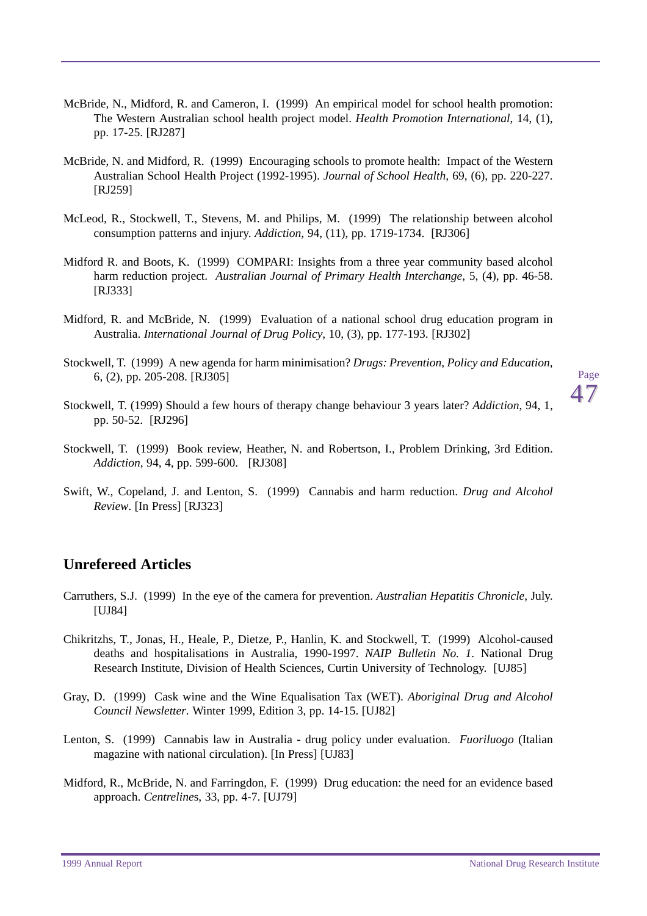- <span id="page-50-0"></span>McBride, N., Midford, R. and Cameron, I. (1999) An empirical model for school health promotion: The Western Australian school health project model. *Health Promotion International*, 14, (1), pp. 17-25. [RJ287]
- McBride, N. and Midford, R. (1999) Encouraging schools to promote health: Impact of the Western Australian School Health Project (1992-1995). *Journal of School Health*, 69, (6), pp. 220-227. [RJ259]
- McLeod, R., Stockwell, T., Stevens, M. and Philips, M. (1999) The relationship between alcohol consumption patterns and injury. *Addiction*, 94, (11), pp. 1719-1734. [RJ306]
- Midford R. and Boots, K. (1999) COMPARI: Insights from a three year community based alcohol harm reduction project. *Australian Journal of Primary Health Interchange*, 5, (4), pp. 46-58. [RJ333]
- Midford, R. and McBride, N. (1999) Evaluation of a national school drug education program in Australia. *International Journal of Drug Policy*, 10, (3), pp. 177-193. [RJ302]
- Stockwell, T. (1999) A new agenda for harm minimisation? *Drugs: Prevention, Policy and Education*, 6, (2), pp. 205-208. [RJ305]
- Stockwell, T. (1999) Should a few hours of therapy change behaviour 3 years later? *Addiction*, 94, 1, pp. 50-52. [RJ296]
- Stockwell, T. (1999) Book review, Heather, N. and Robertson, I., Problem Drinking, 3rd Edition. *Addiction*, 94, 4, pp. 599-600. [RJ308]
- Swift, W., Copeland, J. and Lenton, S. (1999) Cannabis and harm reduction. *Drug and Alcohol Review*. [In Press] [RJ323]

### **Unrefereed Articles**

- Carruthers, S.J. (1999) In the eye of the camera for prevention. *Australian Hepatitis Chronicle*, July. [UJ84]
- Chikritzhs, T., Jonas, H., Heale, P., Dietze, P., Hanlin, K. and Stockwell, T. (1999) Alcohol-caused deaths and hospitalisations in Australia, 1990-1997. *NAIP Bulletin No. 1*. National Drug Research Institute, Division of Health Sciences, Curtin University of Technology. [UJ85]
- Gray, D. (1999) Cask wine and the Wine Equalisation Tax (WET). *Aboriginal Drug and Alcohol Council Newsletter*. Winter 1999, Edition 3, pp. 14-15. [UJ82]
- Lenton, S. (1999) Cannabis law in Australia drug policy under evaluation. *Fuoriluogo* (Italian magazine with national circulation). [In Press] [UJ83]
- Midford, R., McBride, N. and Farringdon, F. (1999) Drug education: the need for an evidence based approach. *Centreline*s, 33, pp. 4-7. [UJ79]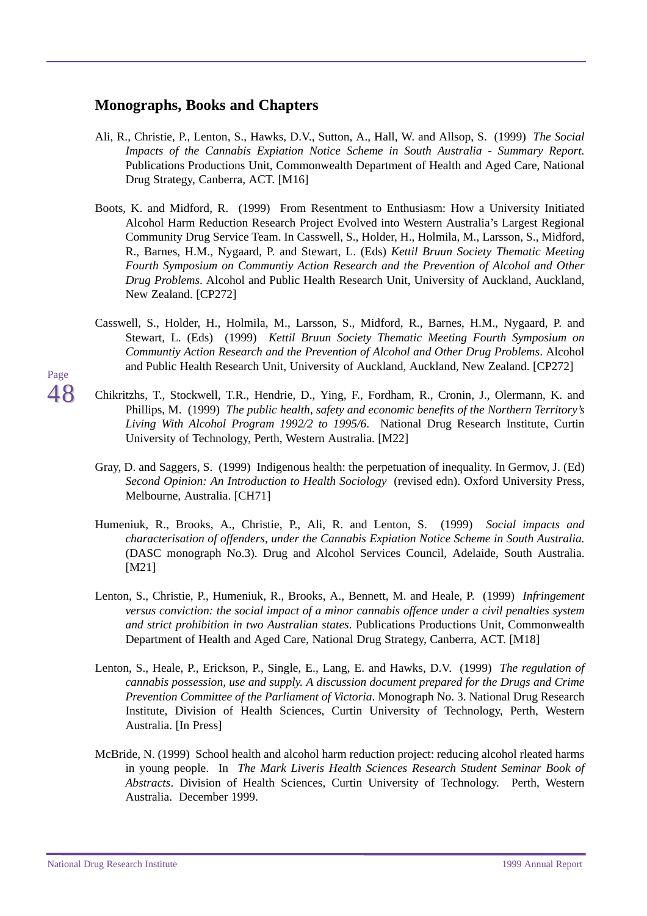### <span id="page-51-0"></span>**Monographs, Books and Chapters**

- Ali, R., Christie, P., Lenton, S., Hawks, D.V., Sutton, A., Hall, W. and Allsop, S. (1999) *The Social Impacts of the Cannabis Expiation Notice Scheme in South Australia* - *Summary Report.* Publications Productions Unit, Commonwealth Department of Health and Aged Care, National Drug Strategy, Canberra, ACT. [M16]
- Boots, K. and Midford, R. (1999) From Resentment to Enthusiasm: How a University Initiated Alcohol Harm Reduction Research Project Evolved into Western Australia's Largest Regional Community Drug Service Team. In Casswell, S., Holder, H., Holmila, M., Larsson, S., Midford, R., Barnes, H.M., Nygaard, P. and Stewart, L. (Eds) *Kettil Bruun Society Thematic Meeting Fourth Symposium on Communtiy Action Research and the Prevention of Alcohol and Other Drug Problems*. Alcohol and Public Health Research Unit, University of Auckland, Auckland, New Zealand. [CP272]
- Casswell, S., Holder, H., Holmila, M., Larsson, S., Midford, R., Barnes, H.M., Nygaard, P. and Stewart, L. (Eds) (1999) *Kettil Bruun Society Thematic Meeting Fourth Symposium on Communtiy Action Research and the Prevention of Alcohol and Other Drug Problems*. Alcohol and Public Health Research Unit, University of Auckland, Auckland, New Zealand. [CP272]
- Chikritzhs, T., Stockwell, T.R., Hendrie, D., Ying, F., Fordham, R., Cronin, J., Olermann, K. and Phillips, M. (1999) *The public health, safety and economic benefits of the Northern Territory's Living With Alcohol Program 1992/2 to 1995/6*. National Drug Research Institute, Curtin University of Technology, Perth, Western Australia. [M22]
- Gray, D. and Saggers, S. (1999) Indigenous health: the perpetuation of inequality. In Germov, J. (Ed) *Second Opinion: An Introduction to Health Sociology* (revised edn). Oxford University Press, Melbourne, Australia. [CH71]
- Humeniuk, R., Brooks, A., Christie, P., Ali, R. and Lenton, S. (1999) *Social impacts and characterisation of offenders, under the Cannabis Expiation Notice Scheme in South Australia.* (DASC monograph No.3). Drug and Alcohol Services Council, Adelaide, South Australia. [M21]
- Lenton, S., Christie, P., Humeniuk, R., Brooks, A., Bennett, M. and Heale, P. (1999) *Infringement versus conviction: the social impact of a minor cannabis offence under a civil penalties system and strict prohibition in two Australian states*. Publications Productions Unit, Commonwealth Department of Health and Aged Care, National Drug Strategy, Canberra, ACT. [M18]
- Lenton, S., Heale, P., Erickson, P., Single, E., Lang, E. and Hawks, D.V. (1999) *The regulation of cannabis possession, use and supply. A discussion document prepared for the Drugs and Crime Prevention Committee of the Parliament of Victoria*. Monograph No. 3. National Drug Research Institute, Division of Health Sciences, Curtin University of Technology, Perth, Western Australia. [In Press]
- McBride, N. (1999) School health and alcohol harm reduction project: reducing alcohol rleated harms in young people. In *The Mark Liveris Health Sciences Research Student Seminar Book of Abstracts*. Division of Health Sciences, Curtin University of Technology. Perth, Western Australia. December 1999.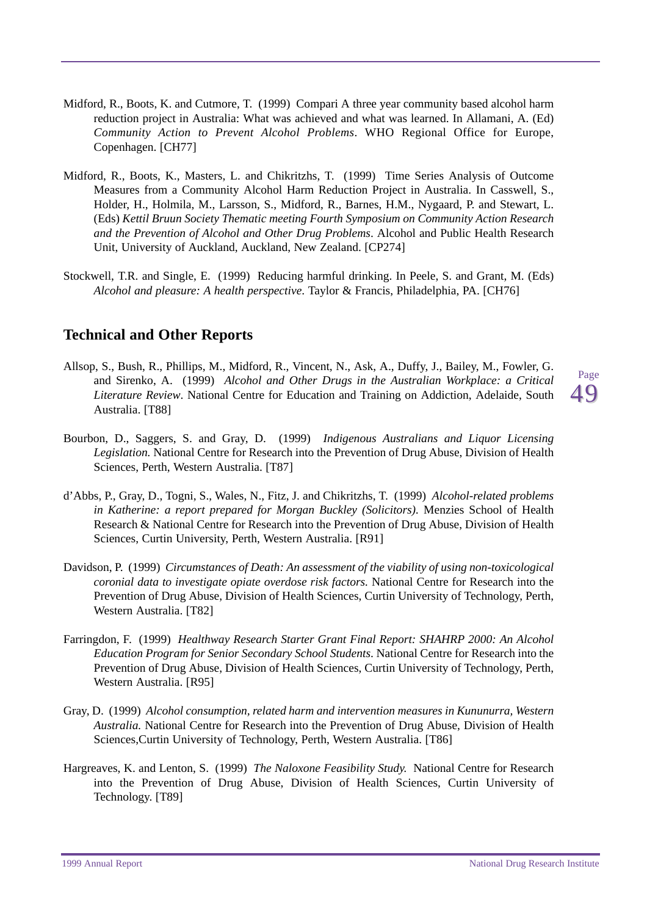- <span id="page-52-0"></span>Midford, R., Boots, K. and Cutmore, T. (1999) Compari A three year community based alcohol harm reduction project in Australia: What was achieved and what was learned. In Allamani, A. (Ed) *Community Action to Prevent Alcohol Problems*. WHO Regional Office for Europe, Copenhagen. [CH77]
- Midford, R., Boots, K., Masters, L. and Chikritzhs, T. (1999) Time Series Analysis of Outcome Measures from a Community Alcohol Harm Reduction Project in Australia. In Casswell, S., Holder, H., Holmila, M., Larsson, S., Midford, R., Barnes, H.M., Nygaard, P. and Stewart, L. (Eds) *Kettil Bruun Society Thematic meeting Fourth Symposium on Community Action Research and the Prevention of Alcohol and Other Drug Problems*. Alcohol and Public Health Research Unit, University of Auckland, Auckland, New Zealand. [CP274]
- Stockwell, T.R. and Single, E. (1999) Reducing harmful drinking. In Peele, S. and Grant, M. (Eds) *Alcohol and pleasure: A health perspective*. Taylor & Francis, Philadelphia, PA. [CH76]

### **Technical and Other Reports**

- Allsop, S., Bush, R., Phillips, M., Midford, R., Vincent, N., Ask, A., Duffy, J., Bailey, M., Fowler, G. and Sirenko, A. (1999) *Alcohol and Other Drugs in the Australian Workplace: a Critical Literature Review*. National Centre for Education and Training on Addiction, Adelaide, South Australia. [T88]
- Page 49
- Bourbon, D., Saggers, S. and Gray, D. (1999) *Indigenous Australians and Liquor Licensing Legislation.* National Centre for Research into the Prevention of Drug Abuse, Division of Health Sciences, Perth, Western Australia. [T87]
- d'Abbs, P., Gray, D., Togni, S., Wales, N., Fitz, J. and Chikritzhs, T. (1999) *Alcohol-related problems in Katherine: a report prepared for Morgan Buckley (Solicitors).* Menzies School of Health Research & National Centre for Research into the Prevention of Drug Abuse, Division of Health Sciences, Curtin University, Perth, Western Australia. [R91]
- Davidson, P. (1999) *Circumstances of Death: An assessment of the viability of using non-toxicological coronial data to investigate opiate overdose risk factors.* National Centre for Research into the Prevention of Drug Abuse, Division of Health Sciences, Curtin University of Technology, Perth, Western Australia. [T82]
- Farringdon, F. (1999) *Healthway Research Starter Grant Final Report: SHAHRP 2000: An Alcohol Education Program for Senior Secondary School Students*. National Centre for Research into the Prevention of Drug Abuse, Division of Health Sciences, Curtin University of Technology, Perth, Western Australia. [R95]
- Gray, D. (1999) *Alcohol consumption, related harm and intervention measures in Kununurra, Western Australia.* National Centre for Research into the Prevention of Drug Abuse, Division of Health Sciences,Curtin University of Technology, Perth, Western Australia. [T86]
- Hargreaves, K. and Lenton, S. (1999) *The Naloxone Feasibility Study.* National Centre for Research into the Prevention of Drug Abuse, Division of Health Sciences, Curtin University of Technology. [T89]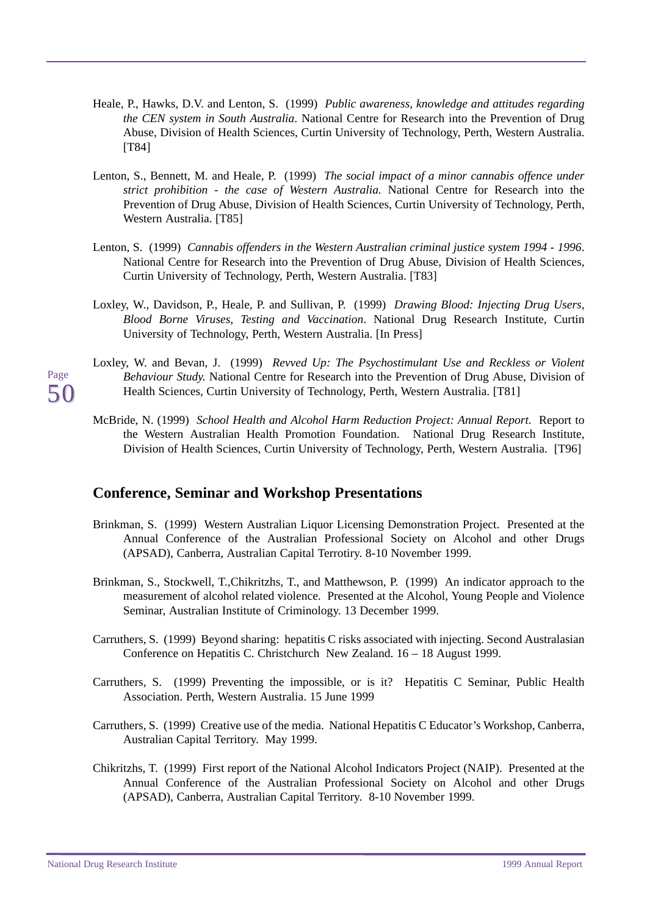- <span id="page-53-0"></span>Heale, P., Hawks, D.V. and Lenton, S. (1999) *Public awareness, knowledge and attitudes regarding the CEN system in South Australia*. National Centre for Research into the Prevention of Drug Abuse, Division of Health Sciences, Curtin University of Technology, Perth, Western Australia. [T84]
- Lenton, S., Bennett, M. and Heale, P. (1999) *The social impact of a minor cannabis offence under strict prohibition - the case of Western Australia.* National Centre for Research into the Prevention of Drug Abuse, Division of Health Sciences, Curtin University of Technology, Perth, Western Australia. [T85]
- Lenton, S. (1999) *Cannabis offenders in the Western Australian criminal justice system 1994 1996*. National Centre for Research into the Prevention of Drug Abuse, Division of Health Sciences, Curtin University of Technology, Perth, Western Australia. [T83]
- Loxley, W., Davidson, P., Heale, P. and Sullivan, P. (1999) *Drawing Blood: Injecting Drug Users, Blood Borne Viruses, Testing and Vaccination*. National Drug Research Institute, Curtin University of Technology, Perth, Western Australia. [In Press]
- Loxley, W. and Bevan, J. (1999) *Revved Up: The Psychostimulant Use and Reckless or Violent Behaviour Study.* National Centre for Research into the Prevention of Drug Abuse, Division of Health Sciences, Curtin University of Technology, Perth, Western Australia. [T81]
- McBride, N. (1999) *School Health and Alcohol Harm Reduction Project: Annual Report.* Report to the Western Australian Health Promotion Foundation. National Drug Research Institute, Division of Health Sciences, Curtin University of Technology, Perth, Western Australia. [T96]

### **Conference, Seminar and Workshop Presentations**

- Brinkman, S. (1999) Western Australian Liquor Licensing Demonstration Project. Presented at the Annual Conference of the Australian Professional Society on Alcohol and other Drugs (APSAD), Canberra, Australian Capital Terrotiry. 8-10 November 1999.
- Brinkman, S., Stockwell, T.,Chikritzhs, T., and Matthewson, P. (1999) An indicator approach to the measurement of alcohol related violence. Presented at the Alcohol, Young People and Violence Seminar, Australian Institute of Criminology. 13 December 1999.
- Carruthers, S. (1999) Beyond sharing: hepatitis C risks associated with injecting. Second Australasian Conference on Hepatitis C. Christchurch New Zealand. 16 – 18 August 1999.
- Carruthers, S. (1999) Preventing the impossible, or is it? Hepatitis C Seminar, Public Health Association. Perth, Western Australia. 15 June 1999
- Carruthers, S. (1999) Creative use of the media. National Hepatitis C Educator's Workshop, Canberra, Australian Capital Territory. May 1999.
- Chikritzhs, T. (1999) First report of the National Alcohol Indicators Project (NAIP). Presented at the Annual Conference of the Australian Professional Society on Alcohol and other Drugs (APSAD), Canberra, Australian Capital Territory. 8-10 November 1999.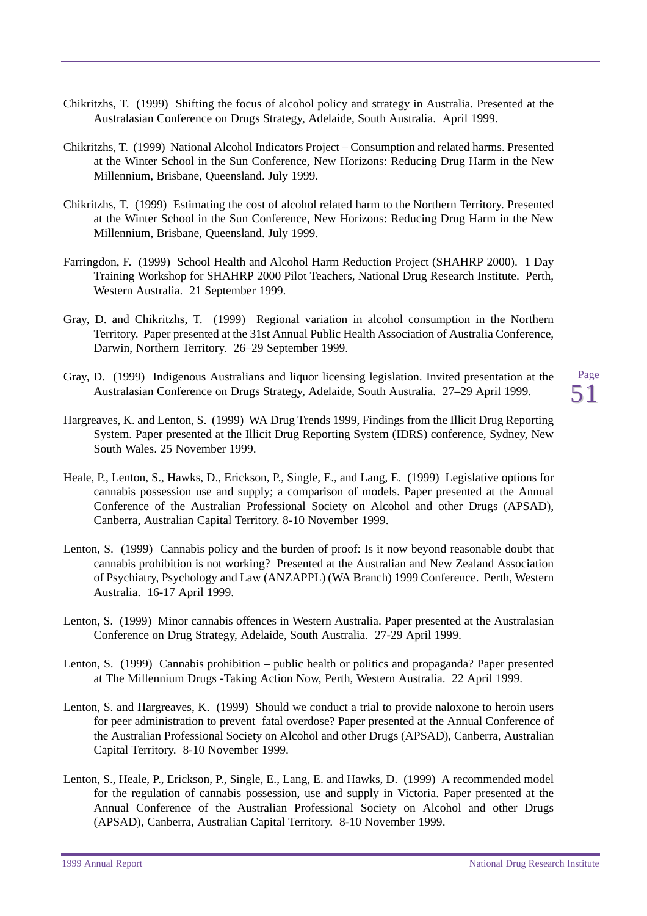- Chikritzhs, T. (1999) Shifting the focus of alcohol policy and strategy in Australia. Presented at the Australasian Conference on Drugs Strategy, Adelaide, South Australia. April 1999.
- Chikritzhs, T. (1999) National Alcohol Indicators Project Consumption and related harms. Presented at the Winter School in the Sun Conference, New Horizons: Reducing Drug Harm in the New Millennium, Brisbane, Queensland. July 1999.
- Chikritzhs, T. (1999) Estimating the cost of alcohol related harm to the Northern Territory. Presented at the Winter School in the Sun Conference, New Horizons: Reducing Drug Harm in the New Millennium, Brisbane, Queensland. July 1999.
- Farringdon, F. (1999) School Health and Alcohol Harm Reduction Project (SHAHRP 2000). 1 Day Training Workshop for SHAHRP 2000 Pilot Teachers, National Drug Research Institute. Perth, Western Australia. 21 September 1999.
- Gray, D. and Chikritzhs, T. (1999) Regional variation in alcohol consumption in the Northern Territory. Paper presented at the 31st Annual Public Health Association of Australia Conference, Darwin, Northern Territory. 26–29 September 1999.
- Gray, D. (1999) Indigenous Australians and liquor licensing legislation. Invited presentation at the Australasian Conference on Drugs Strategy, Adelaide, South Australia. 27–29 April 1999.

- Hargreaves, K. and Lenton, S. (1999) WA Drug Trends 1999, Findings from the Illicit Drug Reporting System. Paper presented at the Illicit Drug Reporting System (IDRS) conference, Sydney, New South Wales. 25 November 1999.
- Heale, P., Lenton, S., Hawks, D., Erickson, P., Single, E., and Lang, E. (1999) Legislative options for cannabis possession use and supply; a comparison of models. Paper presented at the Annual Conference of the Australian Professional Society on Alcohol and other Drugs (APSAD), Canberra, Australian Capital Territory. 8-10 November 1999.
- Lenton, S. (1999) Cannabis policy and the burden of proof: Is it now beyond reasonable doubt that cannabis prohibition is not working? Presented at the Australian and New Zealand Association of Psychiatry, Psychology and Law (ANZAPPL) (WA Branch) 1999 Conference. Perth, Western Australia. 16-17 April 1999.
- Lenton, S. (1999) Minor cannabis offences in Western Australia. Paper presented at the Australasian Conference on Drug Strategy, Adelaide, South Australia. 27-29 April 1999.
- Lenton, S. (1999) Cannabis prohibition public health or politics and propaganda? Paper presented at The Millennium Drugs -Taking Action Now, Perth, Western Australia. 22 April 1999.
- Lenton, S. and Hargreaves, K. (1999) Should we conduct a trial to provide naloxone to heroin users for peer administration to prevent fatal overdose? Paper presented at the Annual Conference of the Australian Professional Society on Alcohol and other Drugs (APSAD), Canberra, Australian Capital Territory. 8-10 November 1999.
- Lenton, S., Heale, P., Erickson, P., Single, E., Lang, E. and Hawks, D. (1999) A recommended model for the regulation of cannabis possession, use and supply in Victoria. Paper presented at the Annual Conference of the Australian Professional Society on Alcohol and other Drugs (APSAD), Canberra, Australian Capital Territory. 8-10 November 1999.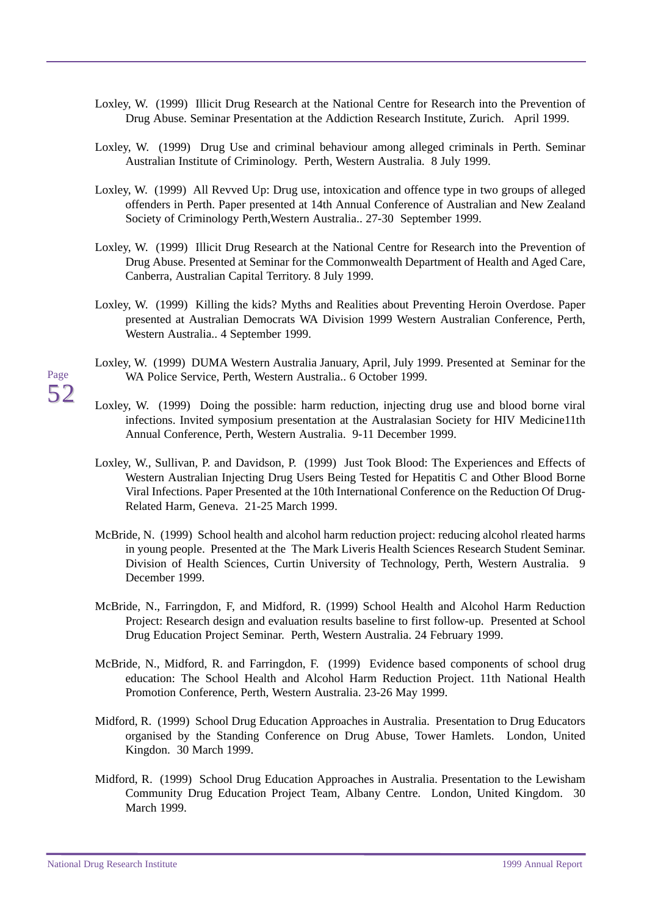- Loxley, W. (1999) Illicit Drug Research at the National Centre for Research into the Prevention of Drug Abuse. Seminar Presentation at the Addiction Research Institute, Zurich. April 1999.
- Loxley, W. (1999) Drug Use and criminal behaviour among alleged criminals in Perth. Seminar Australian Institute of Criminology. Perth, Western Australia. 8 July 1999.
- Loxley, W. (1999) All Revved Up: Drug use, intoxication and offence type in two groups of alleged offenders in Perth. Paper presented at 14th Annual Conference of Australian and New Zealand Society of Criminology Perth,Western Australia.. 27-30 September 1999.
- Loxley, W. (1999) Illicit Drug Research at the National Centre for Research into the Prevention of Drug Abuse. Presented at Seminar for the Commonwealth Department of Health and Aged Care, Canberra, Australian Capital Territory. 8 July 1999.
- Loxley, W. (1999) Killing the kids? Myths and Realities about Preventing Heroin Overdose. Paper presented at Australian Democrats WA Division 1999 Western Australian Conference, Perth, Western Australia.. 4 September 1999.
- Loxley, W. (1999) DUMA Western Australia January, April, July 1999. Presented at Seminar for the WA Police Service, Perth, Western Australia.. 6 October 1999.
- Loxley, W. (1999) Doing the possible: harm reduction, injecting drug use and blood borne viral infections. Invited symposium presentation at the Australasian Society for HIV Medicine11th Annual Conference, Perth, Western Australia. 9-11 December 1999.
- Loxley, W., Sullivan, P. and Davidson, P. (1999) Just Took Blood: The Experiences and Effects of Western Australian Injecting Drug Users Being Tested for Hepatitis C and Other Blood Borne Viral Infections. Paper Presented at the 10th International Conference on the Reduction Of Drug-Related Harm, Geneva. 21-25 March 1999.
- McBride, N. (1999) School health and alcohol harm reduction project: reducing alcohol rleated harms in young people. Presented at the The Mark Liveris Health Sciences Research Student Seminar. Division of Health Sciences, Curtin University of Technology, Perth, Western Australia. 9 December 1999.
- McBride, N., Farringdon, F, and Midford, R. (1999) School Health and Alcohol Harm Reduction Project: Research design and evaluation results baseline to first follow-up. Presented at School Drug Education Project Seminar. Perth, Western Australia. 24 February 1999.
- McBride, N., Midford, R. and Farringdon, F. (1999) Evidence based components of school drug education: The School Health and Alcohol Harm Reduction Project. 11th National Health Promotion Conference, Perth, Western Australia. 23-26 May 1999.
- Midford, R. (1999) School Drug Education Approaches in Australia. Presentation to Drug Educators organised by the Standing Conference on Drug Abuse, Tower Hamlets. London, United Kingdon. 30 March 1999.
- Midford, R. (1999) School Drug Education Approaches in Australia. Presentation to the Lewisham Community Drug Education Project Team, Albany Centre. London, United Kingdom. 30 March 1999.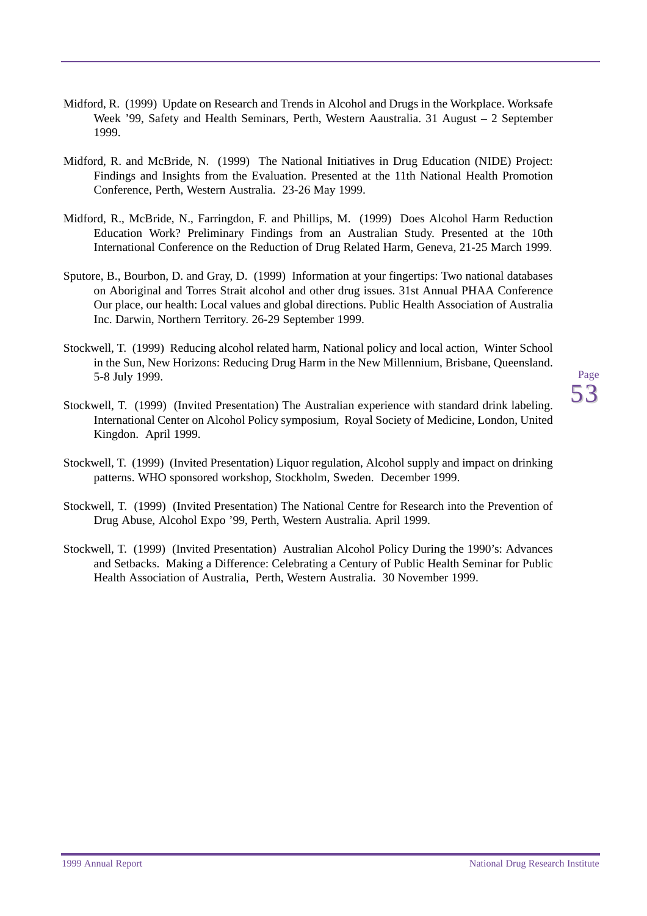- Midford, R. (1999) Update on Research and Trends in Alcohol and Drugs in the Workplace. Worksafe Week '99, Safety and Health Seminars, Perth, Western Aaustralia. 31 August – 2 September 1999.
- Midford, R. and McBride, N. (1999) The National Initiatives in Drug Education (NIDE) Project: Findings and Insights from the Evaluation. Presented at the 11th National Health Promotion Conference, Perth, Western Australia. 23-26 May 1999.
- Midford, R., McBride, N., Farringdon, F. and Phillips, M. (1999) Does Alcohol Harm Reduction Education Work? Preliminary Findings from an Australian Study. Presented at the 10th International Conference on the Reduction of Drug Related Harm, Geneva, 21-25 March 1999.
- Sputore, B., Bourbon, D. and Gray, D. (1999) Information at your fingertips: Two national databases on Aboriginal and Torres Strait alcohol and other drug issues. 31st Annual PHAA Conference Our place, our health: Local values and global directions. Public Health Association of Australia Inc. Darwin, Northern Territory. 26-29 September 1999.
- Stockwell, T. (1999) Reducing alcohol related harm, National policy and local action, Winter School in the Sun, New Horizons: Reducing Drug Harm in the New Millennium, Brisbane, Queensland. 5-8 July 1999.
- Stockwell, T. (1999) (Invited Presentation) The Australian experience with standard drink labeling. International Center on Alcohol Policy symposium, Royal Society of Medicine, London, United Kingdon. April 1999.
- Stockwell, T. (1999) (Invited Presentation) Liquor regulation, Alcohol supply and impact on drinking patterns. WHO sponsored workshop, Stockholm, Sweden. December 1999.
- Stockwell, T. (1999) (Invited Presentation) The National Centre for Research into the Prevention of Drug Abuse, Alcohol Expo '99, Perth, Western Australia. April 1999.
- Stockwell, T. (1999) (Invited Presentation) Australian Alcohol Policy During the 1990's: Advances and Setbacks. Making a Difference: Celebrating a Century of Public Health Seminar for Public Health Association of Australia, Perth, Western Australia. 30 November 1999.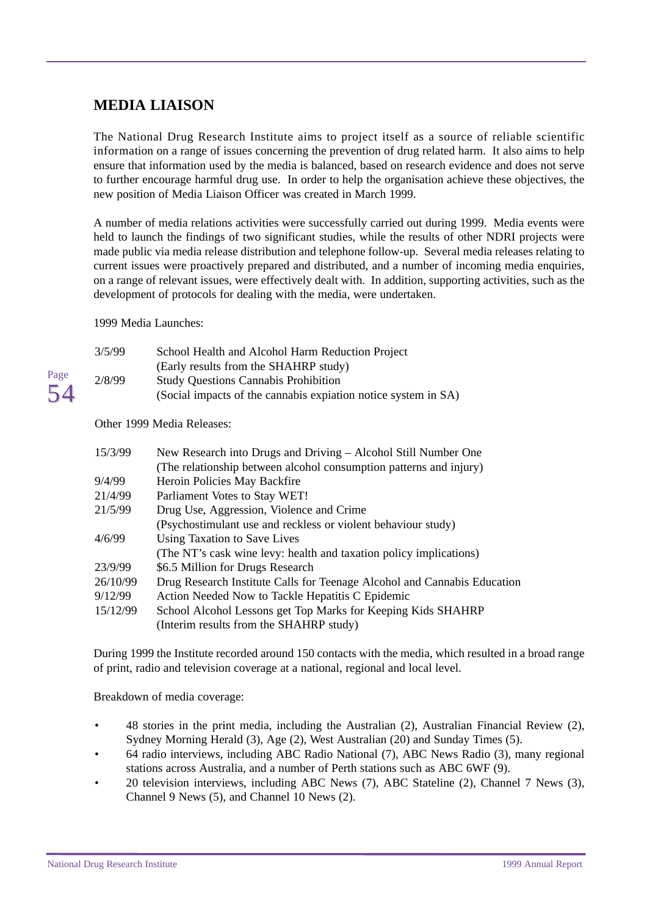## <span id="page-57-0"></span>**MEDIA LIAISON**

The National Drug Research Institute aims to project itself as a source of reliable scientific information on a range of issues concerning the prevention of drug related harm. It also aims to help ensure that information used by the media is balanced, based on research evidence and does not serve to further encourage harmful drug use. In order to help the organisation achieve these objectives, the new position of Media Liaison Officer was created in March 1999.

A number of media relations activities were successfully carried out during 1999. Media events were held to launch the findings of two significant studies, while the results of other NDRI projects were made public via media release distribution and telephone follow-up. Several media releases relating to current issues were proactively prepared and distributed, and a number of incoming media enquiries, on a range of relevant issues, were effectively dealt with. In addition, supporting activities, such as the development of protocols for dealing with the media, were undertaken.

1999 Media Launches:

| 3/5/99 | School Health and Alcohol Harm Reduction Project               |
|--------|----------------------------------------------------------------|
|        | (Early results from the SHAHRP study)                          |
| 2/8/99 | <b>Study Questions Cannabis Prohibition</b>                    |
|        | (Social impacts of the cannabis expiation notice system in SA) |

Other 1999 Media Releases:

| 15/3/99  | New Research into Drugs and Driving – Alcohol Still Number One           |
|----------|--------------------------------------------------------------------------|
|          | (The relationship between alcohol consumption patterns and injury)       |
| 9/4/99   | Heroin Policies May Backfire                                             |
| 21/4/99  | Parliament Votes to Stay WET!                                            |
| 21/5/99  | Drug Use, Aggression, Violence and Crime                                 |
|          | (Psychostimulant use and reckless or violent behaviour study)            |
| 4/6/99   | Using Taxation to Save Lives                                             |
|          | (The NT's cask wine levy: health and taxation policy implications)       |
| 23/9/99  | \$6.5 Million for Drugs Research                                         |
| 26/10/99 | Drug Research Institute Calls for Teenage Alcohol and Cannabis Education |
| 9/12/99  | Action Needed Now to Tackle Hepatitis C Epidemic                         |
| 15/12/99 | School Alcohol Lessons get Top Marks for Keeping Kids SHAHRP             |
|          | (Interim results from the SHAHRP study)                                  |

During 1999 the Institute recorded around 150 contacts with the media, which resulted in a broad range of print, radio and television coverage at a national, regional and local level.

Breakdown of media coverage:

- 48 stories in the print media, including the Australian (2), Australian Financial Review (2), Sydney Morning Herald (3), Age (2), West Australian (20) and Sunday Times (5).
- 64 radio interviews, including ABC Radio National (7), ABC News Radio (3), many regional stations across Australia, and a number of Perth stations such as ABC 6WF (9).
- 20 television interviews, including ABC News (7), ABC Stateline (2), Channel 7 News (3), Channel 9 News (5), and Channel 10 News (2).